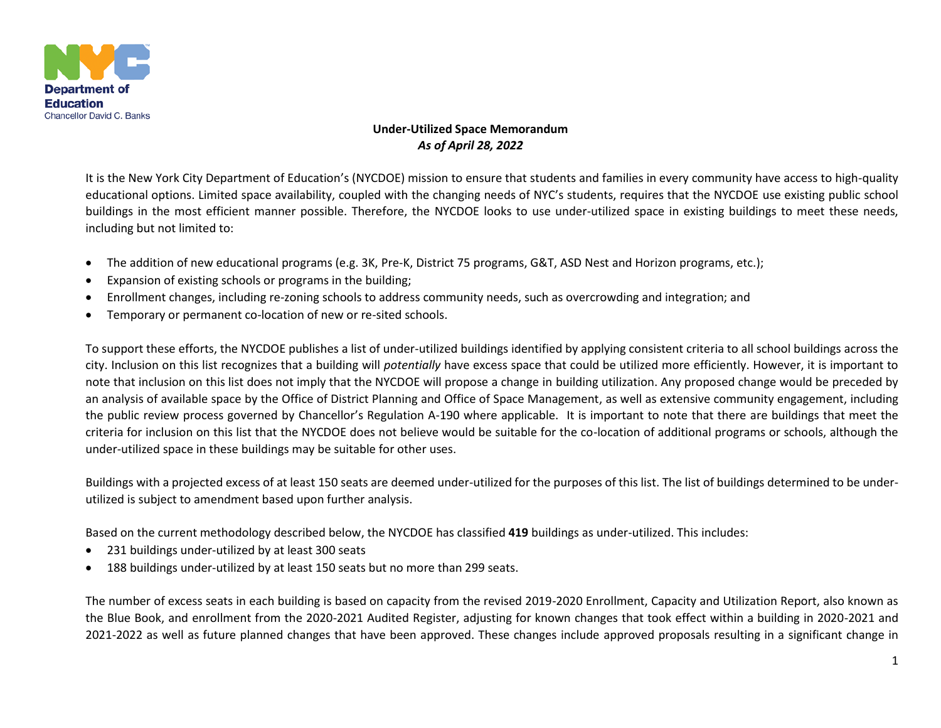

## **Under-Utilized Space Memorandum** *As of April 28, 2022*

It is the New York City Department of Education's (NYCDOE) mission to ensure that students and families in every community have access to high-quality educational options. Limited space availability, coupled with the changing needs of NYC's students, requires that the NYCDOE use existing public school buildings in the most efficient manner possible. Therefore, the NYCDOE looks to use under-utilized space in existing buildings to meet these needs, including but not limited to:

- The addition of new educational programs (e.g. 3K, Pre-K, District 75 programs, G&T, ASD Nest and Horizon programs, etc.);
- Expansion of existing schools or programs in the building;
- Enrollment changes, including re-zoning schools to address community needs, such as overcrowding and integration; and
- Temporary or permanent co-location of new or re-sited schools.

To support these efforts, the NYCDOE publishes a list of under-utilized buildings identified by applying consistent criteria to all school buildings across the city. Inclusion on this list recognizes that a building will *potentially* have excess space that could be utilized more efficiently. However, it is important to note that inclusion on this list does not imply that the NYCDOE will propose a change in building utilization. Any proposed change would be preceded by an analysis of available space by the Office of District Planning and Office of Space Management, as well as extensive community engagement, including the public review process governed by Chancellor's Regulation A-190 where applicable. It is important to note that there are buildings that meet the criteria for inclusion on this list that the NYCDOE does not believe would be suitable for the co-location of additional programs or schools, although the under-utilized space in these buildings may be suitable for other uses.

Buildings with a projected excess of at least 150 seats are deemed under-utilized for the purposes of this list. The list of buildings determined to be underutilized is subject to amendment based upon further analysis.

Based on the current methodology described below, the NYCDOE has classified **419** buildings as under-utilized. This includes:

- 231 buildings under-utilized by at least 300 seats
- 188 buildings under-utilized by at least 150 seats but no more than 299 seats.

The number of excess seats in each building is based on capacity from the revised 2019-2020 Enrollment, Capacity and Utilization Report, also known as the Blue Book, and enrollment from the 2020-2021 Audited Register, adjusting for known changes that took effect within a building in 2020-2021 and 2021-2022 as well as future planned changes that have been approved. These changes include approved proposals resulting in a significant change in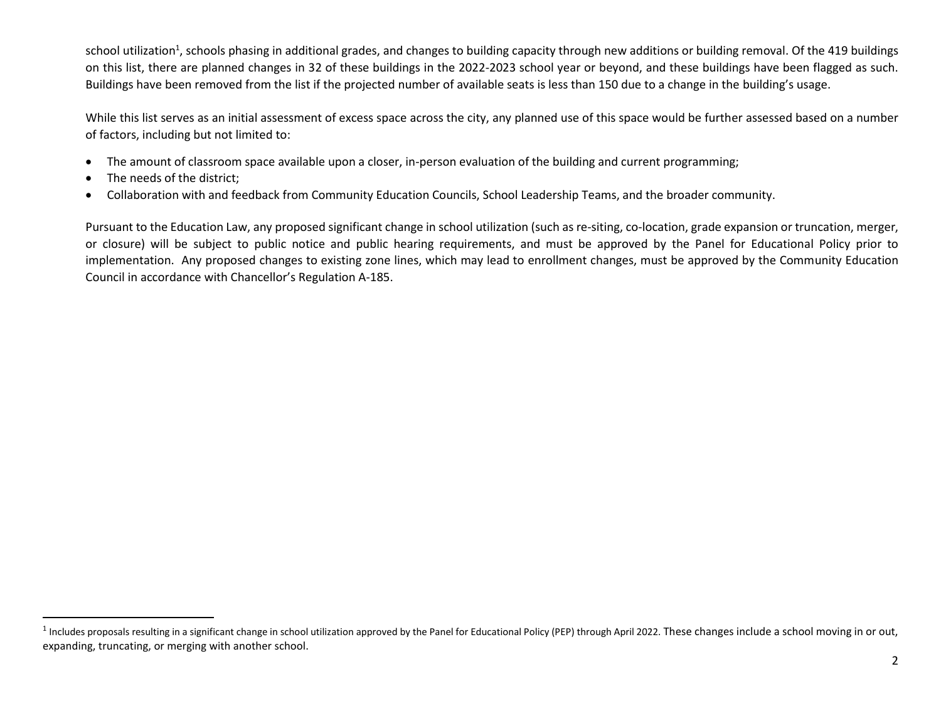school utilization<sup>1</sup>, schools phasing in additional grades, and changes to building capacity through new additions or building removal. Of the 419 buildings on this list, there are planned changes in 32 of these buildings in the 2022-2023 school year or beyond, and these buildings have been flagged as such. Buildings have been removed from the list if the projected number of available seats is less than 150 due to a change in the building's usage.

While this list serves as an initial assessment of excess space across the city, any planned use of this space would be further assessed based on a number of factors, including but not limited to:

- The amount of classroom space available upon a closer, in-person evaluation of the building and current programming;
- The needs of the district:
- Collaboration with and feedback from Community Education Councils, School Leadership Teams, and the broader community.

Pursuant to the Education Law, any proposed significant change in school utilization (such as re-siting, co-location, grade expansion or truncation, merger, or closure) will be subject to public notice and public hearing requirements, and must be approved by the Panel for Educational Policy prior to implementation. Any proposed changes to existing zone lines, which may lead to enrollment changes, must be approved by the Community Education Council in accordance with Chancellor's Regulation A-185.

<sup>&</sup>lt;sup>1</sup> Includes proposals resulting in a significant change in school utilization approved by the Panel for Educational Policy (PEP) through April 2022. These changes include a school moving in or out, expanding, truncating, or merging with another school.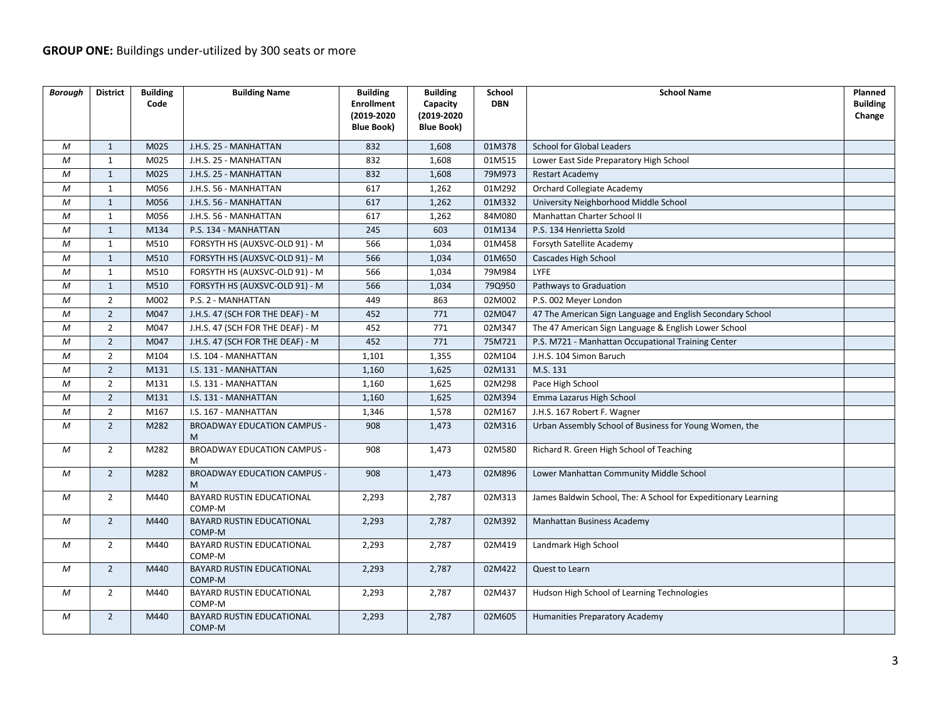| <b>Borough</b>   | <b>District</b> | <b>Building</b><br>Code | <b>Building Name</b>                    | <b>Building</b><br><b>Enrollment</b><br>(2019-2020<br><b>Blue Book)</b> | <b>Building</b><br>Capacity<br>(2019-2020<br><b>Blue Book)</b> | School<br><b>DBN</b> | <b>School Name</b>                                             | Planned<br><b>Building</b><br>Change |
|------------------|-----------------|-------------------------|-----------------------------------------|-------------------------------------------------------------------------|----------------------------------------------------------------|----------------------|----------------------------------------------------------------|--------------------------------------|
| M                | $\mathbf{1}$    | M025                    | J.H.S. 25 - MANHATTAN                   | 832                                                                     | 1,608                                                          | 01M378               | <b>School for Global Leaders</b>                               |                                      |
| М                | $\mathbf{1}$    | M025                    | J.H.S. 25 - MANHATTAN                   | 832                                                                     | 1,608                                                          | 01M515               | Lower East Side Preparatory High School                        |                                      |
| M                | 1               | M025                    | J.H.S. 25 - MANHATTAN                   | 832                                                                     | 1,608                                                          | 79M973               | <b>Restart Academy</b>                                         |                                      |
| M                | 1               | M056                    | J.H.S. 56 - MANHATTAN                   | 617                                                                     | 1,262                                                          | 01M292               | Orchard Collegiate Academy                                     |                                      |
| M                | $\mathbf{1}$    | M056                    | J.H.S. 56 - MANHATTAN                   | 617                                                                     | 1,262                                                          | 01M332               | University Neighborhood Middle School                          |                                      |
| M                | $\mathbf{1}$    | M056                    | J.H.S. 56 - MANHATTAN                   | 617                                                                     | 1,262                                                          | 84M080               | Manhattan Charter School II                                    |                                      |
| M                | $\mathbf{1}$    | M134                    | P.S. 134 - MANHATTAN                    | 245                                                                     | 603                                                            | 01M134               | P.S. 134 Henrietta Szold                                       |                                      |
| M                | $\mathbf{1}$    | M510                    | FORSYTH HS (AUXSVC-OLD 91) - M          | 566                                                                     | 1,034                                                          | 01M458               | Forsyth Satellite Academy                                      |                                      |
| M                | $\mathbf{1}$    | M510                    | FORSYTH HS (AUXSVC-OLD 91) - M          | 566                                                                     | 1,034                                                          | 01M650               | Cascades High School                                           |                                      |
| М                | $\mathbf{1}$    | M510                    | FORSYTH HS (AUXSVC-OLD 91) - M          | 566                                                                     | 1,034                                                          | 79M984               | LYFE                                                           |                                      |
| M                | $\mathbf{1}$    | M510                    | FORSYTH HS (AUXSVC-OLD 91) - M          | 566                                                                     | 1,034                                                          | 79Q950               | Pathways to Graduation                                         |                                      |
| M                | $\overline{2}$  | M002                    | P.S. 2 - MANHATTAN                      | 449                                                                     | 863                                                            | 02M002               | P.S. 002 Meyer London                                          |                                      |
| M                | $\overline{2}$  | M047                    | J.H.S. 47 (SCH FOR THE DEAF) - M        | 452                                                                     | 771                                                            | 02M047               | 47 The American Sign Language and English Secondary School     |                                      |
| M                | $\overline{2}$  | M047                    | J.H.S. 47 (SCH FOR THE DEAF) - M        | 452                                                                     | 771                                                            | 02M347               | The 47 American Sign Language & English Lower School           |                                      |
| M                | $\overline{2}$  | M047                    | J.H.S. 47 (SCH FOR THE DEAF) - M        | 452                                                                     | 771                                                            | 75M721               | P.S. M721 - Manhattan Occupational Training Center             |                                      |
| M                | $\overline{2}$  | M104                    | I.S. 104 - MANHATTAN                    | 1,101                                                                   | 1,355                                                          | 02M104               | J.H.S. 104 Simon Baruch                                        |                                      |
| $\boldsymbol{M}$ | $\overline{2}$  | M131                    | I.S. 131 - MANHATTAN                    | 1,160                                                                   | 1,625                                                          | 02M131               | M.S. 131                                                       |                                      |
| М                | $\overline{2}$  | M131                    | I.S. 131 - MANHATTAN                    | 1,160                                                                   | 1,625                                                          | 02M298               | Pace High School                                               |                                      |
| M                | $\overline{2}$  | M131                    | I.S. 131 - MANHATTAN                    | 1,160                                                                   | 1,625                                                          | 02M394               | Emma Lazarus High School                                       |                                      |
| М                | $\overline{2}$  | M167                    | I.S. 167 - MANHATTAN                    | 1,346                                                                   | 1,578                                                          | 02M167               | J.H.S. 167 Robert F. Wagner                                    |                                      |
| M                | $\overline{2}$  | M282                    | <b>BROADWAY EDUCATION CAMPUS -</b><br>M | 908                                                                     | 1,473                                                          | 02M316               | Urban Assembly School of Business for Young Women, the         |                                      |
| M                | $\overline{2}$  | M282                    | <b>BROADWAY EDUCATION CAMPUS -</b><br>M | 908                                                                     | 1,473                                                          | 02M580               | Richard R. Green High School of Teaching                       |                                      |
| М                | $\overline{2}$  | M282                    | <b>BROADWAY EDUCATION CAMPUS -</b><br>M | 908                                                                     | 1,473                                                          | 02M896               | Lower Manhattan Community Middle School                        |                                      |
| M                | $\overline{2}$  | M440                    | BAYARD RUSTIN EDUCATIONAL<br>COMP-M     | 2,293                                                                   | 2,787                                                          | 02M313               | James Baldwin School, The: A School for Expeditionary Learning |                                      |
| М                | $\overline{2}$  | M440                    | BAYARD RUSTIN EDUCATIONAL<br>COMP-M     | 2,293                                                                   | 2,787                                                          | 02M392               | Manhattan Business Academy                                     |                                      |
| М                | $\overline{2}$  | M440                    | BAYARD RUSTIN EDUCATIONAL<br>COMP-M     | 2,293                                                                   | 2,787                                                          | 02M419               | Landmark High School                                           |                                      |
| М                | $\overline{2}$  | M440                    | BAYARD RUSTIN EDUCATIONAL<br>COMP-M     | 2,293                                                                   | 2,787                                                          | 02M422               | Quest to Learn                                                 |                                      |
| M                | $\overline{2}$  | M440                    | BAYARD RUSTIN EDUCATIONAL<br>COMP-M     | 2,293                                                                   | 2,787                                                          | 02M437               | Hudson High School of Learning Technologies                    |                                      |
| М                | $\overline{2}$  | M440                    | BAYARD RUSTIN EDUCATIONAL<br>COMP-M     | 2,293                                                                   | 2,787                                                          | 02M605               | Humanities Preparatory Academy                                 |                                      |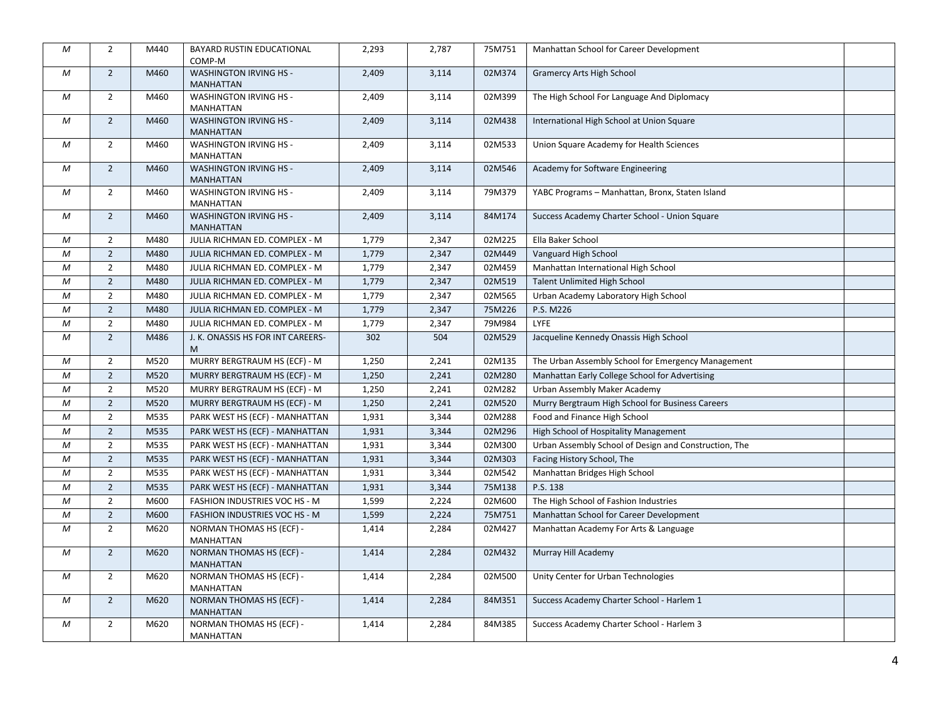| M                | $\overline{2}$ | M440 | BAYARD RUSTIN EDUCATIONAL<br>COMP-M               | 2,293 | 2,787 | 75M751 | Manhattan School for Career Development               |  |
|------------------|----------------|------|---------------------------------------------------|-------|-------|--------|-------------------------------------------------------|--|
| М                | $\overline{2}$ | M460 | WASHINGTON IRVING HS -<br><b>MANHATTAN</b>        | 2,409 | 3,114 | 02M374 | <b>Gramercy Arts High School</b>                      |  |
| М                | $\overline{2}$ | M460 | <b>WASHINGTON IRVING HS -</b><br><b>MANHATTAN</b> | 2,409 | 3,114 | 02M399 | The High School For Language And Diplomacy            |  |
| М                | $\overline{2}$ | M460 | <b>WASHINGTON IRVING HS -</b><br><b>MANHATTAN</b> | 2,409 | 3,114 | 02M438 | International High School at Union Square             |  |
| М                | $2^{\circ}$    | M460 | <b>WASHINGTON IRVING HS -</b><br><b>MANHATTAN</b> | 2,409 | 3,114 | 02M533 | Union Square Academy for Health Sciences              |  |
| М                | $\overline{2}$ | M460 | <b>WASHINGTON IRVING HS -</b><br><b>MANHATTAN</b> | 2,409 | 3,114 | 02M546 | Academy for Software Engineering                      |  |
| М                | $\overline{2}$ | M460 | <b>WASHINGTON IRVING HS -</b><br>MANHATTAN        | 2,409 | 3,114 | 79M379 | YABC Programs - Manhattan, Bronx, Staten Island       |  |
| М                | $\overline{2}$ | M460 | <b>WASHINGTON IRVING HS -</b><br><b>MANHATTAN</b> | 2,409 | 3,114 | 84M174 | Success Academy Charter School - Union Square         |  |
| M                | $\overline{2}$ | M480 | JULIA RICHMAN ED. COMPLEX - M                     | 1,779 | 2,347 | 02M225 | Ella Baker School                                     |  |
| М                | $\overline{2}$ | M480 | JULIA RICHMAN ED. COMPLEX - M                     | 1,779 | 2,347 | 02M449 | Vanguard High School                                  |  |
| М                | $\overline{2}$ | M480 | JULIA RICHMAN ED. COMPLEX - M                     | 1,779 | 2,347 | 02M459 | Manhattan International High School                   |  |
| M                | $\mathbf 2$    | M480 | JULIA RICHMAN ED. COMPLEX - M                     | 1,779 | 2,347 | 02M519 | <b>Talent Unlimited High School</b>                   |  |
| М                | $\overline{2}$ | M480 | JULIA RICHMAN ED. COMPLEX - M                     | 1,779 | 2,347 | 02M565 | Urban Academy Laboratory High School                  |  |
| М                | $\overline{2}$ | M480 | JULIA RICHMAN ED. COMPLEX - M                     | 1,779 | 2,347 | 75M226 | P.S. M226                                             |  |
| M                | $\overline{2}$ | M480 | JULIA RICHMAN ED. COMPLEX - M                     | 1,779 | 2,347 | 79M984 | LYFE                                                  |  |
| М                | $\overline{2}$ | M486 | J. K. ONASSIS HS FOR INT CAREERS-<br>M            | 302   | 504   | 02M529 | Jacqueline Kennedy Onassis High School                |  |
| М                | $\overline{2}$ | M520 | MURRY BERGTRAUM HS (ECF) - M                      | 1,250 | 2,241 | 02M135 | The Urban Assembly School for Emergency Management    |  |
| M                | $\overline{2}$ | M520 | MURRY BERGTRAUM HS (ECF) - M                      | 1,250 | 2,241 | 02M280 | Manhattan Early College School for Advertising        |  |
| М                | $\overline{2}$ | M520 | MURRY BERGTRAUM HS (ECF) - M                      | 1,250 | 2,241 | 02M282 | Urban Assembly Maker Academy                          |  |
| M                | $\overline{2}$ | M520 | MURRY BERGTRAUM HS (ECF) - M                      | 1,250 | 2,241 | 02M520 | Murry Bergtraum High School for Business Careers      |  |
| M                | $\overline{2}$ | M535 | PARK WEST HS (ECF) - MANHATTAN                    | 1,931 | 3,344 | 02M288 | Food and Finance High School                          |  |
| М                | $\overline{2}$ | M535 | PARK WEST HS (ECF) - MANHATTAN                    | 1,931 | 3,344 | 02M296 | High School of Hospitality Management                 |  |
| М                | $\overline{2}$ | M535 | PARK WEST HS (ECF) - MANHATTAN                    | 1,931 | 3,344 | 02M300 | Urban Assembly School of Design and Construction, The |  |
| M                | $\overline{2}$ | M535 | PARK WEST HS (ECF) - MANHATTAN                    | 1,931 | 3,344 | 02M303 | Facing History School, The                            |  |
| М                | $\overline{2}$ | M535 | PARK WEST HS (ECF) - MANHATTAN                    | 1,931 | 3,344 | 02M542 | Manhattan Bridges High School                         |  |
| М                | $\overline{2}$ | M535 | PARK WEST HS (ECF) - MANHATTAN                    | 1,931 | 3,344 | 75M138 | P.S. 138                                              |  |
| $\boldsymbol{M}$ | $\overline{2}$ | M600 | FASHION INDUSTRIES VOC HS - M                     | 1,599 | 2,224 | 02M600 | The High School of Fashion Industries                 |  |
| М                | $\sqrt{2}$     | M600 | FASHION INDUSTRIES VOC HS - M                     | 1,599 | 2,224 | 75M751 | Manhattan School for Career Development               |  |
| М                | $\overline{2}$ | M620 | NORMAN THOMAS HS (ECF) -<br>MANHATTAN             | 1,414 | 2,284 | 02M427 | Manhattan Academy For Arts & Language                 |  |
| M                | $\overline{2}$ | M620 | NORMAN THOMAS HS (ECF) -<br>MANHATTAN             | 1,414 | 2,284 | 02M432 | Murray Hill Academy                                   |  |
| М                | $\overline{2}$ | M620 | NORMAN THOMAS HS (ECF) -<br>MANHATTAN             | 1,414 | 2,284 | 02M500 | Unity Center for Urban Technologies                   |  |
| М                | $\overline{2}$ | M620 | NORMAN THOMAS HS (ECF) -<br>MANHATTAN             | 1,414 | 2,284 | 84M351 | Success Academy Charter School - Harlem 1             |  |
| М                | $\overline{2}$ | M620 | NORMAN THOMAS HS (ECF) -<br>MANHATTAN             | 1,414 | 2,284 | 84M385 | Success Academy Charter School - Harlem 3             |  |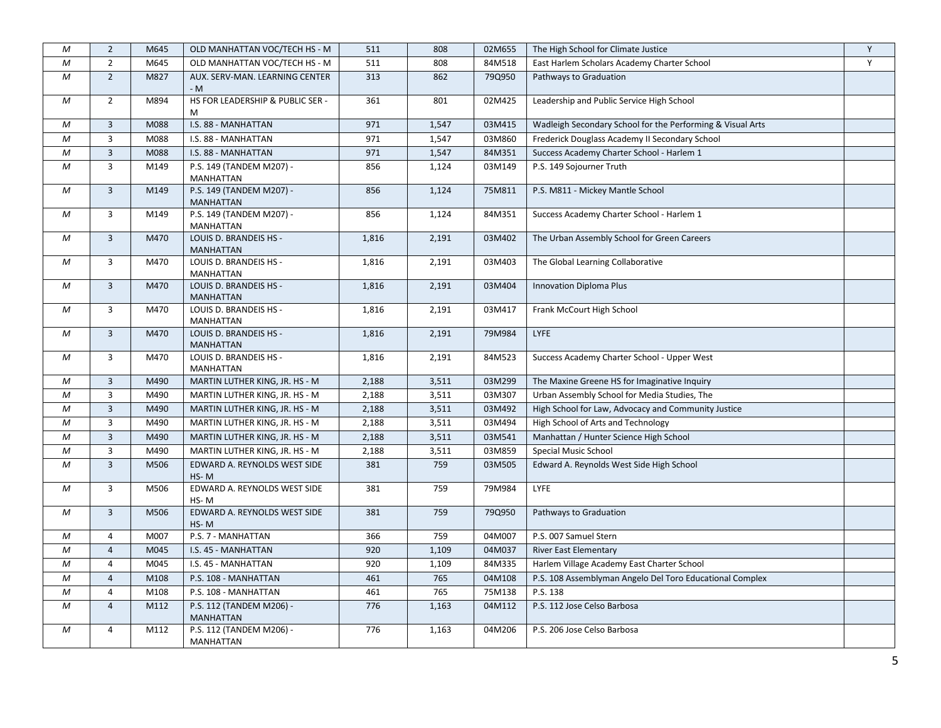| M          | $\overline{2}$          | M645 | OLD MANHATTAN VOC/TECH HS - M                | 511   | 808   | 02M655 | The High School for Climate Justice                        | Y |
|------------|-------------------------|------|----------------------------------------------|-------|-------|--------|------------------------------------------------------------|---|
| ${\cal M}$ | $\overline{2}$          | M645 | OLD MANHATTAN VOC/TECH HS - M                | 511   | 808   | 84M518 | East Harlem Scholars Academy Charter School                | Y |
| М          | $\overline{2}$          | M827 | AUX. SERV-MAN. LEARNING CENTER<br>- M        | 313   | 862   | 79Q950 | Pathways to Graduation                                     |   |
| М          | $\overline{2}$          | M894 | HS FOR LEADERSHIP & PUBLIC SER -<br>M        | 361   | 801   | 02M425 | Leadership and Public Service High School                  |   |
| М          | 3                       | M088 | I.S. 88 - MANHATTAN                          | 971   | 1,547 | 03M415 | Wadleigh Secondary School for the Performing & Visual Arts |   |
| $\cal M$   | 3                       | M088 | I.S. 88 - MANHATTAN                          | 971   | 1,547 | 03M860 | Frederick Douglass Academy II Secondary School             |   |
| М          | $\overline{\mathbf{3}}$ | M088 | I.S. 88 - MANHATTAN                          | 971   | 1,547 | 84M351 | Success Academy Charter School - Harlem 1                  |   |
| М          | 3                       | M149 | P.S. 149 (TANDEM M207) -<br><b>MANHATTAN</b> | 856   | 1,124 | 03M149 | P.S. 149 Sojourner Truth                                   |   |
| М          | $\overline{3}$          | M149 | P.S. 149 (TANDEM M207) -<br><b>MANHATTAN</b> | 856   | 1,124 | 75M811 | P.S. M811 - Mickey Mantle School                           |   |
| М          | 3                       | M149 | P.S. 149 (TANDEM M207) -<br><b>MANHATTAN</b> | 856   | 1,124 | 84M351 | Success Academy Charter School - Harlem 1                  |   |
| М          | $\overline{3}$          | M470 | LOUIS D. BRANDEIS HS -<br><b>MANHATTAN</b>   | 1,816 | 2,191 | 03M402 | The Urban Assembly School for Green Careers                |   |
| М          | 3                       | M470 | LOUIS D. BRANDEIS HS -<br><b>MANHATTAN</b>   | 1,816 | 2,191 | 03M403 | The Global Learning Collaborative                          |   |
| М          | $\overline{3}$          | M470 | LOUIS D. BRANDEIS HS -<br><b>MANHATTAN</b>   | 1,816 | 2,191 | 03M404 | <b>Innovation Diploma Plus</b>                             |   |
| М          | $\overline{3}$          | M470 | LOUIS D. BRANDEIS HS -<br><b>MANHATTAN</b>   | 1,816 | 2,191 | 03M417 | Frank McCourt High School                                  |   |
| М          | $\overline{3}$          | M470 | LOUIS D. BRANDEIS HS -<br><b>MANHATTAN</b>   | 1,816 | 2,191 | 79M984 | <b>LYFE</b>                                                |   |
| M          | 3                       | M470 | LOUIS D. BRANDEIS HS -<br><b>MANHATTAN</b>   | 1,816 | 2,191 | 84M523 | Success Academy Charter School - Upper West                |   |
| М          | 3                       | M490 | MARTIN LUTHER KING, JR. HS - M               | 2,188 | 3,511 | 03M299 | The Maxine Greene HS for Imaginative Inquiry               |   |
| M          | $\overline{3}$          | M490 | MARTIN LUTHER KING, JR. HS - M               | 2,188 | 3,511 | 03M307 | Urban Assembly School for Media Studies, The               |   |
| М          | $\overline{3}$          | M490 | MARTIN LUTHER KING, JR. HS - M               | 2,188 | 3,511 | 03M492 | High School for Law, Advocacy and Community Justice        |   |
| M          | $\overline{3}$          | M490 | MARTIN LUTHER KING, JR. HS - M               | 2,188 | 3,511 | 03M494 | High School of Arts and Technology                         |   |
| М          | $\overline{\mathbf{3}}$ | M490 | MARTIN LUTHER KING, JR. HS - M               | 2,188 | 3,511 | 03M541 | Manhattan / Hunter Science High School                     |   |
| М          | 3                       | M490 | MARTIN LUTHER KING, JR. HS - M               | 2,188 | 3,511 | 03M859 | Special Music School                                       |   |
| М          | $\overline{3}$          | M506 | EDWARD A. REYNOLDS WEST SIDE<br>HS-M         | 381   | 759   | 03M505 | Edward A. Reynolds West Side High School                   |   |
| М          | 3                       | M506 | EDWARD A. REYNOLDS WEST SIDE<br>HS-M         | 381   | 759   | 79M984 | <b>LYFE</b>                                                |   |
| М          | $\overline{3}$          | M506 | EDWARD A. REYNOLDS WEST SIDE<br>HS-M         | 381   | 759   | 79Q950 | Pathways to Graduation                                     |   |
| M          | $\overline{4}$          | M007 | P.S. 7 - MANHATTAN                           | 366   | 759   | 04M007 | P.S. 007 Samuel Stern                                      |   |
| М          | $\overline{4}$          | M045 | I.S. 45 - MANHATTAN                          | 920   | 1,109 | 04M037 | <b>River East Elementary</b>                               |   |
| М          | 4                       | M045 | I.S. 45 - MANHATTAN                          | 920   | 1,109 | 84M335 | Harlem Village Academy East Charter School                 |   |
| М          | $\overline{4}$          | M108 | P.S. 108 - MANHATTAN                         | 461   | 765   | 04M108 | P.S. 108 Assemblyman Angelo Del Toro Educational Complex   |   |
| М          | $\overline{4}$          | M108 | P.S. 108 - MANHATTAN                         | 461   | 765   | 75M138 | P.S. 138                                                   |   |
| М          | $\overline{4}$          | M112 | P.S. 112 (TANDEM M206) -<br><b>MANHATTAN</b> | 776   | 1,163 | 04M112 | P.S. 112 Jose Celso Barbosa                                |   |
| M          | $\overline{4}$          | M112 | P.S. 112 (TANDEM M206) -<br>MANHATTAN        | 776   | 1,163 | 04M206 | P.S. 206 Jose Celso Barbosa                                |   |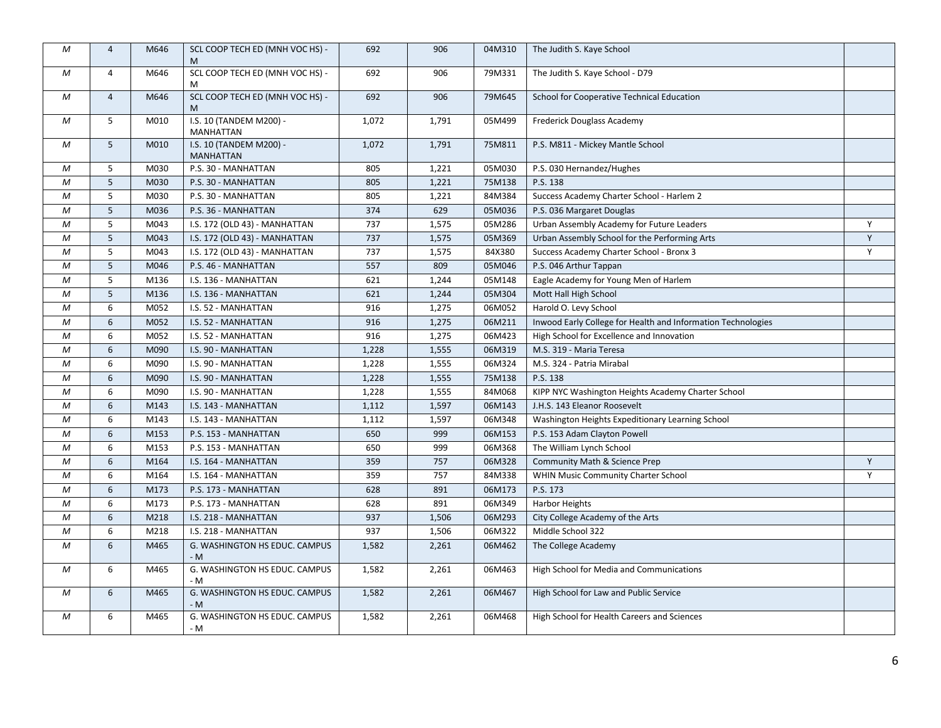| М                | $\overline{4}$ | M646 | SCL COOP TECH ED (MNH VOC HS) -<br>M        | 692   | 906   | 04M310 | The Judith S. Kaye School                                    |              |
|------------------|----------------|------|---------------------------------------------|-------|-------|--------|--------------------------------------------------------------|--------------|
| М                | 4              | M646 | SCL COOP TECH ED (MNH VOC HS) -<br>м        | 692   | 906   | 79M331 | The Judith S. Kaye School - D79                              |              |
| М                | $\overline{4}$ | M646 | SCL COOP TECH ED (MNH VOC HS) -<br>M        | 692   | 906   | 79M645 | School for Cooperative Technical Education                   |              |
| М                | 5              | M010 | I.S. 10 (TANDEM M200) -<br>MANHATTAN        | 1,072 | 1,791 | 05M499 | Frederick Douglass Academy                                   |              |
| М                | 5              | M010 | I.S. 10 (TANDEM M200) -<br><b>MANHATTAN</b> | 1,072 | 1,791 | 75M811 | P.S. M811 - Mickey Mantle School                             |              |
| М                | 5              | M030 | P.S. 30 - MANHATTAN                         | 805   | 1,221 | 05M030 | P.S. 030 Hernandez/Hughes                                    |              |
| М                | 5              | M030 | P.S. 30 - MANHATTAN                         | 805   | 1,221 | 75M138 | P.S. 138                                                     |              |
| М                | 5              | M030 | P.S. 30 - MANHATTAN                         | 805   | 1,221 | 84M384 | Success Academy Charter School - Harlem 2                    |              |
| M                | 5              | M036 | P.S. 36 - MANHATTAN                         | 374   | 629   | 05M036 | P.S. 036 Margaret Douglas                                    |              |
| М                | 5              | M043 | I.S. 172 (OLD 43) - MANHATTAN               | 737   | 1,575 | 05M286 | Urban Assembly Academy for Future Leaders                    | Y            |
| М                | 5              | M043 | I.S. 172 (OLD 43) - MANHATTAN               | 737   | 1,575 | 05M369 | Urban Assembly School for the Performing Arts                | Y            |
| М                | 5              | M043 | I.S. 172 (OLD 43) - MANHATTAN               | 737   | 1,575 | 84X380 | Success Academy Charter School - Bronx 3                     | $\mathsf{Y}$ |
| M                | 5              | M046 | P.S. 46 - MANHATTAN                         | 557   | 809   | 05M046 | P.S. 046 Arthur Tappan                                       |              |
| $\boldsymbol{M}$ | 5              | M136 | I.S. 136 - MANHATTAN                        | 621   | 1,244 | 05M148 | Eagle Academy for Young Men of Harlem                        |              |
| $\mathcal M$     | 5              | M136 | I.S. 136 - MANHATTAN                        | 621   | 1,244 | 05M304 | Mott Hall High School                                        |              |
| М                | 6              | M052 | I.S. 52 - MANHATTAN                         | 916   | 1,275 | 06M052 | Harold O. Levy School                                        |              |
| М                | 6              | M052 | I.S. 52 - MANHATTAN                         | 916   | 1,275 | 06M211 | Inwood Early College for Health and Information Technologies |              |
| M                | 6              | M052 | I.S. 52 - MANHATTAN                         | 916   | 1,275 | 06M423 | High School for Excellence and Innovation                    |              |
| M                | 6              | M090 | I.S. 90 - MANHATTAN                         | 1,228 | 1,555 | 06M319 | M.S. 319 - Maria Teresa                                      |              |
| M                | 6              | M090 | I.S. 90 - MANHATTAN                         | 1,228 | 1,555 | 06M324 | M.S. 324 - Patria Mirabal                                    |              |
| М                | 6              | M090 | I.S. 90 - MANHATTAN                         | 1,228 | 1,555 | 75M138 | P.S. 138                                                     |              |
| M                | 6              | M090 | I.S. 90 - MANHATTAN                         | 1,228 | 1,555 | 84M068 | KIPP NYC Washington Heights Academy Charter School           |              |
| M                | 6              | M143 | I.S. 143 - MANHATTAN                        | 1,112 | 1,597 | 06M143 | J.H.S. 143 Eleanor Roosevelt                                 |              |
| M                | 6              | M143 | I.S. 143 - MANHATTAN                        | 1,112 | 1,597 | 06M348 | Washington Heights Expeditionary Learning School             |              |
| М                | 6              | M153 | P.S. 153 - MANHATTAN                        | 650   | 999   | 06M153 | P.S. 153 Adam Clayton Powell                                 |              |
| M                | 6              | M153 | P.S. 153 - MANHATTAN                        | 650   | 999   | 06M368 | The William Lynch School                                     |              |
| M                | 6              | M164 | I.S. 164 - MANHATTAN                        | 359   | 757   | 06M328 | Community Math & Science Prep                                | Y            |
| М                | 6              | M164 | I.S. 164 - MANHATTAN                        | 359   | 757   | 84M338 | WHIN Music Community Charter School                          | Y            |
| М                | 6              | M173 | P.S. 173 - MANHATTAN                        | 628   | 891   | 06M173 | P.S. 173                                                     |              |
| М                | 6              | M173 | P.S. 173 - MANHATTAN                        | 628   | 891   | 06M349 | <b>Harbor Heights</b>                                        |              |
| М                | 6              | M218 | I.S. 218 - MANHATTAN                        | 937   | 1,506 | 06M293 | City College Academy of the Arts                             |              |
| М                | 6              | M218 | I.S. 218 - MANHATTAN                        | 937   | 1,506 | 06M322 | Middle School 322                                            |              |
| М                | 6              | M465 | G. WASHINGTON HS EDUC. CAMPUS<br>- M        | 1,582 | 2,261 | 06M462 | The College Academy                                          |              |
| М                | 6              | M465 | G. WASHINGTON HS EDUC. CAMPUS<br>- M        | 1,582 | 2,261 | 06M463 | High School for Media and Communications                     |              |
| М                | 6              | M465 | G. WASHINGTON HS EDUC. CAMPUS<br>- M        | 1,582 | 2,261 | 06M467 | High School for Law and Public Service                       |              |
| М                | 6              | M465 | G. WASHINGTON HS EDUC. CAMPUS<br>- M        | 1,582 | 2,261 | 06M468 | High School for Health Careers and Sciences                  |              |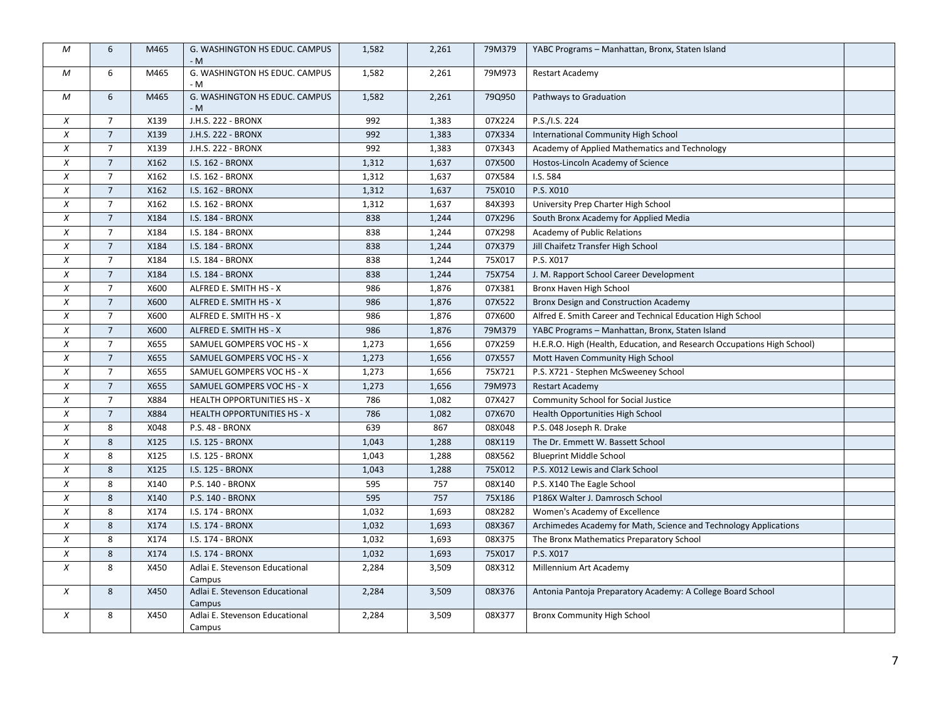| M                | 6               | M465 | G. WASHINGTON HS EDUC. CAMPUS<br>- M     | 1,582 | 2,261 | 79M379 | YABC Programs - Manhattan, Bronx, Staten Island                         |  |
|------------------|-----------------|------|------------------------------------------|-------|-------|--------|-------------------------------------------------------------------------|--|
| М                | 6               | M465 | G. WASHINGTON HS EDUC. CAMPUS<br>- M     | 1,582 | 2,261 | 79M973 | <b>Restart Academy</b>                                                  |  |
| М                | 6               | M465 | G. WASHINGTON HS EDUC. CAMPUS<br>- M     | 1,582 | 2,261 | 79Q950 | Pathways to Graduation                                                  |  |
| $\boldsymbol{x}$ | $\overline{7}$  | X139 | J.H.S. 222 - BRONX                       | 992   | 1,383 | 07X224 | P.S./I.S. 224                                                           |  |
| $\boldsymbol{x}$ | $\overline{7}$  | X139 | J.H.S. 222 - BRONX                       | 992   | 1,383 | 07X334 | International Community High School                                     |  |
| $\chi$           | $7\overline{ }$ | X139 | J.H.S. 222 - BRONX                       | 992   | 1,383 | 07X343 | Academy of Applied Mathematics and Technology                           |  |
| $\chi$           | $\overline{7}$  | X162 | I.S. 162 - BRONX                         | 1,312 | 1,637 | 07X500 | Hostos-Lincoln Academy of Science                                       |  |
| $\chi$           | $\overline{7}$  | X162 | I.S. 162 - BRONX                         | 1,312 | 1,637 | 07X584 | I.S. 584                                                                |  |
| $\chi$           | $\overline{7}$  | X162 | I.S. 162 - BRONX                         | 1,312 | 1,637 | 75X010 | P.S. X010                                                               |  |
| $\chi$           | $\overline{7}$  | X162 | I.S. 162 - BRONX                         | 1,312 | 1,637 | 84X393 | University Prep Charter High School                                     |  |
| $\chi$           | $\overline{7}$  | X184 | I.S. 184 - BRONX                         | 838   | 1,244 | 07X296 | South Bronx Academy for Applied Media                                   |  |
| X                | $\overline{7}$  | X184 | I.S. 184 - BRONX                         | 838   | 1,244 | 07X298 | Academy of Public Relations                                             |  |
| $\chi$           | $\overline{7}$  | X184 | I.S. 184 - BRONX                         | 838   | 1,244 | 07X379 | Jill Chaifetz Transfer High School                                      |  |
| $\chi$           | $\overline{7}$  | X184 | I.S. 184 - BRONX                         | 838   | 1,244 | 75X017 | P.S. X017                                                               |  |
| $\boldsymbol{X}$ | $\overline{7}$  | X184 | I.S. 184 - BRONX                         | 838   | 1,244 | 75X754 | J. M. Rapport School Career Development                                 |  |
| $\chi$           | $\overline{7}$  | X600 | ALFRED E. SMITH HS - X                   | 986   | 1,876 | 07X381 | Bronx Haven High School                                                 |  |
| $\chi$           | $\overline{7}$  | X600 | ALFRED E. SMITH HS - X                   | 986   | 1,876 | 07X522 | Bronx Design and Construction Academy                                   |  |
| X                | $\overline{7}$  | X600 | ALFRED E. SMITH HS - X                   | 986   | 1,876 | 07X600 | Alfred E. Smith Career and Technical Education High School              |  |
| $\chi$           | $\overline{7}$  | X600 | ALFRED E. SMITH HS - X                   | 986   | 1,876 | 79M379 | YABC Programs - Manhattan, Bronx, Staten Island                         |  |
| X                | $\overline{7}$  | X655 | SAMUEL GOMPERS VOC HS - X                | 1,273 | 1,656 | 07X259 | H.E.R.O. High (Health, Education, and Research Occupations High School) |  |
| $\chi$           | $\overline{7}$  | X655 | SAMUEL GOMPERS VOC HS - X                | 1,273 | 1,656 | 07X557 | Mott Haven Community High School                                        |  |
| $\chi$           | $\overline{7}$  | X655 | SAMUEL GOMPERS VOC HS - X                | 1,273 | 1,656 | 75X721 | P.S. X721 - Stephen McSweeney School                                    |  |
| $\chi$           | $\overline{7}$  | X655 | SAMUEL GOMPERS VOC HS - X                | 1,273 | 1,656 | 79M973 | <b>Restart Academy</b>                                                  |  |
| $\boldsymbol{X}$ | $7\overline{ }$ | X884 | <b>HEALTH OPPORTUNITIES HS - X</b>       | 786   | 1,082 | 07X427 | Community School for Social Justice                                     |  |
| $\chi$           | $\overline{7}$  | X884 | <b>HEALTH OPPORTUNITIES HS - X</b>       | 786   | 1,082 | 07X670 | Health Opportunities High School                                        |  |
| $\chi$           | 8               | X048 | P.S. 48 - BRONX                          | 639   | 867   | 08X048 | P.S. 048 Joseph R. Drake                                                |  |
| $\chi$           | 8               | X125 | I.S. 125 - BRONX                         | 1,043 | 1,288 | 08X119 | The Dr. Emmett W. Bassett School                                        |  |
| $\boldsymbol{x}$ | 8               | X125 | I.S. 125 - BRONX                         | 1,043 | 1,288 | 08X562 | <b>Blueprint Middle School</b>                                          |  |
| $\chi$           | 8               | X125 | I.S. 125 - BRONX                         | 1,043 | 1,288 | 75X012 | P.S. X012 Lewis and Clark School                                        |  |
| $\chi$           | 8               | X140 | P.S. 140 - BRONX                         | 595   | 757   | 08X140 | P.S. X140 The Eagle School                                              |  |
| $\chi$           | 8               | X140 | P.S. 140 - BRONX                         | 595   | 757   | 75X186 | P186X Walter J. Damrosch School                                         |  |
| $\chi$           | 8               | X174 | I.S. 174 - BRONX                         | 1,032 | 1,693 | 08X282 | Women's Academy of Excellence                                           |  |
| $\chi$           | 8               | X174 | I.S. 174 - BRONX                         | 1,032 | 1,693 | 08X367 | Archimedes Academy for Math, Science and Technology Applications        |  |
| $\chi$           | 8               | X174 | I.S. 174 - BRONX                         | 1,032 | 1,693 | 08X375 | The Bronx Mathematics Preparatory School                                |  |
| $\chi$           | 8               | X174 | I.S. 174 - BRONX                         | 1,032 | 1,693 | 75X017 | P.S. X017                                                               |  |
| $\chi$           | 8               | X450 | Adlai E. Stevenson Educational<br>Campus | 2,284 | 3,509 | 08X312 | Millennium Art Academy                                                  |  |
| $\chi$           | 8               | X450 | Adlai E. Stevenson Educational<br>Campus | 2,284 | 3,509 | 08X376 | Antonia Pantoja Preparatory Academy: A College Board School             |  |
| $\chi$           | 8               | X450 | Adlai E. Stevenson Educational<br>Campus | 2,284 | 3,509 | 08X377 | <b>Bronx Community High School</b>                                      |  |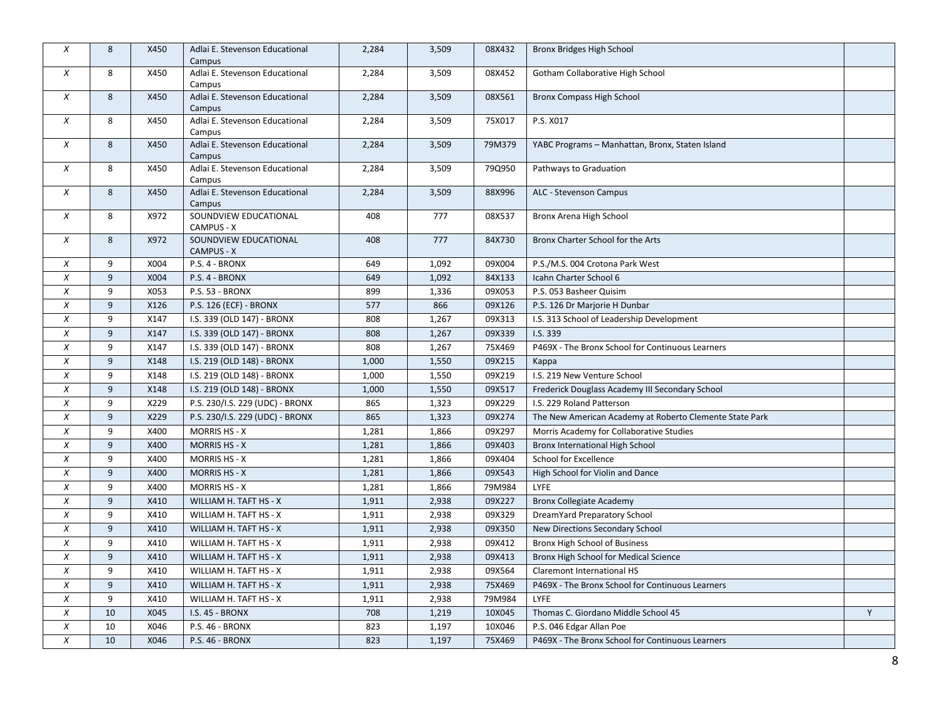| X                | 8  | X450 | Adlai E. Stevenson Educational<br>Campus | 2,284 | 3,509 | 08X432 | Bronx Bridges High School                               |   |
|------------------|----|------|------------------------------------------|-------|-------|--------|---------------------------------------------------------|---|
| X                | 8  | X450 | Adlai E. Stevenson Educational<br>Campus | 2,284 | 3,509 | 08X452 | Gotham Collaborative High School                        |   |
| X                | 8  | X450 | Adlai E. Stevenson Educational<br>Campus | 2,284 | 3,509 | 08X561 | <b>Bronx Compass High School</b>                        |   |
| $\chi$           | 8  | X450 | Adlai E. Stevenson Educational<br>Campus | 2,284 | 3,509 | 75X017 | P.S. X017                                               |   |
| $\boldsymbol{x}$ | 8  | X450 | Adlai E. Stevenson Educational<br>Campus | 2,284 | 3,509 | 79M379 | YABC Programs - Manhattan, Bronx, Staten Island         |   |
| X                | 8  | X450 | Adlai E. Stevenson Educational<br>Campus | 2,284 | 3,509 | 79Q950 | Pathways to Graduation                                  |   |
| $\chi$           | 8  | X450 | Adlai E. Stevenson Educational<br>Campus | 2,284 | 3,509 | 88X996 | ALC - Stevenson Campus                                  |   |
| $\chi$           | 8  | X972 | SOUNDVIEW EDUCATIONAL<br>CAMPUS - X      | 408   | 777   | 08X537 | Bronx Arena High School                                 |   |
| $\chi$           | 8  | X972 | SOUNDVIEW EDUCATIONAL<br>CAMPUS - X      | 408   | 777   | 84X730 | Bronx Charter School for the Arts                       |   |
| X                | 9  | X004 | P.S. 4 - BRONX                           | 649   | 1,092 | 09X004 | P.S./M.S. 004 Crotona Park West                         |   |
| X                | 9  | X004 | P.S. 4 - BRONX                           | 649   | 1,092 | 84X133 | Icahn Charter School 6                                  |   |
| X                | 9  | X053 | P.S. 53 - BRONX                          | 899   | 1,336 | 09X053 | P.S. 053 Basheer Quisim                                 |   |
| X                | 9  | X126 | P.S. 126 (ECF) - BRONX                   | 577   | 866   | 09X126 | P.S. 126 Dr Marjorie H Dunbar                           |   |
| $\chi$           | 9  | X147 | I.S. 339 (OLD 147) - BRONX               | 808   | 1,267 | 09X313 | I.S. 313 School of Leadership Development               |   |
| $\chi$           | 9  | X147 | I.S. 339 (OLD 147) - BRONX               | 808   | 1,267 | 09X339 | I.S. 339                                                |   |
| $\chi$           | 9  | X147 | I.S. 339 (OLD 147) - BRONX               | 808   | 1,267 | 75X469 | P469X - The Bronx School for Continuous Learners        |   |
| X                | 9  | X148 | I.S. 219 (OLD 148) - BRONX               | 1,000 | 1,550 | 09X215 | Kappa                                                   |   |
| X                | 9  | X148 | I.S. 219 (OLD 148) - BRONX               | 1,000 | 1,550 | 09X219 | I.S. 219 New Venture School                             |   |
| $\chi$           | 9  | X148 | I.S. 219 (OLD 148) - BRONX               | 1,000 | 1,550 | 09X517 | Frederick Douglass Academy III Secondary School         |   |
| $\chi$           | 9  | X229 | P.S. 230/I.S. 229 (UDC) - BRONX          | 865   | 1,323 | 09X229 | I.S. 229 Roland Patterson                               |   |
| X                | 9  | X229 | P.S. 230/I.S. 229 (UDC) - BRONX          | 865   | 1,323 | 09X274 | The New American Academy at Roberto Clemente State Park |   |
| X                | 9  | X400 | <b>MORRIS HS - X</b>                     | 1,281 | 1,866 | 09X297 | Morris Academy for Collaborative Studies                |   |
| X                | 9  | X400 | <b>MORRIS HS - X</b>                     | 1,281 | 1,866 | 09X403 | Bronx International High School                         |   |
| $\chi$           | 9  | X400 | <b>MORRIS HS - X</b>                     | 1,281 | 1,866 | 09X404 | School for Excellence                                   |   |
| X                | 9  | X400 | <b>MORRIS HS - X</b>                     | 1,281 | 1,866 | 09X543 | High School for Violin and Dance                        |   |
| $\chi$           | 9  | X400 | <b>MORRIS HS - X</b>                     | 1,281 | 1,866 | 79M984 | LYFE                                                    |   |
| X                | 9  | X410 | WILLIAM H. TAFT HS - X                   | 1,911 | 2,938 | 09X227 | <b>Bronx Collegiate Academy</b>                         |   |
| X                | 9  | X410 | WILLIAM H. TAFT HS - X                   | 1,911 | 2,938 | 09X329 | DreamYard Preparatory School                            |   |
| $\chi$           | 9  | X410 | WILLIAM H. TAFT HS - X                   | 1,911 | 2,938 | 09X350 | New Directions Secondary School                         |   |
| $\chi$           | 9  | X410 | WILLIAM H. TAFT HS - X                   | 1,911 | 2,938 | 09X412 | Bronx High School of Business                           |   |
| X                | 9  | X410 | WILLIAM H. TAFT HS - X                   | 1,911 | 2,938 | 09X413 | Bronx High School for Medical Science                   |   |
| X                | 9  | X410 | WILLIAM H. TAFT HS - X                   | 1,911 | 2,938 | 09X564 | Claremont International HS                              |   |
| $\chi$           | 9  | X410 | WILLIAM H. TAFT HS - X                   | 1,911 | 2,938 | 75X469 | P469X - The Bronx School for Continuous Learners        |   |
| X                | 9  | X410 | WILLIAM H. TAFT HS - X                   | 1,911 | 2,938 | 79M984 | LYFE                                                    |   |
| $\chi$           | 10 | X045 | I.S. 45 - BRONX                          | 708   | 1,219 | 10X045 | Thomas C. Giordano Middle School 45                     | Y |
| $\chi$           | 10 | X046 | P.S. 46 - BRONX                          | 823   | 1,197 | 10X046 | P.S. 046 Edgar Allan Poe                                |   |
| X                | 10 | X046 | P.S. 46 - BRONX                          | 823   | 1,197 | 75X469 | P469X - The Bronx School for Continuous Learners        |   |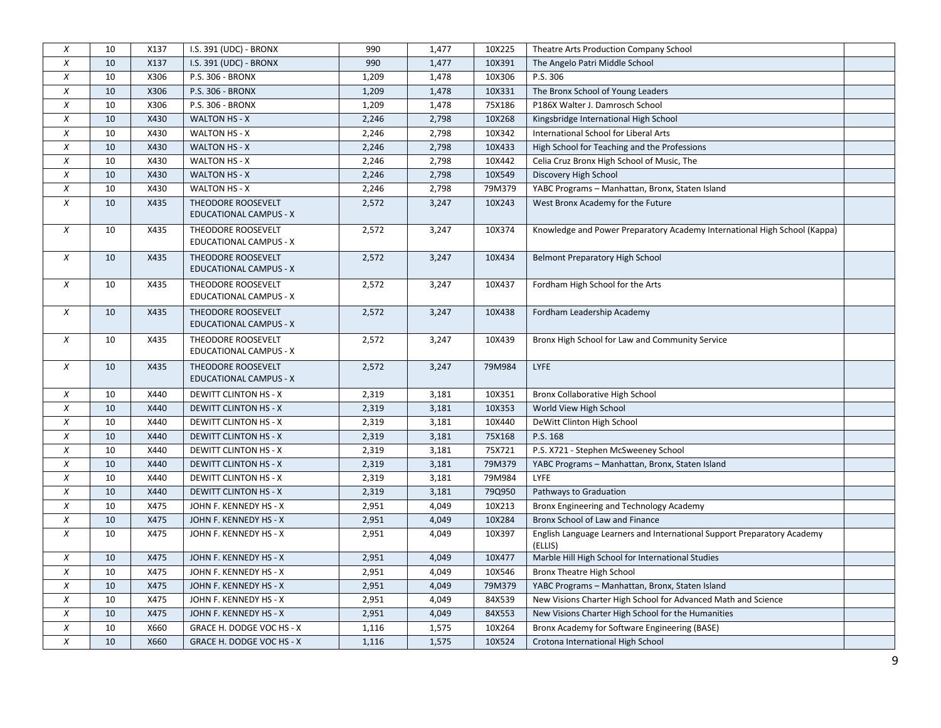| $\boldsymbol{x}$ | 10 | X137 | I.S. 391 (UDC) - BRONX                              | 990   | 1,477 | 10X225 | Theatre Arts Production Company School                                             |  |
|------------------|----|------|-----------------------------------------------------|-------|-------|--------|------------------------------------------------------------------------------------|--|
| $\chi$           | 10 | X137 | I.S. 391 (UDC) - BRONX                              | 990   | 1,477 | 10X391 | The Angelo Patri Middle School                                                     |  |
| $\chi$           | 10 | X306 | P.S. 306 - BRONX                                    | 1,209 | 1,478 | 10X306 | P.S. 306                                                                           |  |
| X                | 10 | X306 | P.S. 306 - BRONX                                    | 1,209 | 1,478 | 10X331 | The Bronx School of Young Leaders                                                  |  |
| $\chi$           | 10 | X306 | P.S. 306 - BRONX                                    | 1,209 | 1,478 | 75X186 | P186X Walter J. Damrosch School                                                    |  |
| $\chi$           | 10 | X430 | <b>WALTON HS - X</b>                                | 2,246 | 2,798 | 10X268 | Kingsbridge International High School                                              |  |
| $\chi$           | 10 | X430 | WALTON HS - X                                       | 2,246 | 2,798 | 10X342 | International School for Liberal Arts                                              |  |
| $\chi$           | 10 | X430 | WALTON HS - X                                       | 2,246 | 2,798 | 10X433 | High School for Teaching and the Professions                                       |  |
| $\chi$           | 10 | X430 | <b>WALTON HS - X</b>                                | 2,246 | 2,798 | 10X442 | Celia Cruz Bronx High School of Music, The                                         |  |
| $\chi$           | 10 | X430 | <b>WALTON HS - X</b>                                | 2,246 | 2,798 | 10X549 | Discovery High School                                                              |  |
| $\boldsymbol{X}$ | 10 | X430 | WALTON HS - X                                       | 2,246 | 2,798 | 79M379 | YABC Programs - Manhattan, Bronx, Staten Island                                    |  |
| $\chi$           | 10 | X435 | THEODORE ROOSEVELT<br><b>EDUCATIONAL CAMPUS - X</b> | 2,572 | 3,247 | 10X243 | West Bronx Academy for the Future                                                  |  |
| $\chi$           | 10 | X435 | THEODORE ROOSEVELT<br>EDUCATIONAL CAMPUS - X        | 2,572 | 3,247 | 10X374 | Knowledge and Power Preparatory Academy International High School (Kappa)          |  |
| $\chi$           | 10 | X435 | THEODORE ROOSEVELT<br>EDUCATIONAL CAMPUS - X        | 2,572 | 3,247 | 10X434 | Belmont Preparatory High School                                                    |  |
| $\chi$           | 10 | X435 | THEODORE ROOSEVELT<br>EDUCATIONAL CAMPUS - X        | 2,572 | 3,247 | 10X437 | Fordham High School for the Arts                                                   |  |
| $\chi$           | 10 | X435 | THEODORE ROOSEVELT<br><b>EDUCATIONAL CAMPUS - X</b> | 2,572 | 3,247 | 10X438 | Fordham Leadership Academy                                                         |  |
| $\boldsymbol{X}$ | 10 | X435 | THEODORE ROOSEVELT<br>EDUCATIONAL CAMPUS - X        | 2,572 | 3,247 | 10X439 | Bronx High School for Law and Community Service                                    |  |
| $\chi$           | 10 | X435 | THEODORE ROOSEVELT<br>EDUCATIONAL CAMPUS - X        | 2,572 | 3,247 | 79M984 | LYFE                                                                               |  |
| $\chi$           | 10 | X440 | <b>DEWITT CLINTON HS - X</b>                        | 2,319 | 3,181 | 10X351 | Bronx Collaborative High School                                                    |  |
| $\chi$           | 10 | X440 | <b>DEWITT CLINTON HS - X</b>                        | 2,319 | 3,181 | 10X353 | World View High School                                                             |  |
| $\chi$           | 10 | X440 | <b>DEWITT CLINTON HS - X</b>                        | 2,319 | 3,181 | 10X440 | DeWitt Clinton High School                                                         |  |
| $\chi$           | 10 | X440 | <b>DEWITT CLINTON HS - X</b>                        | 2,319 | 3,181 | 75X168 | P.S. 168                                                                           |  |
| $\boldsymbol{X}$ | 10 | X440 | <b>DEWITT CLINTON HS - X</b>                        | 2,319 | 3,181 | 75X721 | P.S. X721 - Stephen McSweeney School                                               |  |
| $\chi$           | 10 | X440 | <b>DEWITT CLINTON HS - X</b>                        | 2,319 | 3,181 | 79M379 | YABC Programs - Manhattan, Bronx, Staten Island                                    |  |
| $\chi$           | 10 | X440 | <b>DEWITT CLINTON HS - X</b>                        | 2,319 | 3,181 | 79M984 | LYFE                                                                               |  |
| $\boldsymbol{X}$ | 10 | X440 | <b>DEWITT CLINTON HS - X</b>                        | 2,319 | 3,181 | 79Q950 | Pathways to Graduation                                                             |  |
| $\chi$           | 10 | X475 | JOHN F. KENNEDY HS - X                              | 2,951 | 4,049 | 10X213 | Bronx Engineering and Technology Academy                                           |  |
| $\chi$           | 10 | X475 | JOHN F. KENNEDY HS - X                              | 2,951 | 4,049 | 10X284 | Bronx School of Law and Finance                                                    |  |
| $\chi$           | 10 | X475 | JOHN F. KENNEDY HS - X                              | 2,951 | 4,049 | 10X397 | English Language Learners and International Support Preparatory Academy<br>(ELLIS) |  |
| $\chi$           | 10 | X475 | JOHN F. KENNEDY HS - X                              | 2,951 | 4,049 | 10X477 | Marble Hill High School for International Studies                                  |  |
| $\boldsymbol{X}$ | 10 | X475 | JOHN F. KENNEDY HS - X                              | 2,951 | 4,049 | 10X546 | Bronx Theatre High School                                                          |  |
| $\chi$           | 10 | X475 | JOHN F. KENNEDY HS - X                              | 2,951 | 4,049 | 79M379 | YABC Programs - Manhattan, Bronx, Staten Island                                    |  |
| $\boldsymbol{X}$ | 10 | X475 | JOHN F. KENNEDY HS - X                              | 2,951 | 4,049 | 84X539 | New Visions Charter High School for Advanced Math and Science                      |  |
| $\chi$           | 10 | X475 | JOHN F. KENNEDY HS - X                              | 2,951 | 4,049 | 84X553 | New Visions Charter High School for the Humanities                                 |  |
| $\chi$           | 10 | X660 | GRACE H. DODGE VOC HS - X                           | 1,116 | 1,575 | 10X264 | Bronx Academy for Software Engineering (BASE)                                      |  |
| X                | 10 | X660 | GRACE H. DODGE VOC HS - X                           | 1,116 | 1,575 | 10X524 | Crotona International High School                                                  |  |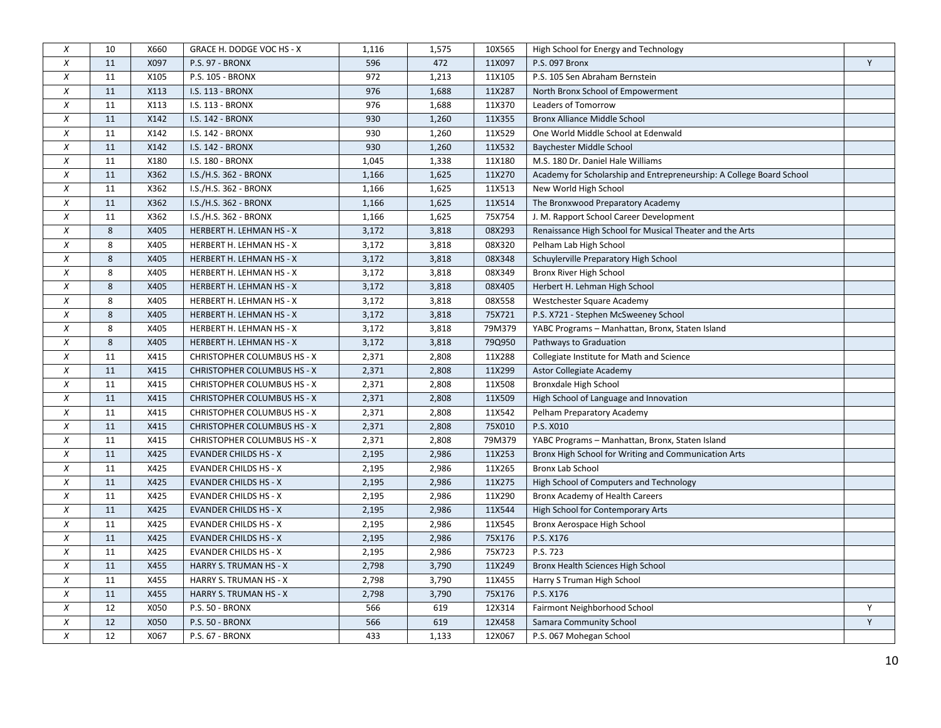| $\boldsymbol{x}$ | 10 | X660 | GRACE H. DODGE VOC HS - X          | 1,116 | 1,575 | 10X565 | High School for Energy and Technology                                |   |
|------------------|----|------|------------------------------------|-------|-------|--------|----------------------------------------------------------------------|---|
| $\chi$           | 11 | X097 | P.S. 97 - BRONX                    | 596   | 472   | 11X097 | P.S. 097 Bronx                                                       | Y |
| $\chi$           | 11 | X105 | P.S. 105 - BRONX                   | 972   | 1,213 | 11X105 | P.S. 105 Sen Abraham Bernstein                                       |   |
| $\boldsymbol{x}$ | 11 | X113 | I.S. 113 - BRONX                   | 976   | 1,688 | 11X287 | North Bronx School of Empowerment                                    |   |
| $\chi$           | 11 | X113 | I.S. 113 - BRONX                   | 976   | 1,688 | 11X370 | Leaders of Tomorrow                                                  |   |
| $\chi$           | 11 | X142 | I.S. 142 - BRONX                   | 930   | 1,260 | 11X355 | <b>Bronx Alliance Middle School</b>                                  |   |
| $\chi$           | 11 | X142 | I.S. 142 - BRONX                   | 930   | 1,260 | 11X529 | One World Middle School at Edenwald                                  |   |
| $\chi$           | 11 | X142 | I.S. 142 - BRONX                   | 930   | 1,260 | 11X532 | Baychester Middle School                                             |   |
| $\chi$           | 11 | X180 | I.S. 180 - BRONX                   | 1,045 | 1,338 | 11X180 | M.S. 180 Dr. Daniel Hale Williams                                    |   |
| $\chi$           | 11 | X362 | I.S./H.S. 362 - BRONX              | 1,166 | 1,625 | 11X270 | Academy for Scholarship and Entrepreneurship: A College Board School |   |
| X                | 11 | X362 | I.S./H.S. 362 - BRONX              | 1,166 | 1,625 | 11X513 | New World High School                                                |   |
| $\chi$           | 11 | X362 | I.S./H.S. 362 - BRONX              | 1,166 | 1,625 | 11X514 | The Bronxwood Preparatory Academy                                    |   |
| $\chi$           | 11 | X362 | I.S./H.S. 362 - BRONX              | 1,166 | 1,625 | 75X754 | J. M. Rapport School Career Development                              |   |
| $\chi$           | 8  | X405 | HERBERT H. LEHMAN HS - X           | 3,172 | 3,818 | 08X293 | Renaissance High School for Musical Theater and the Arts             |   |
| X                | 8  | X405 | HERBERT H. LEHMAN HS - X           | 3,172 | 3,818 | 08X320 | Pelham Lab High School                                               |   |
| $\chi$           | 8  | X405 | HERBERT H. LEHMAN HS - X           | 3,172 | 3,818 | 08X348 | Schuylerville Preparatory High School                                |   |
| $\chi$           | 8  | X405 | HERBERT H. LEHMAN HS - X           | 3,172 | 3,818 | 08X349 | Bronx River High School                                              |   |
| $\chi$           | 8  | X405 | HERBERT H. LEHMAN HS - X           | 3,172 | 3,818 | 08X405 | Herbert H. Lehman High School                                        |   |
| $\boldsymbol{X}$ | 8  | X405 | HERBERT H. LEHMAN HS - X           | 3,172 | 3,818 | 08X558 | Westchester Square Academy                                           |   |
| $\chi$           | 8  | X405 | HERBERT H. LEHMAN HS - X           | 3,172 | 3,818 | 75X721 | P.S. X721 - Stephen McSweeney School                                 |   |
| $\chi$           | 8  | X405 | HERBERT H. LEHMAN HS - X           | 3,172 | 3,818 | 79M379 | YABC Programs - Manhattan, Bronx, Staten Island                      |   |
| $\boldsymbol{X}$ | 8  | X405 | HERBERT H. LEHMAN HS - X           | 3,172 | 3,818 | 79Q950 | Pathways to Graduation                                               |   |
| $\boldsymbol{X}$ | 11 | X415 | CHRISTOPHER COLUMBUS HS - X        | 2,371 | 2,808 | 11X288 | Collegiate Institute for Math and Science                            |   |
| $\chi$           | 11 | X415 | <b>CHRISTOPHER COLUMBUS HS - X</b> | 2,371 | 2,808 | 11X299 | <b>Astor Collegiate Academy</b>                                      |   |
| $\chi$           | 11 | X415 | CHRISTOPHER COLUMBUS HS - X        | 2,371 | 2,808 | 11X508 | <b>Bronxdale High School</b>                                         |   |
| $\boldsymbol{X}$ | 11 | X415 | <b>CHRISTOPHER COLUMBUS HS - X</b> | 2,371 | 2,808 | 11X509 | High School of Language and Innovation                               |   |
| $\chi$           | 11 | X415 | CHRISTOPHER COLUMBUS HS - X        | 2,371 | 2,808 | 11X542 | Pelham Preparatory Academy                                           |   |
| $\chi$           | 11 | X415 | <b>CHRISTOPHER COLUMBUS HS - X</b> | 2,371 | 2,808 | 75X010 | P.S. X010                                                            |   |
| $\chi$           | 11 | X415 | <b>CHRISTOPHER COLUMBUS HS - X</b> | 2,371 | 2,808 | 79M379 | YABC Programs - Manhattan, Bronx, Staten Island                      |   |
| $\chi$           | 11 | X425 | <b>EVANDER CHILDS HS - X</b>       | 2,195 | 2,986 | 11X253 | Bronx High School for Writing and Communication Arts                 |   |
| $\chi$           | 11 | X425 | <b>EVANDER CHILDS HS - X</b>       | 2,195 | 2,986 | 11X265 | <b>Bronx Lab School</b>                                              |   |
| $\chi$           | 11 | X425 | <b>EVANDER CHILDS HS - X</b>       | 2,195 | 2,986 | 11X275 | High School of Computers and Technology                              |   |
| $\chi$           | 11 | X425 | <b>EVANDER CHILDS HS - X</b>       | 2,195 | 2,986 | 11X290 | Bronx Academy of Health Careers                                      |   |
| $\chi$           | 11 | X425 | <b>EVANDER CHILDS HS - X</b>       | 2,195 | 2,986 | 11X544 | High School for Contemporary Arts                                    |   |
| $\chi$           | 11 | X425 | <b>EVANDER CHILDS HS - X</b>       | 2,195 | 2,986 | 11X545 | Bronx Aerospace High School                                          |   |
| $\chi$           | 11 | X425 | <b>EVANDER CHILDS HS - X</b>       | 2,195 | 2,986 | 75X176 | P.S. X176                                                            |   |
| $\boldsymbol{X}$ | 11 | X425 | <b>EVANDER CHILDS HS - X</b>       | 2,195 | 2,986 | 75X723 | P.S. 723                                                             |   |
| $\chi$           | 11 | X455 | HARRY S. TRUMAN HS - X             | 2,798 | 3,790 | 11X249 | Bronx Health Sciences High School                                    |   |
| $\chi$           | 11 | X455 | HARRY S. TRUMAN HS - X             | 2,798 | 3,790 | 11X455 | Harry S Truman High School                                           |   |
| $\chi$           | 11 | X455 | HARRY S. TRUMAN HS - X             | 2,798 | 3,790 | 75X176 | P.S. X176                                                            |   |
| X                | 12 | X050 | P.S. 50 - BRONX                    | 566   | 619   | 12X314 | Fairmont Neighborhood School                                         | Y |
| $\chi$           | 12 | X050 | <b>P.S. 50 - BRONX</b>             | 566   | 619   | 12X458 | Samara Community School                                              | Y |
| $\chi$           | 12 | X067 | P.S. 67 - BRONX                    | 433   | 1,133 | 12X067 | P.S. 067 Mohegan School                                              |   |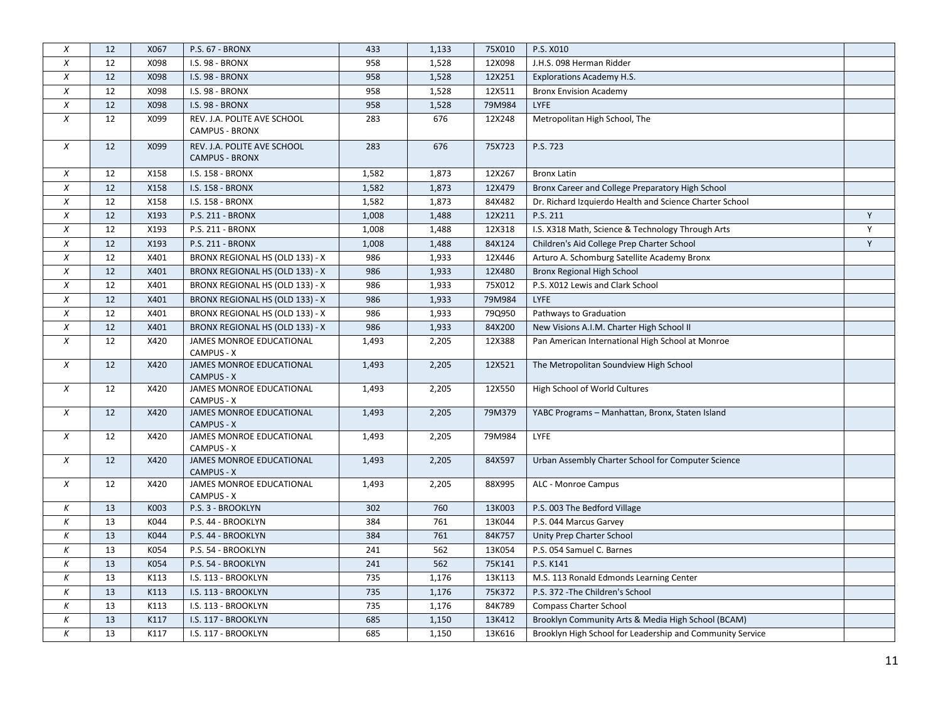| $\boldsymbol{x}$ | 12 | X067 | P.S. 67 - BRONX                                      | 433   | 1,133 | 75X010 | P.S. X010                                                 |              |
|------------------|----|------|------------------------------------------------------|-------|-------|--------|-----------------------------------------------------------|--------------|
| $\chi$           | 12 | X098 | I.S. 98 - BRONX                                      | 958   | 1,528 | 12X098 | J.H.S. 098 Herman Ridder                                  |              |
| $\chi$           | 12 | X098 | <b>I.S. 98 - BRONX</b>                               | 958   | 1,528 | 12X251 | <b>Explorations Academy H.S.</b>                          |              |
| $\chi$           | 12 | X098 | <b>I.S. 98 - BRONX</b>                               | 958   | 1,528 | 12X511 | <b>Bronx Envision Academy</b>                             |              |
| $\chi$           | 12 | X098 | <b>I.S. 98 - BRONX</b>                               | 958   | 1,528 | 79M984 | <b>LYFE</b>                                               |              |
| X                | 12 | X099 | REV. J.A. POLITE AVE SCHOOL<br><b>CAMPUS - BRONX</b> | 283   | 676   | 12X248 | Metropolitan High School, The                             |              |
| $\chi$           | 12 | X099 | REV. J.A. POLITE AVE SCHOOL<br><b>CAMPUS - BRONX</b> | 283   | 676   | 75X723 | P.S. 723                                                  |              |
| $\chi$           | 12 | X158 | I.S. 158 - BRONX                                     | 1,582 | 1,873 | 12X267 | <b>Bronx Latin</b>                                        |              |
| $\boldsymbol{X}$ | 12 | X158 | I.S. 158 - BRONX                                     | 1,582 | 1,873 | 12X479 | Bronx Career and College Preparatory High School          |              |
| $\chi$           | 12 | X158 | I.S. 158 - BRONX                                     | 1,582 | 1,873 | 84X482 | Dr. Richard Izquierdo Health and Science Charter School   |              |
| $\chi$           | 12 | X193 | P.S. 211 - BRONX                                     | 1,008 | 1,488 | 12X211 | P.S. 211                                                  | Y            |
| $\chi$           | 12 | X193 | P.S. 211 - BRONX                                     | 1,008 | 1,488 | 12X318 | I.S. X318 Math, Science & Technology Through Arts         | $\mathsf{Y}$ |
| $\boldsymbol{x}$ | 12 | X193 | P.S. 211 - BRONX                                     | 1,008 | 1,488 | 84X124 | Children's Aid College Prep Charter School                | Y            |
| $\chi$           | 12 | X401 | BRONX REGIONAL HS (OLD 133) - X                      | 986   | 1,933 | 12X446 | Arturo A. Schomburg Satellite Academy Bronx               |              |
| $\boldsymbol{X}$ | 12 | X401 | BRONX REGIONAL HS (OLD 133) - X                      | 986   | 1,933 | 12X480 | Bronx Regional High School                                |              |
| $\chi$           | 12 | X401 | BRONX REGIONAL HS (OLD 133) - X                      | 986   | 1,933 | 75X012 | P.S. X012 Lewis and Clark School                          |              |
| $\boldsymbol{X}$ | 12 | X401 | BRONX REGIONAL HS (OLD 133) - X                      | 986   | 1,933 | 79M984 | LYFE                                                      |              |
| $\chi$           | 12 | X401 | BRONX REGIONAL HS (OLD 133) - X                      | 986   | 1,933 | 79Q950 | Pathways to Graduation                                    |              |
| $\boldsymbol{X}$ | 12 | X401 | BRONX REGIONAL HS (OLD 133) - X                      | 986   | 1,933 | 84X200 | New Visions A.I.M. Charter High School II                 |              |
| $\chi$           | 12 | X420 | JAMES MONROE EDUCATIONAL<br>CAMPUS - X               | 1,493 | 2,205 | 12X388 | Pan American International High School at Monroe          |              |
| $\chi$           | 12 | X420 | JAMES MONROE EDUCATIONAL<br><b>CAMPUS - X</b>        | 1,493 | 2,205 | 12X521 | The Metropolitan Soundview High School                    |              |
| $\chi$           | 12 | X420 | JAMES MONROE EDUCATIONAL<br>CAMPUS - X               | 1,493 | 2,205 | 12X550 | High School of World Cultures                             |              |
| $\chi$           | 12 | X420 | JAMES MONROE EDUCATIONAL<br><b>CAMPUS - X</b>        | 1,493 | 2,205 | 79M379 | YABC Programs - Manhattan, Bronx, Staten Island           |              |
| $\chi$           | 12 | X420 | JAMES MONROE EDUCATIONAL<br>CAMPUS - X               | 1,493 | 2,205 | 79M984 | LYFE                                                      |              |
| $\chi$           | 12 | X420 | JAMES MONROE EDUCATIONAL<br><b>CAMPUS - X</b>        | 1,493 | 2,205 | 84X597 | Urban Assembly Charter School for Computer Science        |              |
| $\boldsymbol{X}$ | 12 | X420 | JAMES MONROE EDUCATIONAL<br>CAMPUS - X               | 1,493 | 2,205 | 88X995 | ALC - Monroe Campus                                       |              |
| Κ                | 13 | K003 | P.S. 3 - BROOKLYN                                    | 302   | 760   | 13K003 | P.S. 003 The Bedford Village                              |              |
| К                | 13 | K044 | P.S. 44 - BROOKLYN                                   | 384   | 761   | 13K044 | P.S. 044 Marcus Garvey                                    |              |
| К                | 13 | K044 | P.S. 44 - BROOKLYN                                   | 384   | 761   | 84K757 | Unity Prep Charter School                                 |              |
| К                | 13 | K054 | P.S. 54 - BROOKLYN                                   | 241   | 562   | 13K054 | P.S. 054 Samuel C. Barnes                                 |              |
| Κ                | 13 | K054 | P.S. 54 - BROOKLYN                                   | 241   | 562   | 75K141 | P.S. K141                                                 |              |
| К                | 13 | K113 | I.S. 113 - BROOKLYN                                  | 735   | 1,176 | 13K113 | M.S. 113 Ronald Edmonds Learning Center                   |              |
| К                | 13 | K113 | I.S. 113 - BROOKLYN                                  | 735   | 1,176 | 75K372 | P.S. 372 - The Children's School                          |              |
| К                | 13 | K113 | I.S. 113 - BROOKLYN                                  | 735   | 1,176 | 84K789 | <b>Compass Charter School</b>                             |              |
| К                | 13 | K117 | I.S. 117 - BROOKLYN                                  | 685   | 1,150 | 13K412 | Brooklyn Community Arts & Media High School (BCAM)        |              |
| Κ                | 13 | K117 | I.S. 117 - BROOKLYN                                  | 685   | 1,150 | 13K616 | Brooklyn High School for Leadership and Community Service |              |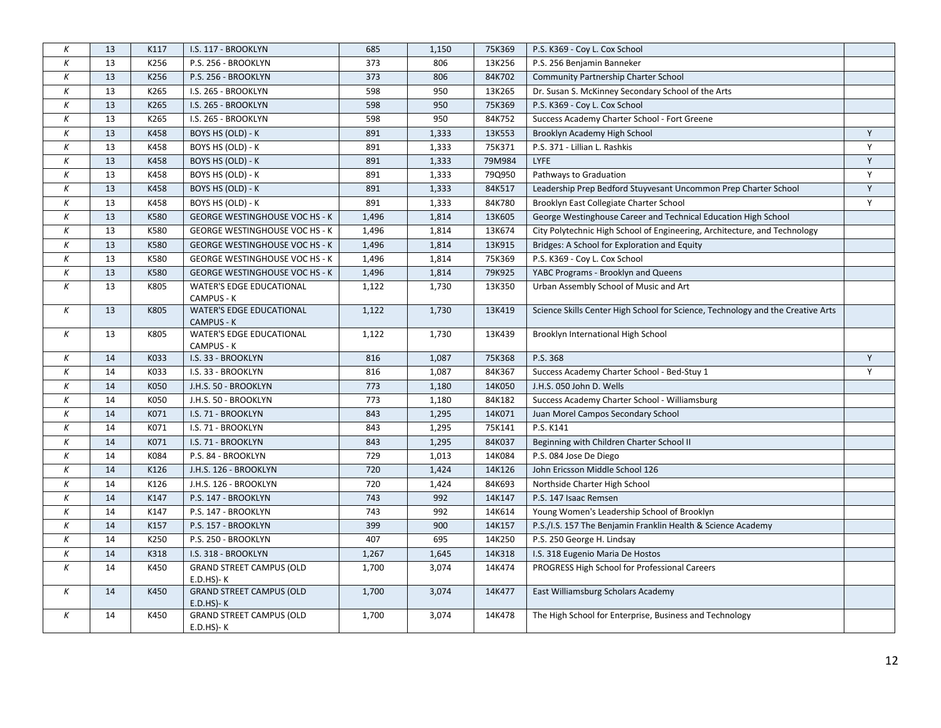| К                | 13 | K117 | I.S. 117 - BROOKLYN                                | 685   | 1,150 | 75K369 | P.S. K369 - Coy L. Cox School                                                   |              |
|------------------|----|------|----------------------------------------------------|-------|-------|--------|---------------------------------------------------------------------------------|--------------|
| К                | 13 | K256 | P.S. 256 - BROOKLYN                                | 373   | 806   | 13K256 | P.S. 256 Benjamin Banneker                                                      |              |
| К                | 13 | K256 | P.S. 256 - BROOKLYN                                | 373   | 806   | 84K702 | Community Partnership Charter School                                            |              |
| К                | 13 | K265 | I.S. 265 - BROOKLYN                                | 598   | 950   | 13K265 | Dr. Susan S. McKinney Secondary School of the Arts                              |              |
| К                | 13 | K265 | I.S. 265 - BROOKLYN                                | 598   | 950   | 75K369 | P.S. K369 - Coy L. Cox School                                                   |              |
| К                | 13 | K265 | I.S. 265 - BROOKLYN                                | 598   | 950   | 84K752 | Success Academy Charter School - Fort Greene                                    |              |
| К                | 13 | K458 | BOYS HS (OLD) - K                                  | 891   | 1,333 | 13K553 | Brooklyn Academy High School                                                    | Y            |
| К                | 13 | K458 | BOYS HS (OLD) - K                                  | 891   | 1,333 | 75K371 | P.S. 371 - Lillian L. Rashkis                                                   | $\mathsf Y$  |
| К                | 13 | K458 | BOYS HS (OLD) - K                                  | 891   | 1,333 | 79M984 | <b>LYFE</b>                                                                     | $\mathsf{Y}$ |
| К                | 13 | K458 | BOYS HS (OLD) - K                                  | 891   | 1,333 | 79Q950 | Pathways to Graduation                                                          | Υ            |
| К                | 13 | K458 | BOYS HS (OLD) - K                                  | 891   | 1,333 | 84K517 | Leadership Prep Bedford Stuyvesant Uncommon Prep Charter School                 | Y            |
| $\boldsymbol{K}$ | 13 | K458 | BOYS HS (OLD) - K                                  | 891   | 1,333 | 84K780 | Brooklyn East Collegiate Charter School                                         | $\mathsf{Y}$ |
| К                | 13 | K580 | <b>GEORGE WESTINGHOUSE VOC HS - K</b>              | 1,496 | 1,814 | 13K605 | George Westinghouse Career and Technical Education High School                  |              |
| К                | 13 | K580 | <b>GEORGE WESTINGHOUSE VOC HS - K</b>              | 1,496 | 1,814 | 13K674 | City Polytechnic High School of Engineering, Architecture, and Technology       |              |
| К                | 13 | K580 | <b>GEORGE WESTINGHOUSE VOC HS - K</b>              | 1,496 | 1,814 | 13K915 | Bridges: A School for Exploration and Equity                                    |              |
| К                | 13 | K580 | <b>GEORGE WESTINGHOUSE VOC HS - K</b>              | 1,496 | 1,814 | 75K369 | P.S. K369 - Coy L. Cox School                                                   |              |
| К                | 13 | K580 | <b>GEORGE WESTINGHOUSE VOC HS - K</b>              | 1,496 | 1,814 | 79K925 | YABC Programs - Brooklyn and Queens                                             |              |
| $\boldsymbol{K}$ | 13 | K805 | <b>WATER'S EDGE EDUCATIONAL</b><br>CAMPUS - K      | 1,122 | 1,730 | 13K350 | Urban Assembly School of Music and Art                                          |              |
| К                | 13 | K805 | <b>WATER'S EDGE EDUCATIONAL</b><br>CAMPUS - K      | 1,122 | 1,730 | 13K419 | Science Skills Center High School for Science, Technology and the Creative Arts |              |
| К                | 13 | K805 | <b>WATER'S EDGE EDUCATIONAL</b><br>CAMPUS - K      | 1,122 | 1,730 | 13K439 | Brooklyn International High School                                              |              |
| К                | 14 | K033 | I.S. 33 - BROOKLYN                                 | 816   | 1,087 | 75K368 | P.S. 368                                                                        | Y            |
| К                | 14 | K033 | I.S. 33 - BROOKLYN                                 | 816   | 1,087 | 84K367 | Success Academy Charter School - Bed-Stuy 1                                     | Y            |
| К                | 14 | K050 | J.H.S. 50 - BROOKLYN                               | 773   | 1,180 | 14K050 | J.H.S. 050 John D. Wells                                                        |              |
| К                | 14 | K050 | J.H.S. 50 - BROOKLYN                               | 773   | 1,180 | 84K182 | Success Academy Charter School - Williamsburg                                   |              |
| К                | 14 | K071 | I.S. 71 - BROOKLYN                                 | 843   | 1,295 | 14K071 | Juan Morel Campos Secondary School                                              |              |
| К                | 14 | K071 | I.S. 71 - BROOKLYN                                 | 843   | 1,295 | 75K141 | P.S. K141                                                                       |              |
| К                | 14 | K071 | I.S. 71 - BROOKLYN                                 | 843   | 1,295 | 84K037 | Beginning with Children Charter School II                                       |              |
| Κ                | 14 | K084 | P.S. 84 - BROOKLYN                                 | 729   | 1,013 | 14K084 | P.S. 084 Jose De Diego                                                          |              |
| К                | 14 | K126 | J.H.S. 126 - BROOKLYN                              | 720   | 1,424 | 14K126 | John Ericsson Middle School 126                                                 |              |
| К                | 14 | K126 | J.H.S. 126 - BROOKLYN                              | 720   | 1,424 | 84K693 | Northside Charter High School                                                   |              |
| К                | 14 | K147 | P.S. 147 - BROOKLYN                                | 743   | 992   | 14K147 | P.S. 147 Isaac Remsen                                                           |              |
| Κ                | 14 | K147 | P.S. 147 - BROOKLYN                                | 743   | 992   | 14K614 | Young Women's Leadership School of Brooklyn                                     |              |
| К                | 14 | K157 | P.S. 157 - BROOKLYN                                | 399   | 900   | 14K157 | P.S./I.S. 157 The Benjamin Franklin Health & Science Academy                    |              |
| К                | 14 | K250 | P.S. 250 - BROOKLYN                                | 407   | 695   | 14K250 | P.S. 250 George H. Lindsay                                                      |              |
| К                | 14 | K318 | I.S. 318 - BROOKLYN                                | 1,267 | 1,645 | 14K318 | I.S. 318 Eugenio Maria De Hostos                                                |              |
| $\boldsymbol{K}$ | 14 | K450 | <b>GRAND STREET CAMPUS (OLD</b><br>$E.D.HS$ )- $K$ | 1,700 | 3,074 | 14K474 | PROGRESS High School for Professional Careers                                   |              |
| К                | 14 | K450 | <b>GRAND STREET CAMPUS (OLD</b><br>$E.D.HS$ )- $K$ | 1,700 | 3,074 | 14K477 | East Williamsburg Scholars Academy                                              |              |
| Κ                | 14 | K450 | <b>GRAND STREET CAMPUS (OLD</b><br>$E.D.HS$ )- $K$ | 1,700 | 3,074 | 14K478 | The High School for Enterprise, Business and Technology                         |              |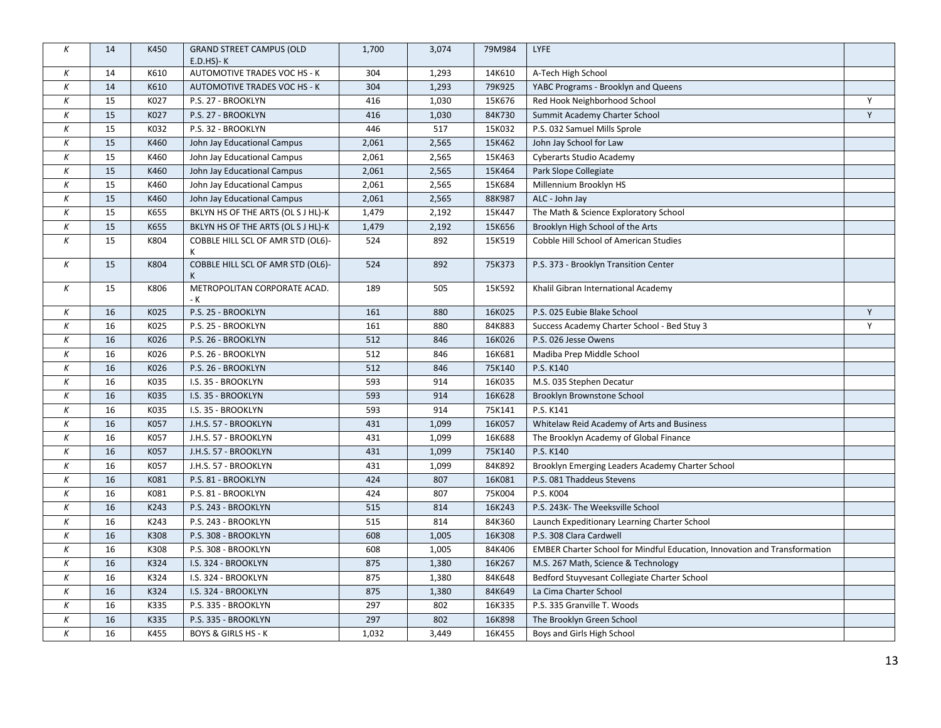| К        | 14 | K450 | <b>GRAND STREET CAMPUS (OLD</b><br>$E.D.HS$ - $K$ | 1,700 | 3,074 | 79M984 | LYFE                                                                      |             |
|----------|----|------|---------------------------------------------------|-------|-------|--------|---------------------------------------------------------------------------|-------------|
| Κ        | 14 | K610 | AUTOMOTIVE TRADES VOC HS - K                      | 304   | 1,293 | 14K610 | A-Tech High School                                                        |             |
| К        | 14 | K610 | AUTOMOTIVE TRADES VOC HS - K                      | 304   | 1,293 | 79K925 | YABC Programs - Brooklyn and Queens                                       |             |
| К        | 15 | K027 | P.S. 27 - BROOKLYN                                | 416   | 1,030 | 15K676 | Red Hook Neighborhood School                                              | Y           |
| К        | 15 | K027 | P.S. 27 - BROOKLYN                                | 416   | 1,030 | 84K730 | Summit Academy Charter School                                             | $\mathsf Y$ |
| К        | 15 | K032 | P.S. 32 - BROOKLYN                                | 446   | 517   | 15K032 | P.S. 032 Samuel Mills Sprole                                              |             |
| К        | 15 | K460 | John Jay Educational Campus                       | 2,061 | 2,565 | 15K462 | John Jay School for Law                                                   |             |
| К        | 15 | K460 | John Jay Educational Campus                       | 2,061 | 2,565 | 15K463 | Cyberarts Studio Academy                                                  |             |
| Κ        | 15 | K460 | John Jay Educational Campus                       | 2,061 | 2,565 | 15K464 | Park Slope Collegiate                                                     |             |
| К        | 15 | K460 | John Jay Educational Campus                       | 2,061 | 2,565 | 15K684 | Millennium Brooklyn HS                                                    |             |
| Κ        | 15 | K460 | John Jay Educational Campus                       | 2,061 | 2,565 | 88K987 | ALC - John Jay                                                            |             |
| Κ        | 15 | K655 | BKLYN HS OF THE ARTS (OL S J HL)-K                | 1,479 | 2,192 | 15K447 | The Math & Science Exploratory School                                     |             |
| Κ        | 15 | K655 | BKLYN HS OF THE ARTS (OL S J HL)-K                | 1,479 | 2,192 | 15K656 | Brooklyn High School of the Arts                                          |             |
| К        | 15 | K804 | COBBLE HILL SCL OF AMR STD (OL6)-<br>K            | 524   | 892   | 15K519 | Cobble Hill School of American Studies                                    |             |
| К        | 15 | K804 | COBBLE HILL SCL OF AMR STD (OL6)-<br>K            | 524   | 892   | 75K373 | P.S. 373 - Brooklyn Transition Center                                     |             |
| $\kappa$ | 15 | K806 | METROPOLITAN CORPORATE ACAD.<br>- K               | 189   | 505   | 15K592 | Khalil Gibran International Academy                                       |             |
| К        | 16 | K025 | P.S. 25 - BROOKLYN                                | 161   | 880   | 16K025 | P.S. 025 Eubie Blake School                                               | Y           |
| Κ        | 16 | K025 | P.S. 25 - BROOKLYN                                | 161   | 880   | 84K883 | Success Academy Charter School - Bed Stuy 3                               | Y           |
| К        | 16 | K026 | P.S. 26 - BROOKLYN                                | 512   | 846   | 16K026 | P.S. 026 Jesse Owens                                                      |             |
| К        | 16 | K026 | P.S. 26 - BROOKLYN                                | 512   | 846   | 16K681 | Madiba Prep Middle School                                                 |             |
| К        | 16 | K026 | P.S. 26 - BROOKLYN                                | 512   | 846   | 75K140 | P.S. K140                                                                 |             |
| К        | 16 | K035 | I.S. 35 - BROOKLYN                                | 593   | 914   | 16K035 | M.S. 035 Stephen Decatur                                                  |             |
| К        | 16 | K035 | I.S. 35 - BROOKLYN                                | 593   | 914   | 16K628 | Brooklyn Brownstone School                                                |             |
| К        | 16 | K035 | I.S. 35 - BROOKLYN                                | 593   | 914   | 75K141 | P.S. K141                                                                 |             |
| К        | 16 | K057 | J.H.S. 57 - BROOKLYN                              | 431   | 1,099 | 16K057 | Whitelaw Reid Academy of Arts and Business                                |             |
| Κ        | 16 | K057 | J.H.S. 57 - BROOKLYN                              | 431   | 1,099 | 16K688 | The Brooklyn Academy of Global Finance                                    |             |
| К        | 16 | K057 | J.H.S. 57 - BROOKLYN                              | 431   | 1,099 | 75K140 | P.S. K140                                                                 |             |
| К        | 16 | K057 | J.H.S. 57 - BROOKLYN                              | 431   | 1,099 | 84K892 | Brooklyn Emerging Leaders Academy Charter School                          |             |
| К        | 16 | K081 | P.S. 81 - BROOKLYN                                | 424   | 807   | 16K081 | P.S. 081 Thaddeus Stevens                                                 |             |
| Κ        | 16 | K081 | P.S. 81 - BROOKLYN                                | 424   | 807   | 75K004 | P.S. K004                                                                 |             |
| К        | 16 | K243 | P.S. 243 - BROOKLYN                               | 515   | 814   | 16K243 | P.S. 243K- The Weeksville School                                          |             |
| К        | 16 | K243 | P.S. 243 - BROOKLYN                               | 515   | 814   | 84K360 | Launch Expeditionary Learning Charter School                              |             |
| К        | 16 | K308 | P.S. 308 - BROOKLYN                               | 608   | 1,005 | 16K308 | P.S. 308 Clara Cardwell                                                   |             |
| К        | 16 | K308 | P.S. 308 - BROOKLYN                               | 608   | 1,005 | 84K406 | EMBER Charter School for Mindful Education, Innovation and Transformation |             |
| К        | 16 | K324 | I.S. 324 - BROOKLYN                               | 875   | 1,380 | 16K267 | M.S. 267 Math, Science & Technology                                       |             |
| К        | 16 | K324 | I.S. 324 - BROOKLYN                               | 875   | 1,380 | 84K648 | Bedford Stuyvesant Collegiate Charter School                              |             |
| К        | 16 | K324 | I.S. 324 - BROOKLYN                               | 875   | 1,380 | 84K649 | La Cima Charter School                                                    |             |
| К        | 16 | K335 | P.S. 335 - BROOKLYN                               | 297   | 802   | 16K335 | P.S. 335 Granville T. Woods                                               |             |
| К        | 16 | K335 | P.S. 335 - BROOKLYN                               | 297   | 802   | 16K898 | The Brooklyn Green School                                                 |             |
| Κ        | 16 | K455 | <b>BOYS &amp; GIRLS HS - K</b>                    | 1,032 | 3,449 | 16K455 | Boys and Girls High School                                                |             |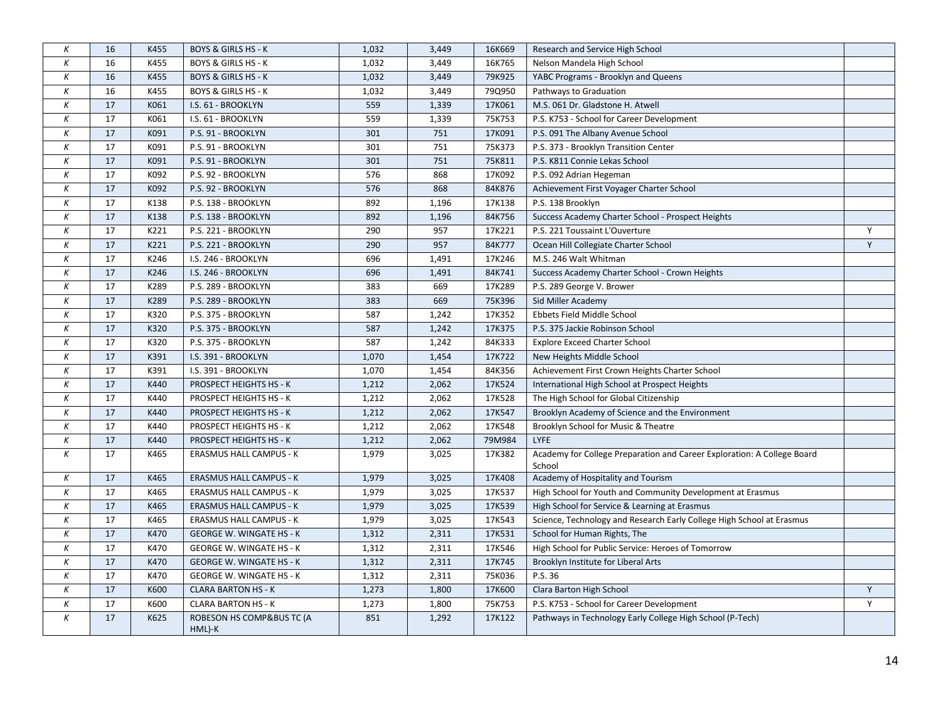| Κ                | 16 | K455 | <b>BOYS &amp; GIRLS HS - K</b>      | 1,032 | 3,449 | 16K669 | Research and Service High School                                                  |   |
|------------------|----|------|-------------------------------------|-------|-------|--------|-----------------------------------------------------------------------------------|---|
| К                | 16 | K455 | <b>BOYS &amp; GIRLS HS - K</b>      | 1,032 | 3,449 | 16K765 | Nelson Mandela High School                                                        |   |
| К                | 16 | K455 | <b>BOYS &amp; GIRLS HS - K</b>      | 1,032 | 3,449 | 79K925 | YABC Programs - Brooklyn and Queens                                               |   |
| К                | 16 | K455 | <b>BOYS &amp; GIRLS HS - K</b>      | 1,032 | 3,449 | 79Q950 | Pathways to Graduation                                                            |   |
| К                | 17 | K061 | I.S. 61 - BROOKLYN                  | 559   | 1,339 | 17K061 | M.S. 061 Dr. Gladstone H. Atwell                                                  |   |
| К                | 17 | K061 | I.S. 61 - BROOKLYN                  | 559   | 1,339 | 75K753 | P.S. K753 - School for Career Development                                         |   |
| К                | 17 | K091 | P.S. 91 - BROOKLYN                  | 301   | 751   | 17K091 | P.S. 091 The Albany Avenue School                                                 |   |
| К                | 17 | K091 | P.S. 91 - BROOKLYN                  | 301   | 751   | 75K373 | P.S. 373 - Brooklyn Transition Center                                             |   |
| К                | 17 | K091 | P.S. 91 - BROOKLYN                  | 301   | 751   | 75K811 | P.S. K811 Connie Lekas School                                                     |   |
| К                | 17 | K092 | P.S. 92 - BROOKLYN                  | 576   | 868   | 17K092 | P.S. 092 Adrian Hegeman                                                           |   |
| К                | 17 | K092 | P.S. 92 - BROOKLYN                  | 576   | 868   | 84K876 | Achievement First Voyager Charter School                                          |   |
| К                | 17 | K138 | P.S. 138 - BROOKLYN                 | 892   | 1,196 | 17K138 | P.S. 138 Brooklyn                                                                 |   |
| К                | 17 | K138 | P.S. 138 - BROOKLYN                 | 892   | 1,196 | 84K756 | Success Academy Charter School - Prospect Heights                                 |   |
| $\boldsymbol{K}$ | 17 | K221 | P.S. 221 - BROOKLYN                 | 290   | 957   | 17K221 | P.S. 221 Toussaint L'Ouverture                                                    | Υ |
| К                | 17 | K221 | P.S. 221 - BROOKLYN                 | 290   | 957   | 84K777 | Ocean Hill Collegiate Charter School                                              | Y |
| Κ                | 17 | K246 | I.S. 246 - BROOKLYN                 | 696   | 1,491 | 17K246 | M.S. 246 Walt Whitman                                                             |   |
| К                | 17 | K246 | I.S. 246 - BROOKLYN                 | 696   | 1,491 | 84K741 | Success Academy Charter School - Crown Heights                                    |   |
| К                | 17 | K289 | P.S. 289 - BROOKLYN                 | 383   | 669   | 17K289 | P.S. 289 George V. Brower                                                         |   |
| К                | 17 | K289 | P.S. 289 - BROOKLYN                 | 383   | 669   | 75K396 | Sid Miller Academy                                                                |   |
| К                | 17 | K320 | P.S. 375 - BROOKLYN                 | 587   | 1,242 | 17K352 | Ebbets Field Middle School                                                        |   |
| К                | 17 | K320 | P.S. 375 - BROOKLYN                 | 587   | 1,242 | 17K375 | P.S. 375 Jackie Robinson School                                                   |   |
| К                | 17 | K320 | P.S. 375 - BROOKLYN                 | 587   | 1,242 | 84K333 | <b>Explore Exceed Charter School</b>                                              |   |
| К                | 17 | K391 | I.S. 391 - BROOKLYN                 | 1,070 | 1,454 | 17K722 | New Heights Middle School                                                         |   |
| Κ                | 17 | K391 | I.S. 391 - BROOKLYN                 | 1,070 | 1,454 | 84K356 | Achievement First Crown Heights Charter School                                    |   |
| К                | 17 | K440 | PROSPECT HEIGHTS HS - K             | 1,212 | 2,062 | 17K524 | International High School at Prospect Heights                                     |   |
| К                | 17 | K440 | PROSPECT HEIGHTS HS - K             | 1,212 | 2,062 | 17K528 | The High School for Global Citizenship                                            |   |
| К                | 17 | K440 | PROSPECT HEIGHTS HS - K             | 1,212 | 2,062 | 17K547 | Brooklyn Academy of Science and the Environment                                   |   |
| К                | 17 | K440 | PROSPECT HEIGHTS HS - K             | 1,212 | 2,062 | 17K548 | Brooklyn School for Music & Theatre                                               |   |
| К                | 17 | K440 | PROSPECT HEIGHTS HS - K             | 1,212 | 2,062 | 79M984 | <b>LYFE</b>                                                                       |   |
| К                | 17 | K465 | ERASMUS HALL CAMPUS - K             | 1,979 | 3,025 | 17K382 | Academy for College Preparation and Career Exploration: A College Board<br>School |   |
| К                | 17 | K465 | <b>ERASMUS HALL CAMPUS - K</b>      | 1,979 | 3,025 | 17K408 | Academy of Hospitality and Tourism                                                |   |
| К                | 17 | K465 | <b>ERASMUS HALL CAMPUS - K</b>      | 1,979 | 3,025 | 17K537 | High School for Youth and Community Development at Erasmus                        |   |
| $\boldsymbol{K}$ | 17 | K465 | <b>ERASMUS HALL CAMPUS - K</b>      | 1,979 | 3,025 | 17K539 | High School for Service & Learning at Erasmus                                     |   |
| Κ                | 17 | K465 | <b>ERASMUS HALL CAMPUS - K</b>      | 1,979 | 3,025 | 17K543 | Science, Technology and Research Early College High School at Erasmus             |   |
| К                | 17 | K470 | <b>GEORGE W. WINGATE HS - K</b>     | 1,312 | 2,311 | 17K531 | School for Human Rights, The                                                      |   |
| К                | 17 | K470 | <b>GEORGE W. WINGATE HS - K</b>     | 1,312 | 2,311 | 17K546 | High School for Public Service: Heroes of Tomorrow                                |   |
| К                | 17 | K470 | <b>GEORGE W. WINGATE HS - K</b>     | 1,312 | 2,311 | 17K745 | Brooklyn Institute for Liberal Arts                                               |   |
| Κ                | 17 | K470 | <b>GEORGE W. WINGATE HS - K</b>     | 1,312 | 2,311 | 75K036 | P.S. 36                                                                           |   |
| К                | 17 | K600 | <b>CLARA BARTON HS - K</b>          | 1,273 | 1,800 | 17K600 | Clara Barton High School                                                          | Υ |
| $\boldsymbol{K}$ | 17 | K600 | <b>CLARA BARTON HS - K</b>          | 1,273 | 1,800 | 75K753 | P.S. K753 - School for Career Development                                         | Y |
| Κ                | 17 | K625 | ROBESON HS COMP&BUS TC (A<br>HML)-K | 851   | 1,292 | 17K122 | Pathways in Technology Early College High School (P-Tech)                         |   |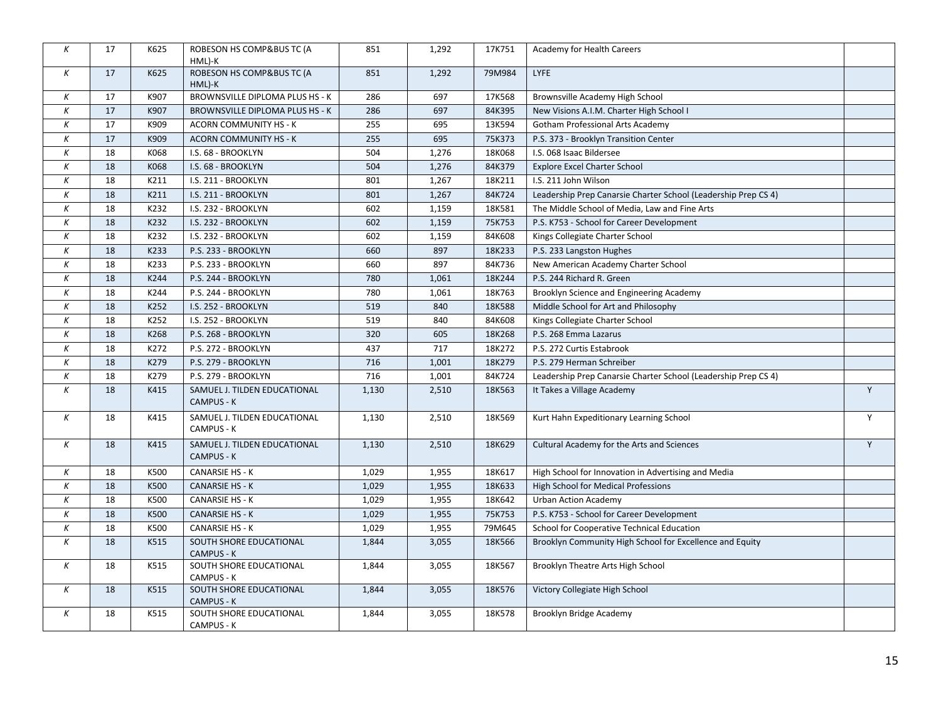| К                | 17 | K625 | ROBESON HS COMP&BUS TC (A<br>HML)-K          | 851   | 1,292 | 17K751 | Academy for Health Careers                                     |   |
|------------------|----|------|----------------------------------------------|-------|-------|--------|----------------------------------------------------------------|---|
| Κ                | 17 | K625 | ROBESON HS COMP&BUS TC (A<br>HML)-K          | 851   | 1,292 | 79M984 | <b>LYFE</b>                                                    |   |
| К                | 17 | K907 | BROWNSVILLE DIPLOMA PLUS HS - K              | 286   | 697   | 17K568 | Brownsville Academy High School                                |   |
| Κ                | 17 | K907 | BROWNSVILLE DIPLOMA PLUS HS - K              | 286   | 697   | 84K395 | New Visions A.I.M. Charter High School I                       |   |
| К                | 17 | K909 | ACORN COMMUNITY HS - K                       | 255   | 695   | 13K594 | <b>Gotham Professional Arts Academy</b>                        |   |
| Κ                | 17 | K909 | <b>ACORN COMMUNITY HS - K</b>                | 255   | 695   | 75K373 | P.S. 373 - Brooklyn Transition Center                          |   |
| К                | 18 | K068 | I.S. 68 - BROOKLYN                           | 504   | 1,276 | 18K068 | I.S. 068 Isaac Bildersee                                       |   |
| К                | 18 | K068 | I.S. 68 - BROOKLYN                           | 504   | 1,276 | 84K379 | <b>Explore Excel Charter School</b>                            |   |
| Κ                | 18 | K211 | I.S. 211 - BROOKLYN                          | 801   | 1,267 | 18K211 | I.S. 211 John Wilson                                           |   |
| К                | 18 | K211 | I.S. 211 - BROOKLYN                          | 801   | 1,267 | 84K724 | Leadership Prep Canarsie Charter School (Leadership Prep CS 4) |   |
| Κ                | 18 | K232 | I.S. 232 - BROOKLYN                          | 602   | 1,159 | 18K581 | The Middle School of Media, Law and Fine Arts                  |   |
| К                | 18 | K232 | I.S. 232 - BROOKLYN                          | 602   | 1,159 | 75K753 | P.S. K753 - School for Career Development                      |   |
| Κ                | 18 | K232 | I.S. 232 - BROOKLYN                          | 602   | 1,159 | 84K608 | Kings Collegiate Charter School                                |   |
| К                | 18 | K233 | P.S. 233 - BROOKLYN                          | 660   | 897   | 18K233 | P.S. 233 Langston Hughes                                       |   |
| К                | 18 | K233 | P.S. 233 - BROOKLYN                          | 660   | 897   | 84K736 | New American Academy Charter School                            |   |
| К                | 18 | K244 | P.S. 244 - BROOKLYN                          | 780   | 1,061 | 18K244 | P.S. 244 Richard R. Green                                      |   |
| К                | 18 | K244 | P.S. 244 - BROOKLYN                          | 780   | 1,061 | 18K763 | Brooklyn Science and Engineering Academy                       |   |
| Κ                | 18 | K252 | I.S. 252 - BROOKLYN                          | 519   | 840   | 18K588 | Middle School for Art and Philosophy                           |   |
| К                | 18 | K252 | I.S. 252 - BROOKLYN                          | 519   | 840   | 84K608 | Kings Collegiate Charter School                                |   |
| K                | 18 | K268 | P.S. 268 - BROOKLYN                          | 320   | 605   | 18K268 | P.S. 268 Emma Lazarus                                          |   |
| К                | 18 | K272 | P.S. 272 - BROOKLYN                          | 437   | 717   | 18K272 | P.S. 272 Curtis Estabrook                                      |   |
| К                | 18 | K279 | P.S. 279 - BROOKLYN                          | 716   | 1,001 | 18K279 | P.S. 279 Herman Schreiber                                      |   |
| К                | 18 | K279 | P.S. 279 - BROOKLYN                          | 716   | 1,001 | 84K724 | Leadership Prep Canarsie Charter School (Leadership Prep CS 4) |   |
| К                | 18 | K415 | SAMUEL J. TILDEN EDUCATIONAL<br>CAMPUS - K   | 1,130 | 2,510 | 18K563 | It Takes a Village Academy                                     | Y |
| К                | 18 | K415 | SAMUEL J. TILDEN EDUCATIONAL<br>CAMPUS - K   | 1,130 | 2,510 | 18K569 | Kurt Hahn Expeditionary Learning School                        | Y |
| $\kappa$         | 18 | K415 | SAMUEL J. TILDEN EDUCATIONAL<br>CAMPUS - K   | 1,130 | 2,510 | 18K629 | Cultural Academy for the Arts and Sciences                     | Y |
| Κ                | 18 | K500 | <b>CANARSIE HS - K</b>                       | 1,029 | 1,955 | 18K617 | High School for Innovation in Advertising and Media            |   |
| Κ                | 18 | K500 | <b>CANARSIE HS - K</b>                       | 1,029 | 1,955 | 18K633 | High School for Medical Professions                            |   |
| K                | 18 | K500 | <b>CANARSIE HS - K</b>                       | 1,029 | 1,955 | 18K642 | Urban Action Academy                                           |   |
| К                | 18 | K500 | <b>CANARSIE HS - K</b>                       | 1,029 | 1,955 | 75K753 | P.S. K753 - School for Career Development                      |   |
| Κ                | 18 | K500 | <b>CANARSIE HS - K</b>                       | 1,029 | 1,955 | 79M645 | School for Cooperative Technical Education                     |   |
| Κ                | 18 | K515 | SOUTH SHORE EDUCATIONAL<br>CAMPUS - K        | 1,844 | 3,055 | 18K566 | Brooklyn Community High School for Excellence and Equity       |   |
| K                | 18 | K515 | SOUTH SHORE EDUCATIONAL<br>CAMPUS - K        | 1,844 | 3,055 | 18K567 | Brooklyn Theatre Arts High School                              |   |
| $\boldsymbol{K}$ | 18 | K515 | SOUTH SHORE EDUCATIONAL<br><b>CAMPUS - K</b> | 1,844 | 3,055 | 18K576 | Victory Collegiate High School                                 |   |
| $\boldsymbol{K}$ | 18 | K515 | SOUTH SHORE EDUCATIONAL<br>CAMPUS - K        | 1,844 | 3,055 | 18K578 | Brooklyn Bridge Academy                                        |   |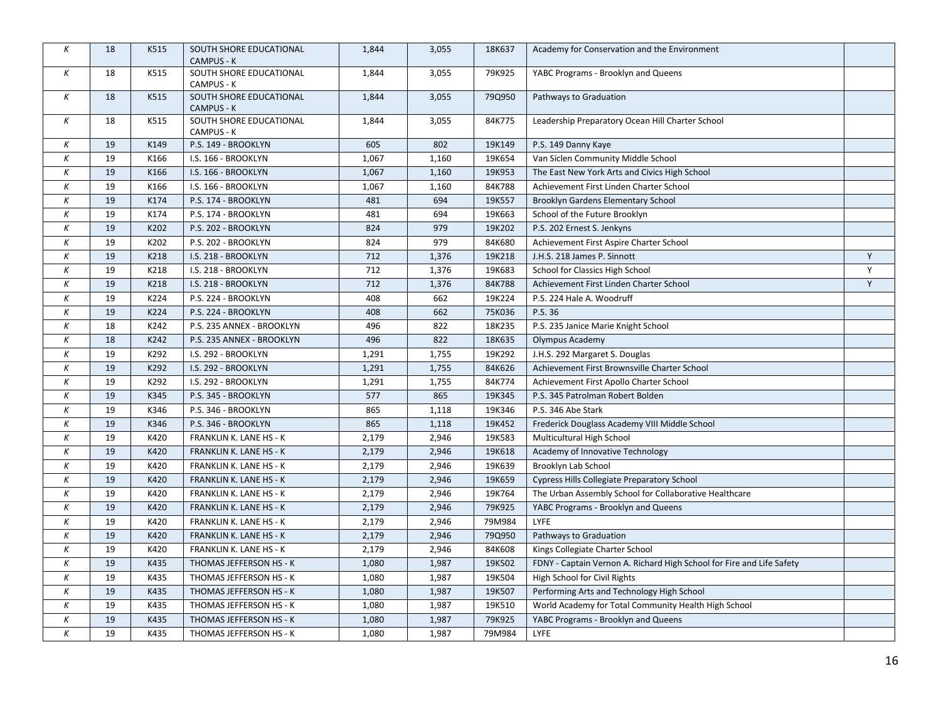| Κ        | 18 | K515 | SOUTH SHORE EDUCATIONAL<br>CAMPUS - K        | 1,844 | 3,055 | 18K637 | Academy for Conservation and the Environment                          |   |
|----------|----|------|----------------------------------------------|-------|-------|--------|-----------------------------------------------------------------------|---|
| Κ        | 18 | K515 | SOUTH SHORE EDUCATIONAL<br>CAMPUS - K        | 1,844 | 3,055 | 79K925 | YABC Programs - Brooklyn and Queens                                   |   |
| Κ        | 18 | K515 | SOUTH SHORE EDUCATIONAL<br><b>CAMPUS - K</b> | 1,844 | 3,055 | 79Q950 | Pathways to Graduation                                                |   |
| Κ        | 18 | K515 | SOUTH SHORE EDUCATIONAL<br>CAMPUS - K        | 1,844 | 3,055 | 84K775 | Leadership Preparatory Ocean Hill Charter School                      |   |
| К        | 19 | K149 | P.S. 149 - BROOKLYN                          | 605   | 802   | 19K149 | P.S. 149 Danny Kaye                                                   |   |
| К        | 19 | K166 | I.S. 166 - BROOKLYN                          | 1,067 | 1,160 | 19K654 | Van Siclen Community Middle School                                    |   |
| Κ        | 19 | K166 | I.S. 166 - BROOKLYN                          | 1,067 | 1,160 | 19K953 | The East New York Arts and Civics High School                         |   |
| $\kappa$ | 19 | K166 | I.S. 166 - BROOKLYN                          | 1,067 | 1,160 | 84K788 | Achievement First Linden Charter School                               |   |
| К        | 19 | K174 | P.S. 174 - BROOKLYN                          | 481   | 694   | 19K557 | Brooklyn Gardens Elementary School                                    |   |
| К        | 19 | K174 | P.S. 174 - BROOKLYN                          | 481   | 694   | 19K663 | School of the Future Brooklyn                                         |   |
| К        | 19 | K202 | P.S. 202 - BROOKLYN                          | 824   | 979   | 19K202 | P.S. 202 Ernest S. Jenkyns                                            |   |
| К        | 19 | K202 | P.S. 202 - BROOKLYN                          | 824   | 979   | 84K680 | Achievement First Aspire Charter School                               |   |
| К        | 19 | K218 | I.S. 218 - BROOKLYN                          | 712   | 1,376 | 19K218 | J.H.S. 218 James P. Sinnott                                           | Y |
| К        | 19 | K218 | I.S. 218 - BROOKLYN                          | 712   | 1,376 | 19K683 | School for Classics High School                                       | Y |
| Κ        | 19 | K218 | I.S. 218 - BROOKLYN                          | 712   | 1,376 | 84K788 | Achievement First Linden Charter School                               | Y |
| К        | 19 | K224 | P.S. 224 - BROOKLYN                          | 408   | 662   | 19K224 | P.S. 224 Hale A. Woodruff                                             |   |
| К        | 19 | K224 | P.S. 224 - BROOKLYN                          | 408   | 662   | 75K036 | P.S. 36                                                               |   |
| К        | 18 | K242 | P.S. 235 ANNEX - BROOKLYN                    | 496   | 822   | 18K235 | P.S. 235 Janice Marie Knight School                                   |   |
| К        | 18 | K242 | P.S. 235 ANNEX - BROOKLYN                    | 496   | 822   | 18K635 | Olympus Academy                                                       |   |
| К        | 19 | K292 | I.S. 292 - BROOKLYN                          | 1,291 | 1,755 | 19K292 | J.H.S. 292 Margaret S. Douglas                                        |   |
| К        | 19 | K292 | I.S. 292 - BROOKLYN                          | 1,291 | 1,755 | 84K626 | Achievement First Brownsville Charter School                          |   |
| Κ        | 19 | K292 | I.S. 292 - BROOKLYN                          | 1,291 | 1,755 | 84K774 | Achievement First Apollo Charter School                               |   |
| К        | 19 | K345 | P.S. 345 - BROOKLYN                          | 577   | 865   | 19K345 | P.S. 345 Patrolman Robert Bolden                                      |   |
| К        | 19 | K346 | P.S. 346 - BROOKLYN                          | 865   | 1,118 | 19K346 | P.S. 346 Abe Stark                                                    |   |
| К        | 19 | K346 | P.S. 346 - BROOKLYN                          | 865   | 1,118 | 19K452 | Frederick Douglass Academy VIII Middle School                         |   |
| Κ        | 19 | K420 | FRANKLIN K. LANE HS - K                      | 2,179 | 2,946 | 19K583 | Multicultural High School                                             |   |
| К        | 19 | K420 | FRANKLIN K. LANE HS - K                      | 2,179 | 2,946 | 19K618 | Academy of Innovative Technology                                      |   |
| К        | 19 | K420 | FRANKLIN K. LANE HS - K                      | 2,179 | 2,946 | 19K639 | Brooklyn Lab School                                                   |   |
| К        | 19 | K420 | FRANKLIN K. LANE HS - K                      | 2,179 | 2,946 | 19K659 | Cypress Hills Collegiate Preparatory School                           |   |
| К        | 19 | K420 | FRANKLIN K. LANE HS - K                      | 2,179 | 2,946 | 19K764 | The Urban Assembly School for Collaborative Healthcare                |   |
| К        | 19 | K420 | FRANKLIN K. LANE HS - K                      | 2,179 | 2,946 | 79K925 | YABC Programs - Brooklyn and Queens                                   |   |
| К        | 19 | K420 | FRANKLIN K. LANE HS - K                      | 2,179 | 2,946 | 79M984 | <b>LYFE</b>                                                           |   |
| К        | 19 | K420 | FRANKLIN K. LANE HS - K                      | 2,179 | 2,946 | 79Q950 | Pathways to Graduation                                                |   |
| К        | 19 | K420 | FRANKLIN K. LANE HS - K                      | 2,179 | 2,946 | 84K608 | Kings Collegiate Charter School                                       |   |
| К        | 19 | K435 | THOMAS JEFFERSON HS - K                      | 1,080 | 1,987 | 19K502 | FDNY - Captain Vernon A. Richard High School for Fire and Life Safety |   |
| К        | 19 | K435 | THOMAS JEFFERSON HS - K                      | 1,080 | 1,987 | 19K504 | High School for Civil Rights                                          |   |
| К        | 19 | K435 | THOMAS JEFFERSON HS - K                      | 1,080 | 1,987 | 19K507 | Performing Arts and Technology High School                            |   |
| К        | 19 | K435 | THOMAS JEFFERSON HS - K                      | 1,080 | 1,987 | 19K510 | World Academy for Total Community Health High School                  |   |
| К        | 19 | K435 | THOMAS JEFFERSON HS - K                      | 1,080 | 1,987 | 79K925 | YABC Programs - Brooklyn and Queens                                   |   |
| Κ        | 19 | K435 | THOMAS JEFFERSON HS - K                      | 1,080 | 1,987 | 79M984 | <b>LYFE</b>                                                           |   |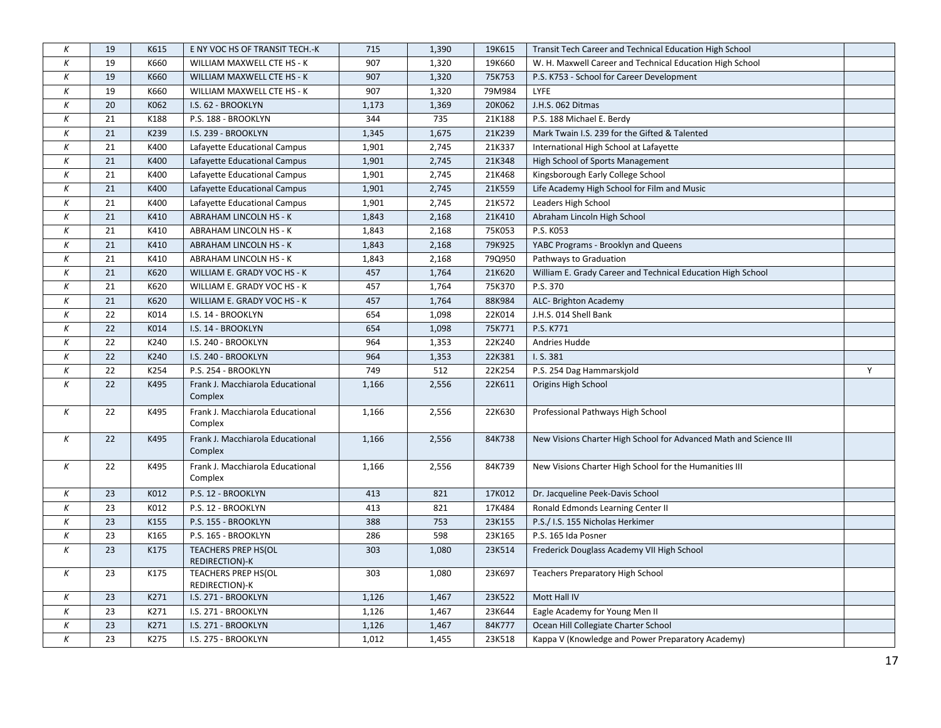| К                | 19 | K615 | E NY VOC HS OF TRANSIT TECH.-K               | 715   | 1,390 | 19K615 | Transit Tech Career and Technical Education High School           |   |
|------------------|----|------|----------------------------------------------|-------|-------|--------|-------------------------------------------------------------------|---|
| $\boldsymbol{K}$ | 19 | K660 | WILLIAM MAXWELL CTE HS - K                   | 907   | 1,320 | 19K660 | W. H. Maxwell Career and Technical Education High School          |   |
| К                | 19 | K660 | WILLIAM MAXWELL CTE HS - K                   | 907   | 1,320 | 75K753 | P.S. K753 - School for Career Development                         |   |
| К                | 19 | K660 | WILLIAM MAXWELL CTE HS - K                   | 907   | 1,320 | 79M984 | LYFE                                                              |   |
| К                | 20 | K062 | I.S. 62 - BROOKLYN                           | 1,173 | 1,369 | 20K062 | J.H.S. 062 Ditmas                                                 |   |
| К                | 21 | K188 | P.S. 188 - BROOKLYN                          | 344   | 735   | 21K188 | P.S. 188 Michael E. Berdy                                         |   |
| К                | 21 | K239 | I.S. 239 - BROOKLYN                          | 1,345 | 1,675 | 21K239 | Mark Twain I.S. 239 for the Gifted & Talented                     |   |
| К                | 21 | K400 | Lafayette Educational Campus                 | 1,901 | 2,745 | 21K337 | International High School at Lafayette                            |   |
| К                | 21 | K400 | Lafayette Educational Campus                 | 1,901 | 2,745 | 21K348 | High School of Sports Management                                  |   |
| $\boldsymbol{K}$ | 21 | K400 | Lafayette Educational Campus                 | 1,901 | 2,745 | 21K468 | Kingsborough Early College School                                 |   |
| К                | 21 | K400 | Lafayette Educational Campus                 | 1,901 | 2,745 | 21K559 | Life Academy High School for Film and Music                       |   |
| $\boldsymbol{K}$ | 21 | K400 | Lafayette Educational Campus                 | 1,901 | 2,745 | 21K572 | Leaders High School                                               |   |
| К                | 21 | K410 | ABRAHAM LINCOLN HS - K                       | 1,843 | 2,168 | 21K410 | Abraham Lincoln High School                                       |   |
| К                | 21 | K410 | ABRAHAM LINCOLN HS - K                       | 1,843 | 2,168 | 75K053 | P.S. K053                                                         |   |
| К                | 21 | K410 | ABRAHAM LINCOLN HS - K                       | 1,843 | 2,168 | 79K925 | YABC Programs - Brooklyn and Queens                               |   |
| К                | 21 | K410 | <b>ABRAHAM LINCOLN HS - K</b>                | 1,843 | 2,168 | 79Q950 | Pathways to Graduation                                            |   |
| К                | 21 | K620 | WILLIAM E. GRADY VOC HS - K                  | 457   | 1,764 | 21K620 | William E. Grady Career and Technical Education High School       |   |
| К                | 21 | K620 | WILLIAM E. GRADY VOC HS - K                  | 457   | 1,764 | 75K370 | P.S. 370                                                          |   |
| К                | 21 | K620 | WILLIAM E. GRADY VOC HS - K                  | 457   | 1,764 | 88K984 | ALC- Brighton Academy                                             |   |
| К                | 22 | K014 | I.S. 14 - BROOKLYN                           | 654   | 1,098 | 22K014 | J.H.S. 014 Shell Bank                                             |   |
| Κ                | 22 | K014 | I.S. 14 - BROOKLYN                           | 654   | 1,098 | 75K771 | P.S. K771                                                         |   |
| К                | 22 | K240 | I.S. 240 - BROOKLYN                          | 964   | 1,353 | 22K240 | Andries Hudde                                                     |   |
| К                | 22 | K240 | I.S. 240 - BROOKLYN                          | 964   | 1,353 | 22K381 | I.S. 381                                                          |   |
| К                | 22 | K254 | P.S. 254 - BROOKLYN                          | 749   | 512   | 22K254 | P.S. 254 Dag Hammarskjold                                         | Y |
| К                | 22 | K495 | Frank J. Macchiarola Educational<br>Complex  | 1,166 | 2,556 | 22K611 | Origins High School                                               |   |
| К                | 22 | K495 | Frank J. Macchiarola Educational<br>Complex  | 1,166 | 2,556 | 22K630 | Professional Pathways High School                                 |   |
| К                | 22 | K495 | Frank J. Macchiarola Educational<br>Complex  | 1,166 | 2,556 | 84K738 | New Visions Charter High School for Advanced Math and Science III |   |
| К                | 22 | K495 | Frank J. Macchiarola Educational<br>Complex  | 1,166 | 2,556 | 84K739 | New Visions Charter High School for the Humanities III            |   |
| К                | 23 | K012 | P.S. 12 - BROOKLYN                           | 413   | 821   | 17K012 | Dr. Jacqueline Peek-Davis School                                  |   |
| К                | 23 | K012 | P.S. 12 - BROOKLYN                           | 413   | 821   | 17K484 | Ronald Edmonds Learning Center II                                 |   |
| $\boldsymbol{K}$ | 23 | K155 | P.S. 155 - BROOKLYN                          | 388   | 753   | 23K155 | P.S./ I.S. 155 Nicholas Herkimer                                  |   |
| $\boldsymbol{K}$ | 23 | K165 | P.S. 165 - BROOKLYN                          | 286   | 598   | 23K165 | P.S. 165 Ida Posner                                               |   |
| К                | 23 | K175 | <b>TEACHERS PREP HS(OL</b><br>REDIRECTION)-K | 303   | 1,080 | 23K514 | Frederick Douglass Academy VII High School                        |   |
| К                | 23 | K175 | TEACHERS PREP HS(OL<br>REDIRECTION)-K        | 303   | 1,080 | 23K697 | Teachers Preparatory High School                                  |   |
| К                | 23 | K271 | I.S. 271 - BROOKLYN                          | 1,126 | 1,467 | 23K522 | Mott Hall IV                                                      |   |
| $\boldsymbol{K}$ | 23 | K271 | I.S. 271 - BROOKLYN                          | 1,126 | 1,467 | 23K644 | Eagle Academy for Young Men II                                    |   |
| К                | 23 | K271 | I.S. 271 - BROOKLYN                          | 1,126 | 1,467 | 84K777 | Ocean Hill Collegiate Charter School                              |   |
| Κ                | 23 | K275 | I.S. 275 - BROOKLYN                          | 1,012 | 1,455 | 23K518 | Kappa V (Knowledge and Power Preparatory Academy)                 |   |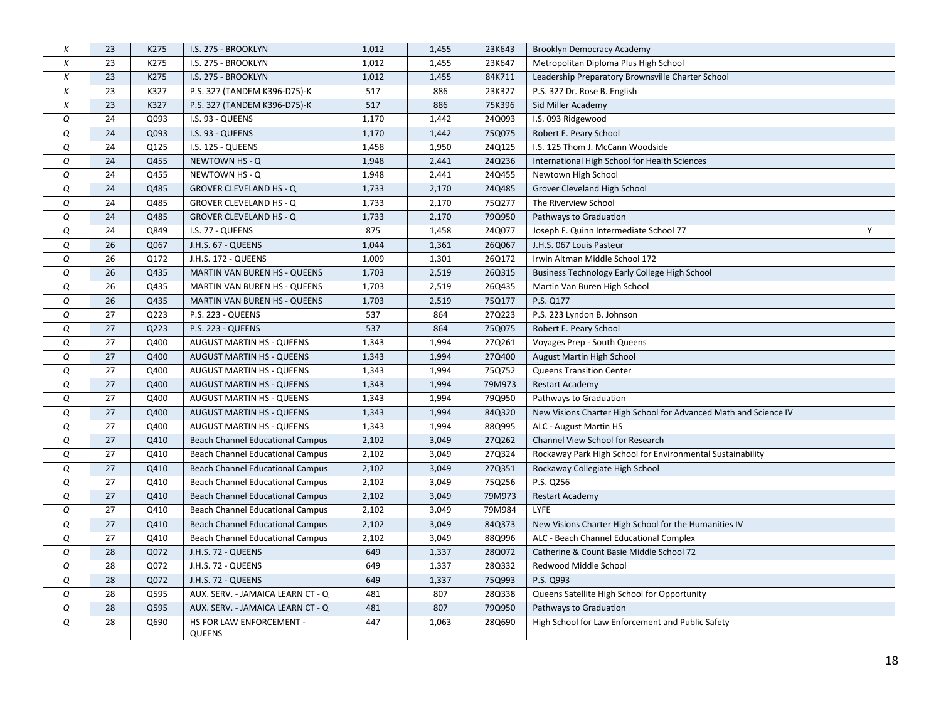| К | 23 | K275 | I.S. 275 - BROOKLYN                       | 1,012 | 1,455 | 23K643 | <b>Brooklyn Democracy Academy</b>                                |   |
|---|----|------|-------------------------------------------|-------|-------|--------|------------------------------------------------------------------|---|
| К | 23 | K275 | I.S. 275 - BROOKLYN                       | 1,012 | 1,455 | 23K647 | Metropolitan Diploma Plus High School                            |   |
| Κ | 23 | K275 | I.S. 275 - BROOKLYN                       | 1,012 | 1,455 | 84K711 | Leadership Preparatory Brownsville Charter School                |   |
| К | 23 | K327 | P.S. 327 (TANDEM K396-D75)-K              | 517   | 886   | 23K327 | P.S. 327 Dr. Rose B. English                                     |   |
| К | 23 | K327 | P.S. 327 (TANDEM K396-D75)-K              | 517   | 886   | 75K396 | Sid Miller Academy                                               |   |
| Q | 24 | Q093 | I.S. 93 - QUEENS                          | 1,170 | 1,442 | 24Q093 | I.S. 093 Ridgewood                                               |   |
| Q | 24 | Q093 | I.S. 93 - QUEENS                          | 1,170 | 1,442 | 75Q075 | Robert E. Peary School                                           |   |
| Q | 24 | Q125 | I.S. 125 - QUEENS                         | 1,458 | 1,950 | 24Q125 | I.S. 125 Thom J. McCann Woodside                                 |   |
| Q | 24 | Q455 | NEWTOWN HS - Q                            | 1,948 | 2,441 | 24Q236 | International High School for Health Sciences                    |   |
| Q | 24 | Q455 | NEWTOWN HS - Q                            | 1,948 | 2,441 | 24Q455 | Newtown High School                                              |   |
| Q | 24 | Q485 | <b>GROVER CLEVELAND HS - Q</b>            | 1,733 | 2,170 | 24Q485 | Grover Cleveland High School                                     |   |
| Q | 24 | Q485 | <b>GROVER CLEVELAND HS - Q</b>            | 1,733 | 2,170 | 75Q277 | The Riverview School                                             |   |
| Q | 24 | Q485 | <b>GROVER CLEVELAND HS - Q</b>            | 1,733 | 2,170 | 79Q950 | Pathways to Graduation                                           |   |
| Q | 24 | Q849 | I.S. 77 - QUEENS                          | 875   | 1,458 | 24Q077 | Joseph F. Quinn Intermediate School 77                           | Y |
| Q | 26 | Q067 | J.H.S. 67 - QUEENS                        | 1,044 | 1,361 | 26Q067 | J.H.S. 067 Louis Pasteur                                         |   |
| Q | 26 | Q172 | J.H.S. 172 - QUEENS                       | 1,009 | 1,301 | 26Q172 | Irwin Altman Middle School 172                                   |   |
| Q | 26 | Q435 | MARTIN VAN BUREN HS - QUEENS              | 1,703 | 2,519 | 26Q315 | Business Technology Early College High School                    |   |
| Q | 26 | Q435 | MARTIN VAN BUREN HS - QUEENS              | 1,703 | 2,519 | 26Q435 | Martin Van Buren High School                                     |   |
| Q | 26 | Q435 | <b>MARTIN VAN BUREN HS - QUEENS</b>       | 1,703 | 2,519 | 75Q177 | P.S. Q177                                                        |   |
| Q | 27 | Q223 | P.S. 223 - QUEENS                         | 537   | 864   | 27Q223 | P.S. 223 Lyndon B. Johnson                                       |   |
| Q | 27 | Q223 | <b>P.S. 223 - QUEENS</b>                  | 537   | 864   | 75Q075 | Robert E. Peary School                                           |   |
| Q | 27 | Q400 | <b>AUGUST MARTIN HS - QUEENS</b>          | 1,343 | 1,994 | 27Q261 | Voyages Prep - South Queens                                      |   |
| Q | 27 | Q400 | AUGUST MARTIN HS - QUEENS                 | 1,343 | 1,994 | 27Q400 | August Martin High School                                        |   |
| Q | 27 | Q400 | <b>AUGUST MARTIN HS - QUEENS</b>          | 1,343 | 1,994 | 75Q752 | <b>Queens Transition Center</b>                                  |   |
| Q | 27 | Q400 | <b>AUGUST MARTIN HS - QUEENS</b>          | 1,343 | 1,994 | 79M973 | <b>Restart Academy</b>                                           |   |
| Q | 27 | Q400 | <b>AUGUST MARTIN HS - QUEENS</b>          | 1,343 | 1,994 | 79Q950 | Pathways to Graduation                                           |   |
| Q | 27 | Q400 | <b>AUGUST MARTIN HS - QUEENS</b>          | 1,343 | 1,994 | 84Q320 | New Visions Charter High School for Advanced Math and Science IV |   |
| Q | 27 | Q400 | <b>AUGUST MARTIN HS - QUEENS</b>          | 1,343 | 1,994 | 88Q995 | ALC - August Martin HS                                           |   |
| Q | 27 | Q410 | <b>Beach Channel Educational Campus</b>   | 2,102 | 3,049 | 27Q262 | Channel View School for Research                                 |   |
| Q | 27 | Q410 | Beach Channel Educational Campus          | 2,102 | 3,049 | 27Q324 | Rockaway Park High School for Environmental Sustainability       |   |
| Q | 27 | Q410 | Beach Channel Educational Campus          | 2,102 | 3,049 | 27Q351 | Rockaway Collegiate High School                                  |   |
| Q | 27 | Q410 | <b>Beach Channel Educational Campus</b>   | 2,102 | 3,049 | 75Q256 | P.S. Q256                                                        |   |
| Q | 27 | Q410 | <b>Beach Channel Educational Campus</b>   | 2,102 | 3,049 | 79M973 | <b>Restart Academy</b>                                           |   |
| Q | 27 | Q410 | <b>Beach Channel Educational Campus</b>   | 2,102 | 3,049 | 79M984 | LYFE                                                             |   |
| Q | 27 | Q410 | Beach Channel Educational Campus          | 2,102 | 3,049 | 84Q373 | New Visions Charter High School for the Humanities IV            |   |
| Q | 27 | Q410 | Beach Channel Educational Campus          | 2,102 | 3,049 | 88Q996 | ALC - Beach Channel Educational Complex                          |   |
| Q | 28 | Q072 | J.H.S. 72 - QUEENS                        | 649   | 1,337 | 28Q072 | Catherine & Count Basie Middle School 72                         |   |
| Q | 28 | Q072 | J.H.S. 72 - QUEENS                        | 649   | 1,337 | 28Q332 | Redwood Middle School                                            |   |
| Q | 28 | Q072 | J.H.S. 72 - QUEENS                        | 649   | 1,337 | 75Q993 | P.S. Q993                                                        |   |
| Q | 28 | Q595 | AUX. SERV. - JAMAICA LEARN CT - Q         | 481   | 807   | 28Q338 | Queens Satellite High School for Opportunity                     |   |
| Q | 28 | Q595 | AUX. SERV. - JAMAICA LEARN CT - Q         | 481   | 807   | 79Q950 | Pathways to Graduation                                           |   |
| Q | 28 | Q690 | HS FOR LAW ENFORCEMENT -<br><b>QUEENS</b> | 447   | 1,063 | 28Q690 | High School for Law Enforcement and Public Safety                |   |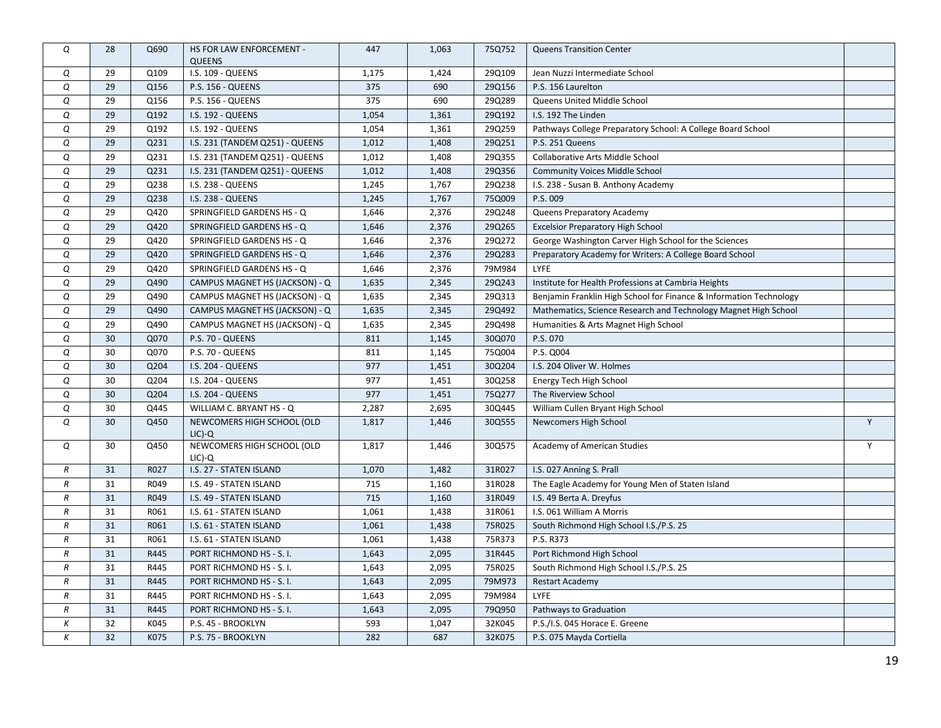| Q             | 28 | Q690 | HS FOR LAW ENFORCEMENT -<br><b>QUEENS</b> | 447   | 1,063 | 75Q752 | <b>Queens Transition Center</b>                                    |   |
|---------------|----|------|-------------------------------------------|-------|-------|--------|--------------------------------------------------------------------|---|
| Q             | 29 | Q109 | I.S. 109 - QUEENS                         | 1,175 | 1,424 | 29Q109 | Jean Nuzzi Intermediate School                                     |   |
| Q             | 29 | Q156 | <b>P.S. 156 - QUEENS</b>                  | 375   | 690   | 29Q156 | P.S. 156 Laurelton                                                 |   |
| Q             | 29 | Q156 | P.S. 156 - QUEENS                         | 375   | 690   | 29Q289 | Queens United Middle School                                        |   |
| Q             | 29 | Q192 | I.S. 192 - QUEENS                         | 1,054 | 1,361 | 29Q192 | I.S. 192 The Linden                                                |   |
| Q             | 29 | Q192 | I.S. 192 - QUEENS                         | 1,054 | 1,361 | 29Q259 | Pathways College Preparatory School: A College Board School        |   |
| Q             | 29 | Q231 | I.S. 231 (TANDEM Q251) - QUEENS           | 1,012 | 1,408 | 29Q251 | P.S. 251 Queens                                                    |   |
| Q             | 29 | Q231 | I.S. 231 (TANDEM Q251) - QUEENS           | 1,012 | 1,408 | 29Q355 | Collaborative Arts Middle School                                   |   |
| Q             | 29 | Q231 | I.S. 231 (TANDEM Q251) - QUEENS           | 1,012 | 1,408 | 29Q356 | <b>Community Voices Middle School</b>                              |   |
| Q             | 29 | Q238 | I.S. 238 - QUEENS                         | 1,245 | 1,767 | 29Q238 | I.S. 238 - Susan B. Anthony Academy                                |   |
| Q             | 29 | Q238 | <b>I.S. 238 - QUEENS</b>                  | 1,245 | 1,767 | 75Q009 | P.S. 009                                                           |   |
| Q             | 29 | Q420 | SPRINGFIELD GARDENS HS - Q                | 1,646 | 2,376 | 29Q248 | Queens Preparatory Academy                                         |   |
| Q             | 29 | Q420 | SPRINGFIELD GARDENS HS - Q                | 1,646 | 2,376 | 29Q265 | <b>Excelsior Preparatory High School</b>                           |   |
| Q             | 29 | Q420 | SPRINGFIELD GARDENS HS - Q                | 1,646 | 2,376 | 29Q272 | George Washington Carver High School for the Sciences              |   |
| Q             | 29 | Q420 | SPRINGFIELD GARDENS HS - Q                | 1,646 | 2,376 | 29Q283 | Preparatory Academy for Writers: A College Board School            |   |
| Q             | 29 | Q420 | SPRINGFIELD GARDENS HS - Q                | 1,646 | 2,376 | 79M984 | <b>LYFE</b>                                                        |   |
| Q             | 29 | Q490 | CAMPUS MAGNET HS (JACKSON) - Q            | 1,635 | 2,345 | 29Q243 | Institute for Health Professions at Cambria Heights                |   |
| Q             | 29 | Q490 | CAMPUS MAGNET HS (JACKSON) - Q            | 1,635 | 2,345 | 29Q313 | Benjamin Franklin High School for Finance & Information Technology |   |
| Q             | 29 | Q490 | CAMPUS MAGNET HS (JACKSON) - Q            | 1,635 | 2,345 | 29Q492 | Mathematics, Science Research and Technology Magnet High School    |   |
| Q             | 29 | Q490 | CAMPUS MAGNET HS (JACKSON) - Q            | 1,635 | 2,345 | 29Q498 | Humanities & Arts Magnet High School                               |   |
| Q             | 30 | Q070 | P.S. 70 - QUEENS                          | 811   | 1,145 | 30Q070 | P.S. 070                                                           |   |
| Q             | 30 | Q070 | P.S. 70 - QUEENS                          | 811   | 1,145 | 75Q004 | P.S. Q004                                                          |   |
| Q             | 30 | Q204 | I.S. 204 - QUEENS                         | 977   | 1,451 | 30Q204 | I.S. 204 Oliver W. Holmes                                          |   |
| Q             | 30 | Q204 | I.S. 204 - QUEENS                         | 977   | 1,451 | 30Q258 | Energy Tech High School                                            |   |
| Q             | 30 | Q204 | I.S. 204 - QUEENS                         | 977   | 1,451 | 75Q277 | The Riverview School                                               |   |
| Q             | 30 | Q445 | WILLIAM C. BRYANT HS - Q                  | 2,287 | 2,695 | 30Q445 | William Cullen Bryant High School                                  |   |
| Q             | 30 | Q450 | NEWCOMERS HIGH SCHOOL (OLD<br>$LIC$ )-Q   | 1,817 | 1,446 | 30Q555 | Newcomers High School                                              | Y |
| Q             | 30 | Q450 | NEWCOMERS HIGH SCHOOL (OLD<br>$LIC$ )-Q   | 1,817 | 1,446 | 30Q575 | Academy of American Studies                                        | Y |
| $\,R$         | 31 | R027 | I.S. 27 - STATEN ISLAND                   | 1,070 | 1,482 | 31R027 | I.S. 027 Anning S. Prall                                           |   |
| $\,R$         | 31 | R049 | I.S. 49 - STATEN ISLAND                   | 715   | 1,160 | 31R028 | The Eagle Academy for Young Men of Staten Island                   |   |
| R             | 31 | R049 | I.S. 49 - STATEN ISLAND                   | 715   | 1,160 | 31R049 | I.S. 49 Berta A. Dreyfus                                           |   |
| $\,R$         | 31 | R061 | I.S. 61 - STATEN ISLAND                   | 1,061 | 1,438 | 31R061 | I.S. 061 William A Morris                                          |   |
| R             | 31 | R061 | I.S. 61 - STATEN ISLAND                   | 1,061 | 1,438 | 75R025 | South Richmond High School I.S./P.S. 25                            |   |
| $\,R$         | 31 | R061 | I.S. 61 - STATEN ISLAND                   | 1,061 | 1,438 | 75R373 | P.S. R373                                                          |   |
| $\cal R$      | 31 | R445 | PORT RICHMOND HS - S.I.                   | 1,643 | 2,095 | 31R445 | Port Richmond High School                                          |   |
| $\cal R$      | 31 | R445 | PORT RICHMOND HS - S.I.                   | 1,643 | 2,095 | 75R025 | South Richmond High School I.S./P.S. 25                            |   |
| $\cal R$      | 31 | R445 | PORT RICHMOND HS - S. I.                  | 1,643 | 2,095 | 79M973 | <b>Restart Academy</b>                                             |   |
| $\, R$        | 31 | R445 | PORT RICHMOND HS - S.I.                   | 1,643 | 2,095 | 79M984 | <b>LYFE</b>                                                        |   |
| $\mathcal{R}$ | 31 | R445 | PORT RICHMOND HS - S. I.                  | 1,643 | 2,095 | 79Q950 | Pathways to Graduation                                             |   |
| К             | 32 | K045 | P.S. 45 - BROOKLYN                        | 593   | 1,047 | 32K045 | P.S./I.S. 045 Horace E. Greene                                     |   |
| Κ             | 32 | K075 | P.S. 75 - BROOKLYN                        | 282   | 687   | 32K075 | P.S. 075 Mayda Cortiella                                           |   |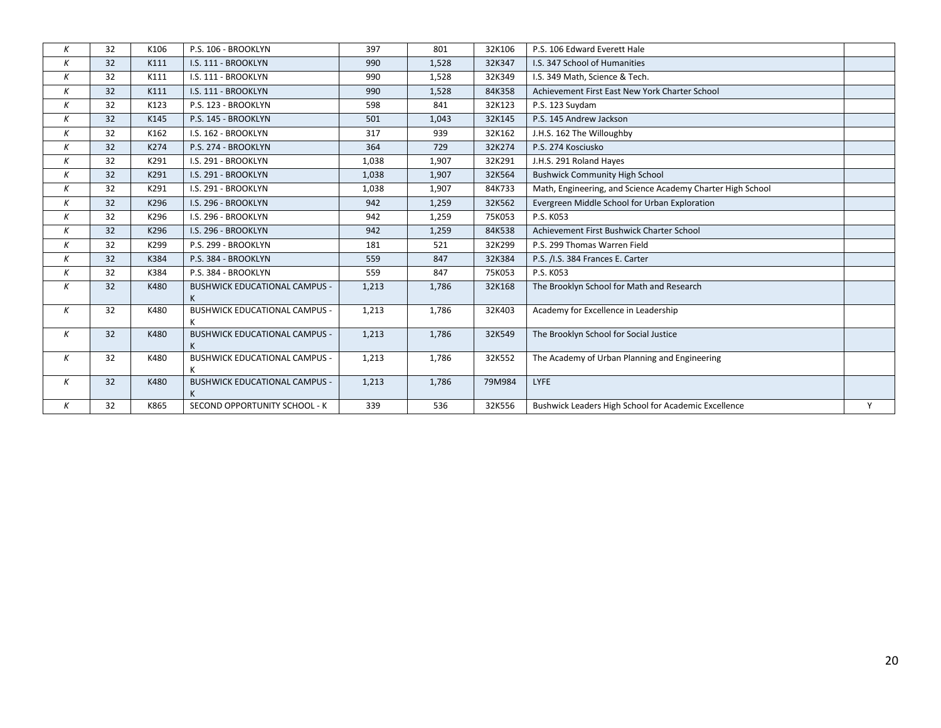| К | 32 | K106 | P.S. 106 - BROOKLYN                       | 397   | 801   | 32K106 | P.S. 106 Edward Everett Hale                               |   |
|---|----|------|-------------------------------------------|-------|-------|--------|------------------------------------------------------------|---|
| Κ | 32 | K111 | I.S. 111 - BROOKLYN                       | 990   | 1,528 | 32K347 | <b>I.S. 347 School of Humanities</b>                       |   |
| Κ | 32 | K111 | I.S. 111 - BROOKLYN                       | 990   | 1,528 | 32K349 | I.S. 349 Math, Science & Tech.                             |   |
| Κ | 32 | K111 | I.S. 111 - BROOKLYN                       | 990   | 1,528 | 84K358 | Achievement First East New York Charter School             |   |
| Κ | 32 | K123 | P.S. 123 - BROOKLYN                       | 598   | 841   | 32K123 | P.S. 123 Suydam                                            |   |
| K | 32 | K145 | P.S. 145 - BROOKLYN                       | 501   | 1,043 | 32K145 | P.S. 145 Andrew Jackson                                    |   |
| Κ | 32 | K162 | I.S. 162 - BROOKLYN                       | 317   | 939   | 32K162 | J.H.S. 162 The Willoughby                                  |   |
| Κ | 32 | K274 | P.S. 274 - BROOKLYN                       | 364   | 729   | 32K274 | P.S. 274 Kosciusko                                         |   |
| Κ | 32 | K291 | I.S. 291 - BROOKLYN                       | 1,038 | 1,907 | 32K291 | J.H.S. 291 Roland Hayes                                    |   |
| Κ | 32 | K291 | I.S. 291 - BROOKLYN                       | 1,038 | 1,907 | 32K564 | <b>Bushwick Community High School</b>                      |   |
| К | 32 | K291 | I.S. 291 - BROOKLYN                       | 1,038 | 1,907 | 84K733 | Math, Engineering, and Science Academy Charter High School |   |
| Κ | 32 | K296 | I.S. 296 - BROOKLYN                       | 942   | 1,259 | 32K562 | Evergreen Middle School for Urban Exploration              |   |
| Κ | 32 | K296 | I.S. 296 - BROOKLYN                       | 942   | 1,259 | 75K053 | P.S. K053                                                  |   |
| Κ | 32 | K296 | I.S. 296 - BROOKLYN                       | 942   | 1,259 | 84K538 | Achievement First Bushwick Charter School                  |   |
| К | 32 | K299 | P.S. 299 - BROOKLYN                       | 181   | 521   | 32K299 | P.S. 299 Thomas Warren Field                               |   |
| K | 32 | K384 | P.S. 384 - BROOKLYN                       | 559   | 847   | 32K384 | P.S. /I.S. 384 Frances E. Carter                           |   |
| Κ | 32 | K384 | P.S. 384 - BROOKLYN                       | 559   | 847   | 75K053 | P.S. K053                                                  |   |
| K | 32 | K480 | <b>BUSHWICK EDUCATIONAL CAMPUS -</b>      | 1,213 | 1,786 | 32K168 | The Brooklyn School for Math and Research                  |   |
| К | 32 | K480 | <b>BUSHWICK EDUCATIONAL CAMPUS -</b><br>K | 1,213 | 1,786 | 32K403 | Academy for Excellence in Leadership                       |   |
| Κ | 32 | K480 | <b>BUSHWICK EDUCATIONAL CAMPUS -</b><br>K | 1,213 | 1,786 | 32K549 | The Brooklyn School for Social Justice                     |   |
| К | 32 | K480 | <b>BUSHWICK EDUCATIONAL CAMPUS -</b>      | 1,213 | 1,786 | 32K552 | The Academy of Urban Planning and Engineering              |   |
| К | 32 | K480 | <b>BUSHWICK EDUCATIONAL CAMPUS -</b><br>K | 1,213 | 1,786 | 79M984 | LYFE                                                       |   |
| K | 32 | K865 | SECOND OPPORTUNITY SCHOOL - K             | 339   | 536   | 32K556 | Bushwick Leaders High School for Academic Excellence       | Y |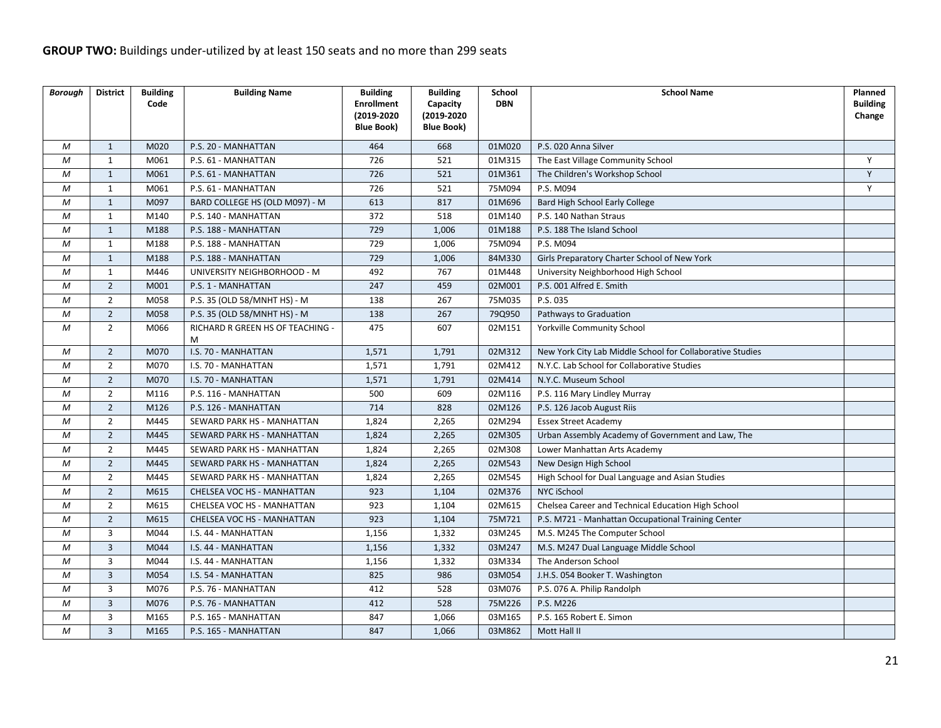| Borough | <b>District</b> | <b>Building</b> | <b>Building Name</b>                  | <b>Building</b>                 | <b>Building</b>                 | <b>School</b> | <b>School Name</b>                                        | Planned         |
|---------|-----------------|-----------------|---------------------------------------|---------------------------------|---------------------------------|---------------|-----------------------------------------------------------|-----------------|
|         |                 | Code            |                                       | <b>Enrollment</b>               | Capacity                        | <b>DBN</b>    |                                                           | <b>Building</b> |
|         |                 |                 |                                       | (2019-2020<br><b>Blue Book)</b> | (2019-2020<br><b>Blue Book)</b> |               |                                                           | Change          |
|         |                 |                 |                                       |                                 |                                 |               |                                                           |                 |
| M       | $\mathbf{1}$    | M020            | P.S. 20 - MANHATTAN                   | 464                             | 668                             | 01M020        | P.S. 020 Anna Silver                                      |                 |
| M       | $\mathbf{1}$    | M061            | P.S. 61 - MANHATTAN                   | 726                             | 521                             | 01M315        | The East Village Community School                         | Y               |
| М       | $\mathbf{1}$    | M061            | P.S. 61 - MANHATTAN                   | 726                             | 521                             | 01M361        | The Children's Workshop School                            | Y               |
| M       | $\mathbf{1}$    | M061            | P.S. 61 - MANHATTAN                   | 726                             | 521                             | 75M094        | P.S. M094                                                 | Y               |
| М       | $\mathbf{1}$    | M097            | BARD COLLEGE HS (OLD M097) - M        | 613                             | 817                             | 01M696        | Bard High School Early College                            |                 |
| M       | $\mathbf{1}$    | M140            | P.S. 140 - MANHATTAN                  | 372                             | 518                             | 01M140        | P.S. 140 Nathan Straus                                    |                 |
| M       | $\mathbf{1}$    | M188            | P.S. 188 - MANHATTAN                  | 729                             | 1,006                           | 01M188        | P.S. 188 The Island School                                |                 |
| M       | $\mathbf{1}$    | M188            | P.S. 188 - MANHATTAN                  | 729                             | 1,006                           | 75M094        | P.S. M094                                                 |                 |
| M       | $\mathbf{1}$    | M188            | P.S. 188 - MANHATTAN                  | 729                             | 1,006                           | 84M330        | Girls Preparatory Charter School of New York              |                 |
| M       | $\mathbf{1}$    | M446            | UNIVERSITY NEIGHBORHOOD - M           | 492                             | 767                             | 01M448        | University Neighborhood High School                       |                 |
| M       | $\overline{2}$  | M001            | P.S. 1 - MANHATTAN                    | 247                             | 459                             | 02M001        | P.S. 001 Alfred E. Smith                                  |                 |
| M       | $\overline{2}$  | M058            | P.S. 35 (OLD 58/MNHT HS) - M          | 138                             | 267                             | 75M035        | P.S. 035                                                  |                 |
| M       | $\overline{2}$  | M058            | P.S. 35 (OLD 58/MNHT HS) - M          | 138                             | 267                             | 79Q950        | Pathways to Graduation                                    |                 |
| М       | $\overline{2}$  | M066            | RICHARD R GREEN HS OF TEACHING -<br>M | 475                             | 607                             | 02M151        | <b>Yorkville Community School</b>                         |                 |
| М       | $\overline{2}$  | M070            | I.S. 70 - MANHATTAN                   | 1,571                           | 1,791                           | 02M312        | New York City Lab Middle School for Collaborative Studies |                 |
| M       | $\overline{2}$  | M070            | I.S. 70 - MANHATTAN                   | 1,571                           | 1,791                           | 02M412        | N.Y.C. Lab School for Collaborative Studies               |                 |
| M       | $\overline{2}$  | M070            | I.S. 70 - MANHATTAN                   | 1,571                           | 1,791                           | 02M414        | N.Y.C. Museum School                                      |                 |
| M       | $\overline{2}$  | M116            | P.S. 116 - MANHATTAN                  | 500                             | 609                             | 02M116        | P.S. 116 Mary Lindley Murray                              |                 |
| M       | $\overline{2}$  | M126            | P.S. 126 - MANHATTAN                  | $\overline{714}$                | 828                             | 02M126        | P.S. 126 Jacob August Riis                                |                 |
| М       | $\overline{2}$  | M445            | SEWARD PARK HS - MANHATTAN            | 1,824                           | 2,265                           | 02M294        | <b>Essex Street Academy</b>                               |                 |
| М       | $\overline{2}$  | M445            | SEWARD PARK HS - MANHATTAN            | 1,824                           | 2,265                           | 02M305        | Urban Assembly Academy of Government and Law, The         |                 |
| M       | $\overline{2}$  | M445            | SEWARD PARK HS - MANHATTAN            | 1,824                           | 2,265                           | 02M308        | Lower Manhattan Arts Academy                              |                 |
| М       | $\overline{2}$  | M445            | SEWARD PARK HS - MANHATTAN            | 1,824                           | 2,265                           | 02M543        | New Design High School                                    |                 |
| M       | $\overline{2}$  | M445            | SEWARD PARK HS - MANHATTAN            | 1,824                           | 2,265                           | 02M545        | High School for Dual Language and Asian Studies           |                 |
| M       | $\overline{2}$  | M615            | CHELSEA VOC HS - MANHATTAN            | 923                             | 1,104                           | 02M376        | NYC iSchool                                               |                 |
| M       | $\overline{2}$  | M615            | CHELSEA VOC HS - MANHATTAN            | 923                             | 1,104                           | 02M615        | Chelsea Career and Technical Education High School        |                 |
| M       | $\overline{2}$  | M615            | CHELSEA VOC HS - MANHATTAN            | 923                             | 1,104                           | 75M721        | P.S. M721 - Manhattan Occupational Training Center        |                 |
| М       | 3               | M044            | I.S. 44 - MANHATTAN                   | 1,156                           | 1,332                           | 03M245        | M.S. M245 The Computer School                             |                 |
| M       | $\overline{3}$  | M044            | I.S. 44 - MANHATTAN                   | 1,156                           | 1,332                           | 03M247        | M.S. M247 Dual Language Middle School                     |                 |
| M       | 3               | M044            | I.S. 44 - MANHATTAN                   | 1,156                           | 1,332                           | 03M334        | The Anderson School                                       |                 |
| M       | $\overline{3}$  | M054            | I.S. 54 - MANHATTAN                   | 825                             | 986                             | 03M054        | J.H.S. 054 Booker T. Washington                           |                 |
| M       | 3               | M076            | P.S. 76 - MANHATTAN                   | 412                             | 528                             | 03M076        | P.S. 076 A. Philip Randolph                               |                 |
| M       | $\overline{3}$  | M076            | P.S. 76 - MANHATTAN                   | 412                             | 528                             | 75M226        | P.S. M226                                                 |                 |
| M       | 3               | M165            | P.S. 165 - MANHATTAN                  | 847                             | 1,066                           | 03M165        | P.S. 165 Robert E. Simon                                  |                 |
| M       | $\overline{3}$  | M165            | P.S. 165 - MANHATTAN                  | 847                             | 1,066                           | 03M862        | Mott Hall II                                              |                 |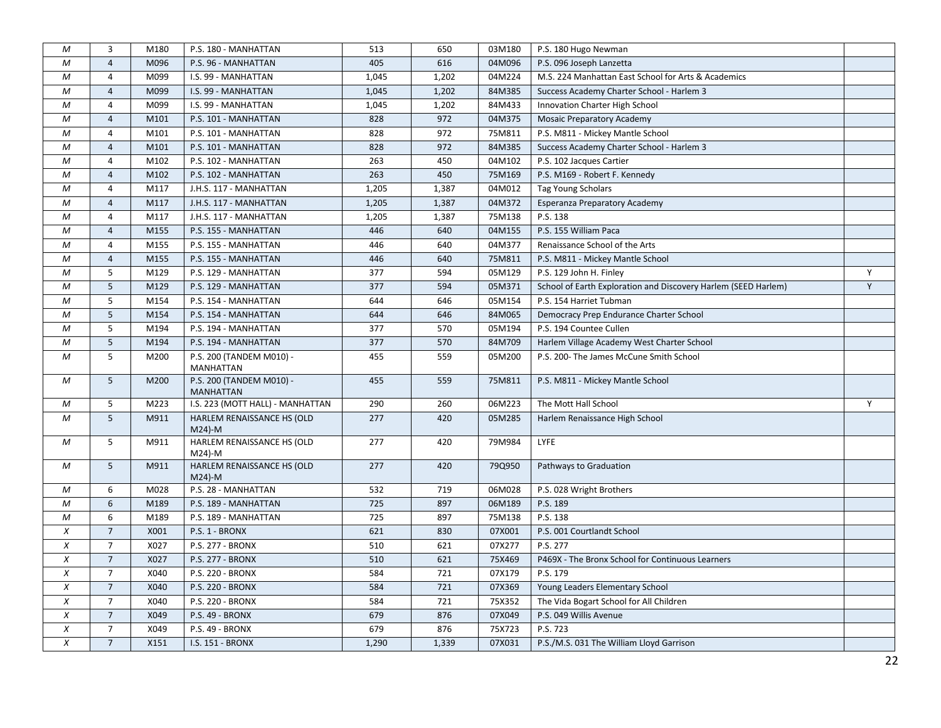| М            | 3              | M180 | P.S. 180 - MANHATTAN                         | 513   | 650   | 03M180 | P.S. 180 Hugo Newman                                           |   |
|--------------|----------------|------|----------------------------------------------|-------|-------|--------|----------------------------------------------------------------|---|
| M            | $\overline{4}$ | M096 | P.S. 96 - MANHATTAN                          | 405   | 616   | 04M096 | P.S. 096 Joseph Lanzetta                                       |   |
| M            | 4              | M099 | I.S. 99 - MANHATTAN                          | 1,045 | 1,202 | 04M224 | M.S. 224 Manhattan East School for Arts & Academics            |   |
| M            | 4              | M099 | I.S. 99 - MANHATTAN                          | 1,045 | 1,202 | 84M385 | Success Academy Charter School - Harlem 3                      |   |
| M            | 4              | M099 | I.S. 99 - MANHATTAN                          | 1,045 | 1,202 | 84M433 | Innovation Charter High School                                 |   |
| M            | $\overline{4}$ | M101 | P.S. 101 - MANHATTAN                         | 828   | 972   | 04M375 | <b>Mosaic Preparatory Academy</b>                              |   |
| M            | 4              | M101 | P.S. 101 - MANHATTAN                         | 828   | 972   | 75M811 | P.S. M811 - Mickey Mantle School                               |   |
| M            | $\overline{4}$ | M101 | P.S. 101 - MANHATTAN                         | 828   | 972   | 84M385 | Success Academy Charter School - Harlem 3                      |   |
| M            | 4              | M102 | P.S. 102 - MANHATTAN                         | 263   | 450   | 04M102 | P.S. 102 Jacques Cartier                                       |   |
| M            | 4              | M102 | P.S. 102 - MANHATTAN                         | 263   | 450   | 75M169 | P.S. M169 - Robert F. Kennedy                                  |   |
| M            | 4              | M117 | J.H.S. 117 - MANHATTAN                       | 1,205 | 1,387 | 04M012 | <b>Tag Young Scholars</b>                                      |   |
| $\mathcal M$ | $\overline{4}$ | M117 | J.H.S. 117 - MANHATTAN                       | 1,205 | 1,387 | 04M372 | Esperanza Preparatory Academy                                  |   |
| М            | $\overline{4}$ | M117 | J.H.S. 117 - MANHATTAN                       | 1,205 | 1,387 | 75M138 | P.S. 138                                                       |   |
| ${\cal M}$   | $\overline{4}$ | M155 | P.S. 155 - MANHATTAN                         | 446   | 640   | 04M155 | P.S. 155 William Paca                                          |   |
| M            | $\overline{4}$ | M155 | P.S. 155 - MANHATTAN                         | 446   | 640   | 04M377 | Renaissance School of the Arts                                 |   |
| M            | $\overline{4}$ | M155 | P.S. 155 - MANHATTAN                         | 446   | 640   | 75M811 | P.S. M811 - Mickey Mantle School                               |   |
| M            | 5              | M129 | P.S. 129 - MANHATTAN                         | 377   | 594   | 05M129 | P.S. 129 John H. Finley                                        | Y |
| M            | 5              | M129 | P.S. 129 - MANHATTAN                         | 377   | 594   | 05M371 | School of Earth Exploration and Discovery Harlem (SEED Harlem) | Y |
| M            | 5              | M154 | P.S. 154 - MANHATTAN                         | 644   | 646   | 05M154 | P.S. 154 Harriet Tubman                                        |   |
| M            | 5              | M154 | P.S. 154 - MANHATTAN                         | 644   | 646   | 84M065 | Democracy Prep Endurance Charter School                        |   |
| M            | 5              | M194 | P.S. 194 - MANHATTAN                         | 377   | 570   | 05M194 | P.S. 194 Countee Cullen                                        |   |
| M            | 5              | M194 | P.S. 194 - MANHATTAN                         | 377   | 570   | 84M709 | Harlem Village Academy West Charter School                     |   |
| M            | 5              | M200 | P.S. 200 (TANDEM M010) -<br>MANHATTAN        | 455   | 559   | 05M200 | P.S. 200- The James McCune Smith School                        |   |
| М            | 5              | M200 | P.S. 200 (TANDEM M010) -<br><b>MANHATTAN</b> | 455   | 559   | 75M811 | P.S. M811 - Mickey Mantle School                               |   |
| М            | 5              | M223 | I.S. 223 (MOTT HALL) - MANHATTAN             | 290   | 260   | 06M223 | The Mott Hall School                                           | Y |
| M            | 5              | M911 | HARLEM RENAISSANCE HS (OLD<br>$M24$ -M       | 277   | 420   | 05M285 | Harlem Renaissance High School                                 |   |
| М            | 5              | M911 | HARLEM RENAISSANCE HS (OLD                   | 277   | 420   | 79M984 | LYFE                                                           |   |
|              |                |      | $M24$ -M                                     |       |       |        |                                                                |   |
| М            | 5              | M911 | HARLEM RENAISSANCE HS (OLD<br>$M24$ -M       | 277   | 420   | 79Q950 | Pathways to Graduation                                         |   |
| М            | 6              | M028 | P.S. 28 - MANHATTAN                          | 532   | 719   | 06M028 | P.S. 028 Wright Brothers                                       |   |
| M            | 6              | M189 | P.S. 189 - MANHATTAN                         | 725   | 897   | 06M189 | P.S. 189                                                       |   |
| М            | 6              | M189 | P.S. 189 - MANHATTAN                         | 725   | 897   | 75M138 | P.S. 138                                                       |   |
| $\chi$       | $\overline{7}$ | X001 | P.S. 1 - BRONX                               | 621   | 830   | 07X001 | P.S. 001 Courtlandt School                                     |   |
| $\chi$       | $\overline{7}$ | X027 | P.S. 277 - BRONX                             | 510   | 621   | 07X277 | P.S. 277                                                       |   |
| X            | $\overline{7}$ | X027 | P.S. 277 - BRONX                             | 510   | 621   | 75X469 | P469X - The Bronx School for Continuous Learners               |   |
| X            | $\overline{7}$ | X040 | P.S. 220 - BRONX                             | 584   | 721   | 07X179 | P.S. 179                                                       |   |
| X            | $\overline{7}$ | X040 | P.S. 220 - BRONX                             | 584   | 721   | 07X369 | Young Leaders Elementary School                                |   |
| $\chi$       | $\overline{7}$ | X040 | P.S. 220 - BRONX                             | 584   | 721   | 75X352 | The Vida Bogart School for All Children                        |   |
| $\chi$       | $\overline{7}$ | X049 | P.S. 49 - BRONX                              | 679   | 876   | 07X049 | P.S. 049 Willis Avenue                                         |   |
| X            | $\overline{7}$ | X049 | P.S. 49 - BRONX                              | 679   | 876   | 75X723 | P.S. 723                                                       |   |
| $\chi$       | $\overline{7}$ | X151 | I.S. 151 - BRONX                             | 1,290 | 1,339 | 07X031 | P.S./M.S. 031 The William Lloyd Garrison                       |   |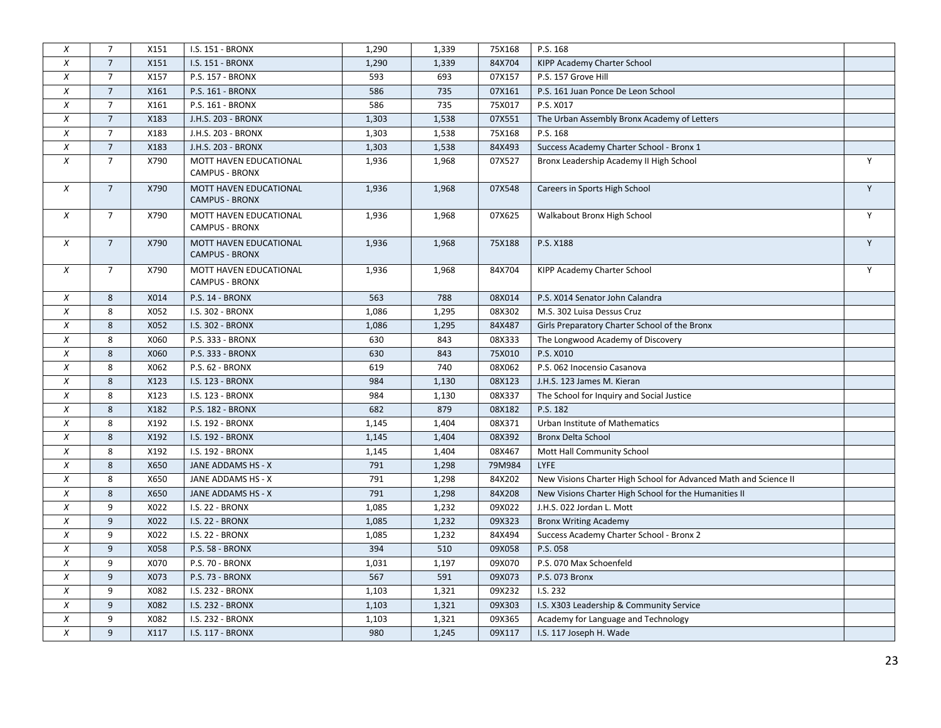| X                | $\overline{7}$ | X151 | I.S. 151 - BRONX                                | 1,290 | 1,339 | 75X168 | P.S. 168                                                         |   |
|------------------|----------------|------|-------------------------------------------------|-------|-------|--------|------------------------------------------------------------------|---|
| X                | $\overline{7}$ | X151 | I.S. 151 - BRONX                                | 1,290 | 1,339 | 84X704 | KIPP Academy Charter School                                      |   |
| $\chi$           | $\overline{7}$ | X157 | P.S. 157 - BRONX                                | 593   | 693   | 07X157 | P.S. 157 Grove Hill                                              |   |
| X                | $\overline{7}$ | X161 | P.S. 161 - BRONX                                | 586   | 735   | 07X161 | P.S. 161 Juan Ponce De Leon School                               |   |
| X                | $\overline{7}$ | X161 | P.S. 161 - BRONX                                | 586   | 735   | 75X017 | P.S. X017                                                        |   |
| X                | $\overline{7}$ | X183 | J.H.S. 203 - BRONX                              | 1,303 | 1,538 | 07X551 | The Urban Assembly Bronx Academy of Letters                      |   |
| X                | $\overline{7}$ | X183 | J.H.S. 203 - BRONX                              | 1,303 | 1,538 | 75X168 | P.S. 168                                                         |   |
| X                | $\overline{7}$ | X183 | J.H.S. 203 - BRONX                              | 1,303 | 1,538 | 84X493 | Success Academy Charter School - Bronx 1                         |   |
| $\chi$           | $\overline{7}$ | X790 | MOTT HAVEN EDUCATIONAL<br><b>CAMPUS - BRONX</b> | 1,936 | 1,968 | 07X527 | Bronx Leadership Academy II High School                          | Y |
| X                | $\overline{7}$ | X790 | MOTT HAVEN EDUCATIONAL<br><b>CAMPUS - BRONX</b> | 1,936 | 1,968 | 07X548 | Careers in Sports High School                                    | Y |
| X                | $7^{\circ}$    | X790 | MOTT HAVEN EDUCATIONAL<br><b>CAMPUS - BRONX</b> | 1,936 | 1,968 | 07X625 | Walkabout Bronx High School                                      | Y |
| X                | $\overline{7}$ | X790 | MOTT HAVEN EDUCATIONAL<br><b>CAMPUS - BRONX</b> | 1,936 | 1,968 | 75X188 | P.S. X188                                                        | Y |
| $\chi$           | $\overline{7}$ | X790 | MOTT HAVEN EDUCATIONAL<br><b>CAMPUS - BRONX</b> | 1,936 | 1,968 | 84X704 | KIPP Academy Charter School                                      | Y |
| $\boldsymbol{x}$ | 8              | X014 | P.S. 14 - BRONX                                 | 563   | 788   | 08X014 | P.S. X014 Senator John Calandra                                  |   |
| $\chi$           | 8              | X052 | I.S. 302 - BRONX                                | 1,086 | 1,295 | 08X302 | M.S. 302 Luisa Dessus Cruz                                       |   |
| X                | 8              | X052 | I.S. 302 - BRONX                                | 1,086 | 1,295 | 84X487 | Girls Preparatory Charter School of the Bronx                    |   |
| X                | 8              | X060 | P.S. 333 - BRONX                                | 630   | 843   | 08X333 | The Longwood Academy of Discovery                                |   |
| X                | 8              | X060 | P.S. 333 - BRONX                                | 630   | 843   | 75X010 | P.S. X010                                                        |   |
| X                | 8              | X062 | P.S. 62 - BRONX                                 | 619   | 740   | 08X062 | P.S. 062 Inocensio Casanova                                      |   |
| $\chi$           | 8              | X123 | I.S. 123 - BRONX                                | 984   | 1,130 | 08X123 | J.H.S. 123 James M. Kieran                                       |   |
| $\chi$           | 8              | X123 | I.S. 123 - BRONX                                | 984   | 1,130 | 08X337 | The School for Inquiry and Social Justice                        |   |
| $\chi$           | 8              | X182 | P.S. 182 - BRONX                                | 682   | 879   | 08X182 | P.S. 182                                                         |   |
| X                | 8              | X192 | I.S. 192 - BRONX                                | 1,145 | 1,404 | 08X371 | Urban Institute of Mathematics                                   |   |
| $\chi$           | 8              | X192 | I.S. 192 - BRONX                                | 1,145 | 1,404 | 08X392 | <b>Bronx Delta School</b>                                        |   |
| X                | 8              | X192 | I.S. 192 - BRONX                                | 1,145 | 1,404 | 08X467 | Mott Hall Community School                                       |   |
| X                | 8              | X650 | JANE ADDAMS HS - X                              | 791   | 1,298 | 79M984 | LYFE                                                             |   |
| $\chi$           | 8              | X650 | JANE ADDAMS HS - X                              | 791   | 1,298 | 84X202 | New Visions Charter High School for Advanced Math and Science II |   |
| X                | 8              | X650 | JANE ADDAMS HS - X                              | 791   | 1,298 | 84X208 | New Visions Charter High School for the Humanities II            |   |
| X                | 9              | X022 | I.S. 22 - BRONX                                 | 1,085 | 1,232 | 09X022 | J.H.S. 022 Jordan L. Mott                                        |   |
| $\chi$           | 9              | X022 | <b>I.S. 22 - BRONX</b>                          | 1,085 | 1,232 | 09X323 | <b>Bronx Writing Academy</b>                                     |   |
| X                | 9              | X022 | <b>I.S. 22 - BRONX</b>                          | 1,085 | 1,232 | 84X494 | Success Academy Charter School - Bronx 2                         |   |
| X                | 9              | X058 | P.S. 58 - BRONX                                 | 394   | 510   | 09X058 | P.S. 058                                                         |   |
| X                | 9              | X070 | P.S. 70 - BRONX                                 | 1,031 | 1,197 | 09X070 | P.S. 070 Max Schoenfeld                                          |   |
| X                | 9              | X073 | P.S. 73 - BRONX                                 | 567   | 591   | 09X073 | P.S. 073 Bronx                                                   |   |
| X                | 9              | X082 | I.S. 232 - BRONX                                | 1,103 | 1,321 | 09X232 | I.S. 232                                                         |   |
| X                | 9              | X082 | I.S. 232 - BRONX                                | 1,103 | 1,321 | 09X303 | I.S. X303 Leadership & Community Service                         |   |
| $\chi$           | 9              | X082 | I.S. 232 - BRONX                                | 1,103 | 1,321 | 09X365 | Academy for Language and Technology                              |   |
| X                | 9              | X117 | I.S. 117 - BRONX                                | 980   | 1,245 | 09X117 | I.S. 117 Joseph H. Wade                                          |   |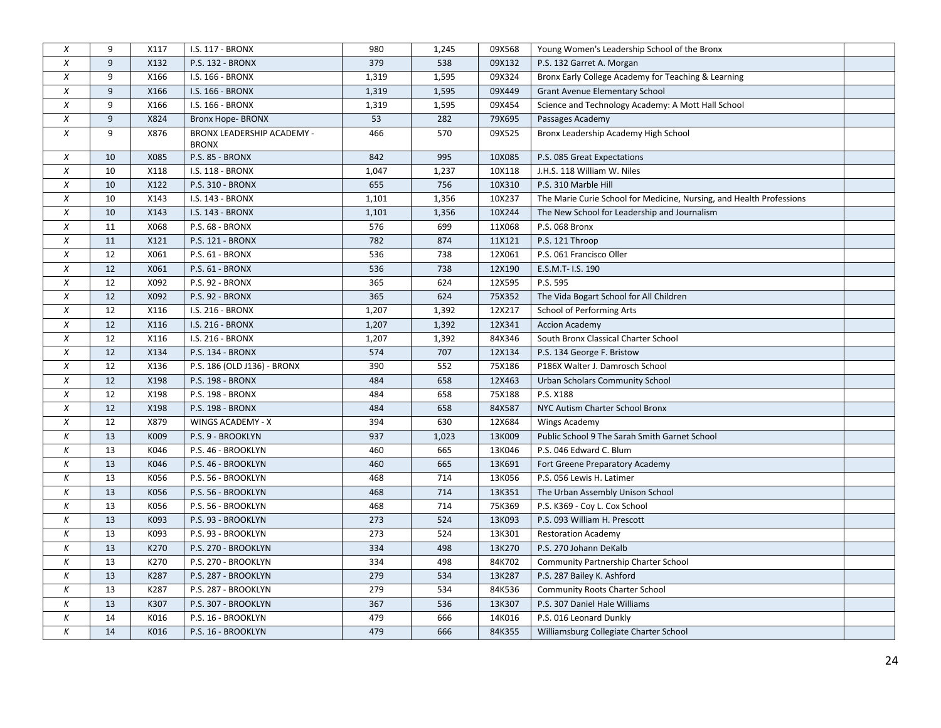| $\boldsymbol{X}$ | 9  | X117 | I.S. 117 - BRONX                           | 980   | 1,245 | 09X568 | Young Women's Leadership School of the Bronx                         |  |
|------------------|----|------|--------------------------------------------|-------|-------|--------|----------------------------------------------------------------------|--|
| $\chi$           | 9  | X132 | P.S. 132 - BRONX                           | 379   | 538   | 09X132 | P.S. 132 Garret A. Morgan                                            |  |
| $\chi$           | 9  | X166 | I.S. 166 - BRONX                           | 1,319 | 1,595 | 09X324 | Bronx Early College Academy for Teaching & Learning                  |  |
| $\chi$           | 9  | X166 | I.S. 166 - BRONX                           | 1,319 | 1,595 | 09X449 | <b>Grant Avenue Elementary School</b>                                |  |
| $\chi$           | 9  | X166 | I.S. 166 - BRONX                           | 1,319 | 1,595 | 09X454 | Science and Technology Academy: A Mott Hall School                   |  |
| $\chi$           | 9  | X824 | Bronx Hope- BRONX                          | 53    | 282   | 79X695 | Passages Academy                                                     |  |
| $\chi$           | 9  | X876 | BRONX LEADERSHIP ACADEMY -<br><b>BRONX</b> | 466   | 570   | 09X525 | Bronx Leadership Academy High School                                 |  |
| $\boldsymbol{X}$ | 10 | X085 | P.S. 85 - BRONX                            | 842   | 995   | 10X085 | P.S. 085 Great Expectations                                          |  |
| $\chi$           | 10 | X118 | I.S. 118 - BRONX                           | 1,047 | 1,237 | 10X118 | J.H.S. 118 William W. Niles                                          |  |
| $\chi$           | 10 | X122 | P.S. 310 - BRONX                           | 655   | 756   | 10X310 | P.S. 310 Marble Hill                                                 |  |
| $\boldsymbol{X}$ | 10 | X143 | I.S. 143 - BRONX                           | 1,101 | 1,356 | 10X237 | The Marie Curie School for Medicine, Nursing, and Health Professions |  |
| $\chi$           | 10 | X143 | I.S. 143 - BRONX                           | 1,101 | 1,356 | 10X244 | The New School for Leadership and Journalism                         |  |
| $\boldsymbol{X}$ | 11 | X068 | P.S. 68 - BRONX                            | 576   | 699   | 11X068 | P.S. 068 Bronx                                                       |  |
| $\chi$           | 11 | X121 | P.S. 121 - BRONX                           | 782   | 874   | 11X121 | P.S. 121 Throop                                                      |  |
| $\chi$           | 12 | X061 | P.S. 61 - BRONX                            | 536   | 738   | 12X061 | P.S. 061 Francisco Oller                                             |  |
| $\chi$           | 12 | X061 | P.S. 61 - BRONX                            | 536   | 738   | 12X190 | E.S.M.T- I.S. 190                                                    |  |
| $\chi$           | 12 | X092 | P.S. 92 - BRONX                            | 365   | 624   | 12X595 | P.S. 595                                                             |  |
| $\chi$           | 12 | X092 | P.S. 92 - BRONX                            | 365   | 624   | 75X352 | The Vida Bogart School for All Children                              |  |
| $\chi$           | 12 | X116 | I.S. 216 - BRONX                           | 1,207 | 1,392 | 12X217 | <b>School of Performing Arts</b>                                     |  |
| $\chi$           | 12 | X116 | I.S. 216 - BRONX                           | 1,207 | 1,392 | 12X341 | <b>Accion Academy</b>                                                |  |
| $\chi$           | 12 | X116 | I.S. 216 - BRONX                           | 1,207 | 1,392 | 84X346 | South Bronx Classical Charter School                                 |  |
| $\chi$           | 12 | X134 | P.S. 134 - BRONX                           | 574   | 707   | 12X134 | P.S. 134 George F. Bristow                                           |  |
| $\chi$           | 12 | X136 | P.S. 186 (OLD J136) - BRONX                | 390   | 552   | 75X186 | P186X Walter J. Damrosch School                                      |  |
| $\chi$           | 12 | X198 | P.S. 198 - BRONX                           | 484   | 658   | 12X463 | <b>Urban Scholars Community School</b>                               |  |
| $\chi$           | 12 | X198 | P.S. 198 - BRONX                           | 484   | 658   | 75X188 | P.S. X188                                                            |  |
| $\chi$           | 12 | X198 | P.S. 198 - BRONX                           | 484   | 658   | 84X587 | NYC Autism Charter School Bronx                                      |  |
| $\chi$           | 12 | X879 | WINGS ACADEMY - X                          | 394   | 630   | 12X684 | Wings Academy                                                        |  |
| К                | 13 | K009 | P.S. 9 - BROOKLYN                          | 937   | 1,023 | 13K009 | Public School 9 The Sarah Smith Garnet School                        |  |
| К                | 13 | K046 | P.S. 46 - BROOKLYN                         | 460   | 665   | 13K046 | P.S. 046 Edward C. Blum                                              |  |
| К                | 13 | K046 | P.S. 46 - BROOKLYN                         | 460   | 665   | 13K691 | Fort Greene Preparatory Academy                                      |  |
| К                | 13 | K056 | P.S. 56 - BROOKLYN                         | 468   | 714   | 13K056 | P.S. 056 Lewis H. Latimer                                            |  |
| К                | 13 | K056 | P.S. 56 - BROOKLYN                         | 468   | 714   | 13K351 | The Urban Assembly Unison School                                     |  |
| К                | 13 | K056 | P.S. 56 - BROOKLYN                         | 468   | 714   | 75K369 | P.S. K369 - Coy L. Cox School                                        |  |
| К                | 13 | K093 | P.S. 93 - BROOKLYN                         | 273   | 524   | 13K093 | P.S. 093 William H. Prescott                                         |  |
| К                | 13 | K093 | P.S. 93 - BROOKLYN                         | 273   | 524   | 13K301 | <b>Restoration Academy</b>                                           |  |
| К                | 13 | K270 | P.S. 270 - BROOKLYN                        | 334   | 498   | 13K270 | P.S. 270 Johann DeKalb                                               |  |
| К                | 13 | K270 | P.S. 270 - BROOKLYN                        | 334   | 498   | 84K702 | <b>Community Partnership Charter School</b>                          |  |
| К                | 13 | K287 | P.S. 287 - BROOKLYN                        | 279   | 534   | 13K287 | P.S. 287 Bailey K. Ashford                                           |  |
| К                | 13 | K287 | P.S. 287 - BROOKLYN                        | 279   | 534   | 84K536 | <b>Community Roots Charter School</b>                                |  |
| К                | 13 | K307 | P.S. 307 - BROOKLYN                        | 367   | 536   | 13K307 | P.S. 307 Daniel Hale Williams                                        |  |
| К                | 14 | K016 | P.S. 16 - BROOKLYN                         | 479   | 666   | 14K016 | P.S. 016 Leonard Dunkly                                              |  |
| $\kappa$         | 14 | K016 | P.S. 16 - BROOKLYN                         | 479   | 666   | 84K355 | Williamsburg Collegiate Charter School                               |  |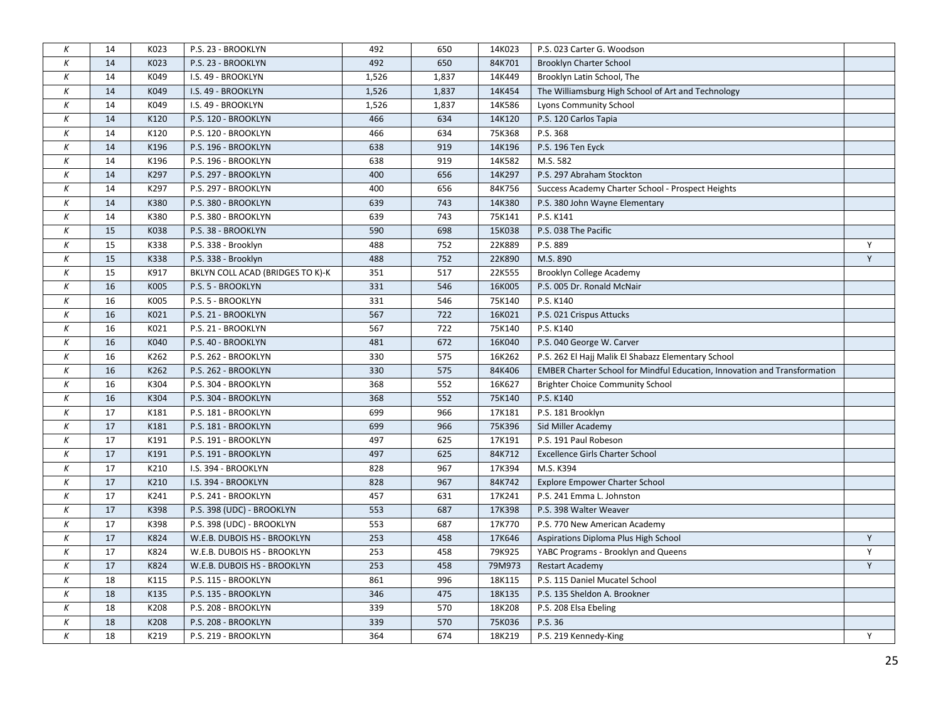| К                | 14     | K023 | P.S. 23 - BROOKLYN               | 492          | 650   | 14K023 | P.S. 023 Carter G. Woodson                                                       |   |
|------------------|--------|------|----------------------------------|--------------|-------|--------|----------------------------------------------------------------------------------|---|
| К                | 14     | K023 | P.S. 23 - BROOKLYN               | 492          | 650   | 84K701 | <b>Brooklyn Charter School</b>                                                   |   |
| Κ                | 14     | K049 | I.S. 49 - BROOKLYN               | 1,526        | 1,837 | 14K449 | Brooklyn Latin School, The                                                       |   |
| К                | 14     | K049 | I.S. 49 - BROOKLYN               | 1,526        | 1,837 | 14K454 | The Williamsburg High School of Art and Technology                               |   |
| К                | 14     | K049 |                                  |              | 1,837 | 14K586 |                                                                                  |   |
| К                | 14     | K120 | I.S. 49 - BROOKLYN               | 1,526<br>466 | 634   |        | Lyons Community School                                                           |   |
|                  |        |      | P.S. 120 - BROOKLYN              |              |       | 14K120 | P.S. 120 Carlos Tapia                                                            |   |
| Κ                | 14     | K120 | P.S. 120 - BROOKLYN              | 466          | 634   | 75K368 | P.S. 368                                                                         |   |
| К                | 14     | K196 | P.S. 196 - BROOKLYN              | 638          | 919   | 14K196 | P.S. 196 Ten Eyck                                                                |   |
| К                | 14     | K196 | P.S. 196 - BROOKLYN              | 638          | 919   | 14K582 | M.S. 582                                                                         |   |
| К                | 14     | K297 | P.S. 297 - BROOKLYN              | 400          | 656   | 14K297 | P.S. 297 Abraham Stockton                                                        |   |
| К                | 14     | K297 | P.S. 297 - BROOKLYN              | 400          | 656   | 84K756 | Success Academy Charter School - Prospect Heights                                |   |
| К                | 14     | K380 | P.S. 380 - BROOKLYN              | 639          | 743   | 14K380 | P.S. 380 John Wayne Elementary                                                   |   |
| К                | 14     | K380 | P.S. 380 - BROOKLYN              | 639          | 743   | 75K141 | P.S. K141                                                                        |   |
| К                | 15     | K038 | P.S. 38 - BROOKLYN               | 590          | 698   | 15K038 | P.S. 038 The Pacific                                                             |   |
| К                | 15     | K338 | P.S. 338 - Brooklyn              | 488          | 752   | 22K889 | P.S. 889                                                                         | Υ |
| К                | 15     | K338 | P.S. 338 - Brooklyn              | 488          | 752   | 22K890 | M.S. 890                                                                         | Y |
| К                | 15     | K917 | BKLYN COLL ACAD (BRIDGES TO K)-K | 351          | 517   | 22K555 | Brooklyn College Academy                                                         |   |
| К                | 16     | K005 | P.S. 5 - BROOKLYN                | 331          | 546   | 16K005 | P.S. 005 Dr. Ronald McNair                                                       |   |
| К                | 16     | K005 | P.S. 5 - BROOKLYN                | 331          | 546   | 75K140 | P.S. K140                                                                        |   |
| К                | 16     | K021 | P.S. 21 - BROOKLYN               | 567          | 722   | 16K021 | P.S. 021 Crispus Attucks                                                         |   |
| К                | 16     | K021 | P.S. 21 - BROOKLYN               | 567          | 722   | 75K140 | P.S. K140                                                                        |   |
| Κ                | 16     | K040 | P.S. 40 - BROOKLYN               | 481          | 672   | 16K040 | P.S. 040 George W. Carver                                                        |   |
| К                | 16     | K262 | P.S. 262 - BROOKLYN              | 330          | 575   | 16K262 | P.S. 262 El Hajj Malik El Shabazz Elementary School                              |   |
| К                | 16     | K262 | P.S. 262 - BROOKLYN              | 330          | 575   | 84K406 | <b>EMBER Charter School for Mindful Education, Innovation and Transformation</b> |   |
| К                | 16     | K304 | P.S. 304 - BROOKLYN              | 368          | 552   | 16K627 | <b>Brighter Choice Community School</b>                                          |   |
| К                | 16     | K304 | P.S. 304 - BROOKLYN              | 368          | 552   | 75K140 | P.S. K140                                                                        |   |
| К                | 17     | K181 | P.S. 181 - BROOKLYN              | 699          | 966   | 17K181 | P.S. 181 Brooklyn                                                                |   |
| К                | 17     | K181 | P.S. 181 - BROOKLYN              | 699          | 966   | 75K396 | Sid Miller Academy                                                               |   |
| К                | 17     | K191 | P.S. 191 - BROOKLYN              | 497          | 625   | 17K191 | P.S. 191 Paul Robeson                                                            |   |
| К                | 17     | K191 | P.S. 191 - BROOKLYN              | 497          | 625   | 84K712 | <b>Excellence Girls Charter School</b>                                           |   |
| К                | 17     | K210 | I.S. 394 - BROOKLYN              | 828          | 967   | 17K394 | M.S. K394                                                                        |   |
| $\boldsymbol{K}$ | 17     | K210 | I.S. 394 - BROOKLYN              | 828          | 967   | 84K742 | <b>Explore Empower Charter School</b>                                            |   |
| К                | 17     | K241 | P.S. 241 - BROOKLYN              | 457          | 631   | 17K241 | P.S. 241 Emma L. Johnston                                                        |   |
| К                | 17     | K398 | P.S. 398 (UDC) - BROOKLYN        | 553          | 687   | 17K398 | P.S. 398 Walter Weaver                                                           |   |
| К                | 17     | K398 | P.S. 398 (UDC) - BROOKLYN        | 553          | 687   | 17K770 | P.S. 770 New American Academy                                                    |   |
| К                | 17     | K824 | W.E.B. DUBOIS HS - BROOKLYN      | 253          | 458   | 17K646 | Aspirations Diploma Plus High School                                             | Y |
| Κ                | 17     | K824 | W.E.B. DUBOIS HS - BROOKLYN      | 253          | 458   | 79K925 | YABC Programs - Brooklyn and Queens                                              | Y |
| К                | 17     | K824 | W.E.B. DUBOIS HS - BROOKLYN      | 253          | 458   | 79M973 | <b>Restart Academy</b>                                                           | Y |
| К                | 18     | K115 | P.S. 115 - BROOKLYN              | 861          | 996   | 18K115 | P.S. 115 Daniel Mucatel School                                                   |   |
| К                | 18     | K135 | P.S. 135 - BROOKLYN              | 346          | 475   | 18K135 | P.S. 135 Sheldon A. Brookner                                                     |   |
| К                | 18     | K208 | P.S. 208 - BROOKLYN              | 339          | 570   | 18K208 | P.S. 208 Elsa Ebeling                                                            |   |
| К                | $18\,$ | K208 | P.S. 208 - BROOKLYN              | 339          | 570   | 75K036 | P.S. 36                                                                          |   |
| K                | 18     | K219 | P.S. 219 - BROOKLYN              | 364          | 674   | 18K219 | P.S. 219 Kennedy-King                                                            | Y |
|                  |        |      |                                  |              |       |        |                                                                                  |   |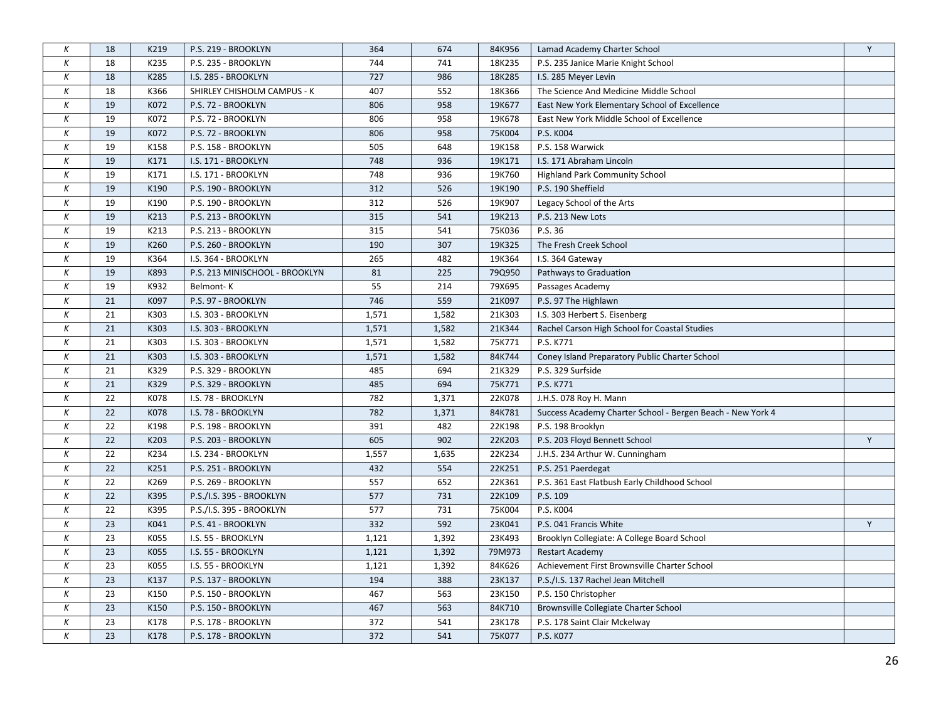| К                | 18 | K219 | P.S. 219 - BROOKLYN            | 364   | 674   | 84K956 | Lamad Academy Charter School                               | Y |
|------------------|----|------|--------------------------------|-------|-------|--------|------------------------------------------------------------|---|
| К                | 18 | K235 | P.S. 235 - BROOKLYN            | 744   | 741   | 18K235 | P.S. 235 Janice Marie Knight School                        |   |
| Κ                | 18 | K285 | I.S. 285 - BROOKLYN            | 727   | 986   | 18K285 | I.S. 285 Meyer Levin                                       |   |
| К                | 18 | K366 | SHIRLEY CHISHOLM CAMPUS - K    | 407   | 552   | 18K366 | The Science And Medicine Middle School                     |   |
| К                | 19 | K072 | P.S. 72 - BROOKLYN             | 806   | 958   | 19K677 | East New York Elementary School of Excellence              |   |
| К                | 19 | K072 | P.S. 72 - BROOKLYN             | 806   | 958   | 19K678 | East New York Middle School of Excellence                  |   |
| Κ                | 19 | K072 | P.S. 72 - BROOKLYN             | 806   | 958   | 75K004 | P.S. K004                                                  |   |
| К                | 19 | K158 | P.S. 158 - BROOKLYN            | 505   | 648   | 19K158 | P.S. 158 Warwick                                           |   |
| К                | 19 | K171 | I.S. 171 - BROOKLYN            | 748   | 936   | 19K171 | I.S. 171 Abraham Lincoln                                   |   |
| К                | 19 | K171 | I.S. 171 - BROOKLYN            | 748   | 936   | 19K760 | Highland Park Community School                             |   |
| К                | 19 | K190 | P.S. 190 - BROOKLYN            | 312   | 526   | 19K190 | P.S. 190 Sheffield                                         |   |
| К                | 19 | K190 | P.S. 190 - BROOKLYN            | 312   | 526   | 19K907 | Legacy School of the Arts                                  |   |
| К                | 19 | K213 | P.S. 213 - BROOKLYN            | 315   | 541   | 19K213 | P.S. 213 New Lots                                          |   |
| Κ                | 19 | K213 | P.S. 213 - BROOKLYN            | 315   | 541   | 75K036 | P.S. 36                                                    |   |
| К                | 19 | K260 | P.S. 260 - BROOKLYN            | 190   | 307   | 19K325 | The Fresh Creek School                                     |   |
| К                | 19 | K364 | I.S. 364 - BROOKLYN            | 265   | 482   | 19K364 | I.S. 364 Gateway                                           |   |
| К                | 19 | K893 | P.S. 213 MINISCHOOL - BROOKLYN | 81    | 225   | 79Q950 | Pathways to Graduation                                     |   |
| Κ                | 19 | K932 | Belmont-K                      | 55    | 214   | 79X695 | Passages Academy                                           |   |
| К                | 21 | K097 | P.S. 97 - BROOKLYN             | 746   | 559   | 21K097 | P.S. 97 The Highlawn                                       |   |
| $\boldsymbol{K}$ | 21 | K303 | I.S. 303 - BROOKLYN            | 1,571 | 1,582 | 21K303 | I.S. 303 Herbert S. Eisenberg                              |   |
| Κ                | 21 | K303 | I.S. 303 - BROOKLYN            | 1,571 | 1,582 | 21K344 | Rachel Carson High School for Coastal Studies              |   |
| К                | 21 | K303 | I.S. 303 - BROOKLYN            | 1,571 | 1,582 | 75K771 | P.S. K771                                                  |   |
| К                | 21 | K303 | I.S. 303 - BROOKLYN            | 1,571 | 1,582 | 84K744 | Coney Island Preparatory Public Charter School             |   |
| К                | 21 | K329 | P.S. 329 - BROOKLYN            | 485   | 694   | 21K329 | P.S. 329 Surfside                                          |   |
| К                | 21 | K329 | P.S. 329 - BROOKLYN            | 485   | 694   | 75K771 | P.S. K771                                                  |   |
| К                | 22 | K078 | I.S. 78 - BROOKLYN             | 782   | 1,371 | 22K078 | J.H.S. 078 Roy H. Mann                                     |   |
| К                | 22 | K078 | I.S. 78 - BROOKLYN             | 782   | 1,371 | 84K781 | Success Academy Charter School - Bergen Beach - New York 4 |   |
| К                | 22 | K198 | P.S. 198 - BROOKLYN            | 391   | 482   | 22K198 | P.S. 198 Brooklyn                                          |   |
| Κ                | 22 | K203 | P.S. 203 - BROOKLYN            | 605   | 902   | 22K203 | P.S. 203 Floyd Bennett School                              | Υ |
| Κ                | 22 | K234 | I.S. 234 - BROOKLYN            | 1,557 | 1,635 | 22K234 | J.H.S. 234 Arthur W. Cunningham                            |   |
| К                | 22 | K251 | P.S. 251 - BROOKLYN            | 432   | 554   | 22K251 | P.S. 251 Paerdegat                                         |   |
| К                | 22 | K269 | P.S. 269 - BROOKLYN            | 557   | 652   | 22K361 | P.S. 361 East Flatbush Early Childhood School              |   |
| Κ                | 22 | K395 | P.S./I.S. 395 - BROOKLYN       | 577   | 731   | 22K109 | P.S. 109                                                   |   |
| К                | 22 | K395 | P.S./I.S. 395 - BROOKLYN       | 577   | 731   | 75K004 | P.S. K004                                                  |   |
| К                | 23 | K041 | P.S. 41 - BROOKLYN             | 332   | 592   | 23K041 | P.S. 041 Francis White                                     | Y |
| К                | 23 | K055 | I.S. 55 - BROOKLYN             | 1,121 | 1,392 | 23K493 | Brooklyn Collegiate: A College Board School                |   |
| К                | 23 | K055 | I.S. 55 - BROOKLYN             | 1,121 | 1,392 | 79M973 | <b>Restart Academy</b>                                     |   |
| К                | 23 | K055 | I.S. 55 - BROOKLYN             | 1,121 | 1,392 | 84K626 | Achievement First Brownsville Charter School               |   |
| К                | 23 | K137 | P.S. 137 - BROOKLYN            | 194   | 388   | 23K137 | P.S./I.S. 137 Rachel Jean Mitchell                         |   |
| Κ                | 23 | K150 | P.S. 150 - BROOKLYN            | 467   | 563   | 23K150 | P.S. 150 Christopher                                       |   |
| К                | 23 | K150 | P.S. 150 - BROOKLYN            | 467   | 563   | 84K710 | Brownsville Collegiate Charter School                      |   |
| К                | 23 | K178 | P.S. 178 - BROOKLYN            | 372   | 541   | 23K178 | P.S. 178 Saint Clair Mckelway                              |   |
| Κ                | 23 | K178 | P.S. 178 - BROOKLYN            | 372   | 541   | 75K077 | P.S. K077                                                  |   |
|                  |    |      |                                |       |       |        |                                                            |   |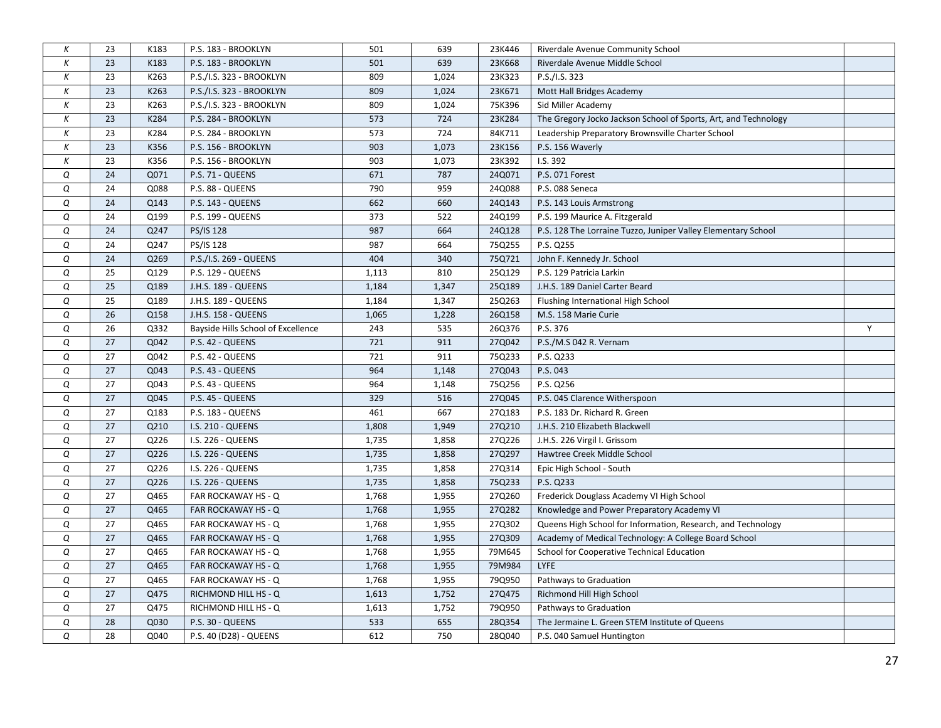| К          | 23 | K183 | P.S. 183 - BROOKLYN                | 501   | 639   | 23K446 | Riverdale Avenue Community School                               |   |
|------------|----|------|------------------------------------|-------|-------|--------|-----------------------------------------------------------------|---|
| К          | 23 | K183 | P.S. 183 - BROOKLYN                | 501   | 639   | 23K668 | Riverdale Avenue Middle School                                  |   |
| Κ          | 23 | K263 | P.S./I.S. 323 - BROOKLYN           | 809   | 1,024 | 23K323 | P.S./I.S. 323                                                   |   |
| К          | 23 | K263 | P.S./I.S. 323 - BROOKLYN           | 809   | 1,024 | 23K671 | Mott Hall Bridges Academy                                       |   |
| К          | 23 | K263 | P.S./I.S. 323 - BROOKLYN           | 809   | 1,024 | 75K396 | Sid Miller Academy                                              |   |
| К          | 23 | K284 | P.S. 284 - BROOKLYN                | 573   | 724   | 23K284 | The Gregory Jocko Jackson School of Sports, Art, and Technology |   |
| Κ          | 23 | K284 | P.S. 284 - BROOKLYN                | 573   | 724   | 84K711 | Leadership Preparatory Brownsville Charter School               |   |
| К          | 23 | K356 | P.S. 156 - BROOKLYN                | 903   | 1,073 | 23K156 | P.S. 156 Waverly                                                |   |
| К          | 23 | K356 | P.S. 156 - BROOKLYN                | 903   | 1,073 | 23K392 | I.S. 392                                                        |   |
| Q          | 24 | Q071 | P.S. 71 - QUEENS                   | 671   | 787   | 24Q071 | P.S. 071 Forest                                                 |   |
| Q          | 24 | Q088 | P.S. 88 - QUEENS                   | 790   | 959   | 24Q088 | P.S. 088 Seneca                                                 |   |
| Q          | 24 | Q143 | P.S. 143 - QUEENS                  | 662   | 660   | 24Q143 | P.S. 143 Louis Armstrong                                        |   |
| Q          | 24 | Q199 | P.S. 199 - QUEENS                  | 373   | 522   | 24Q199 | P.S. 199 Maurice A. Fitzgerald                                  |   |
| Q          | 24 | Q247 | PS/IS 128                          | 987   | 664   | 24Q128 | P.S. 128 The Lorraine Tuzzo, Juniper Valley Elementary School   |   |
| Q          | 24 | Q247 | PS/IS 128                          | 987   | 664   | 75Q255 | P.S. Q255                                                       |   |
| Q          | 24 | Q269 | P.S./I.S. 269 - QUEENS             | 404   | 340   | 75Q721 | John F. Kennedy Jr. School                                      |   |
| Q          | 25 | Q129 | P.S. 129 - QUEENS                  | 1,113 | 810   | 25Q129 | P.S. 129 Patricia Larkin                                        |   |
| Q          | 25 | Q189 | J.H.S. 189 - QUEENS                | 1,184 | 1,347 | 25Q189 | J.H.S. 189 Daniel Carter Beard                                  |   |
| Q          | 25 | Q189 | J.H.S. 189 - QUEENS                | 1,184 | 1,347 | 25Q263 | Flushing International High School                              |   |
| Q          | 26 | Q158 | J.H.S. 158 - QUEENS                | 1,065 | 1,228 | 26Q158 | M.S. 158 Marie Curie                                            |   |
| Q          | 26 | Q332 | Bayside Hills School of Excellence | 243   | 535   | 26Q376 | P.S. 376                                                        | Y |
| Q          | 27 | Q042 | P.S. 42 - QUEENS                   | 721   | 911   | 27Q042 | P.S./M.S 042 R. Vernam                                          |   |
| ${\cal Q}$ | 27 | Q042 | P.S. 42 - QUEENS                   | 721   | 911   | 75Q233 | P.S. Q233                                                       |   |
| Q          | 27 | Q043 | P.S. 43 - QUEENS                   | 964   | 1,148 | 27Q043 | P.S. 043                                                        |   |
| Q          | 27 | Q043 | P.S. 43 - QUEENS                   | 964   | 1,148 | 75Q256 | P.S. Q256                                                       |   |
| Q          | 27 | Q045 | P.S. 45 - QUEENS                   | 329   | 516   | 27Q045 | P.S. 045 Clarence Witherspoon                                   |   |
| Q          | 27 | Q183 | P.S. 183 - QUEENS                  | 461   | 667   | 27Q183 | P.S. 183 Dr. Richard R. Green                                   |   |
| Q          | 27 | Q210 | I.S. 210 - QUEENS                  | 1,808 | 1,949 | 27Q210 | J.H.S. 210 Elizabeth Blackwell                                  |   |
| Q          | 27 | Q226 | I.S. 226 - QUEENS                  | 1,735 | 1,858 | 27Q226 | J.H.S. 226 Virgil I. Grissom                                    |   |
| Q          | 27 | Q226 | <b>I.S. 226 - QUEENS</b>           | 1,735 | 1,858 | 27Q297 | Hawtree Creek Middle School                                     |   |
| Q          | 27 | Q226 | I.S. 226 - QUEENS                  | 1,735 | 1,858 | 27Q314 | Epic High School - South                                        |   |
| Q          | 27 | Q226 | I.S. 226 - QUEENS                  | 1,735 | 1,858 | 75Q233 | P.S. Q233                                                       |   |
| Q          | 27 | Q465 | FAR ROCKAWAY HS - Q                | 1,768 | 1,955 | 27Q260 | Frederick Douglass Academy VI High School                       |   |
| Q          | 27 | Q465 | FAR ROCKAWAY HS - Q                | 1,768 | 1,955 | 27Q282 | Knowledge and Power Preparatory Academy VI                      |   |
| Q          | 27 | Q465 | FAR ROCKAWAY HS - Q                | 1,768 | 1,955 | 27Q302 | Queens High School for Information, Research, and Technology    |   |
| Q          | 27 | Q465 | FAR ROCKAWAY HS - Q                | 1,768 | 1,955 | 27Q309 | Academy of Medical Technology: A College Board School           |   |
| Q          | 27 | Q465 | FAR ROCKAWAY HS - Q                | 1,768 | 1,955 | 79M645 | School for Cooperative Technical Education                      |   |
| Q          | 27 | Q465 | FAR ROCKAWAY HS - Q                | 1,768 | 1,955 | 79M984 | <b>LYFE</b>                                                     |   |
| Q          | 27 | Q465 | FAR ROCKAWAY HS - Q                | 1,768 | 1,955 | 79Q950 | Pathways to Graduation                                          |   |
| Q          | 27 | Q475 | RICHMOND HILL HS - Q               | 1,613 | 1,752 | 27Q475 | Richmond Hill High School                                       |   |
| Q          | 27 | Q475 | RICHMOND HILL HS - Q               | 1,613 | 1,752 | 79Q950 | Pathways to Graduation                                          |   |
| Q          | 28 | Q030 | P.S. 30 - QUEENS                   | 533   | 655   | 28Q354 | The Jermaine L. Green STEM Institute of Queens                  |   |
| Q          | 28 | Q040 | P.S. 40 (D28) - QUEENS             | 612   | 750   | 28Q040 | P.S. 040 Samuel Huntington                                      |   |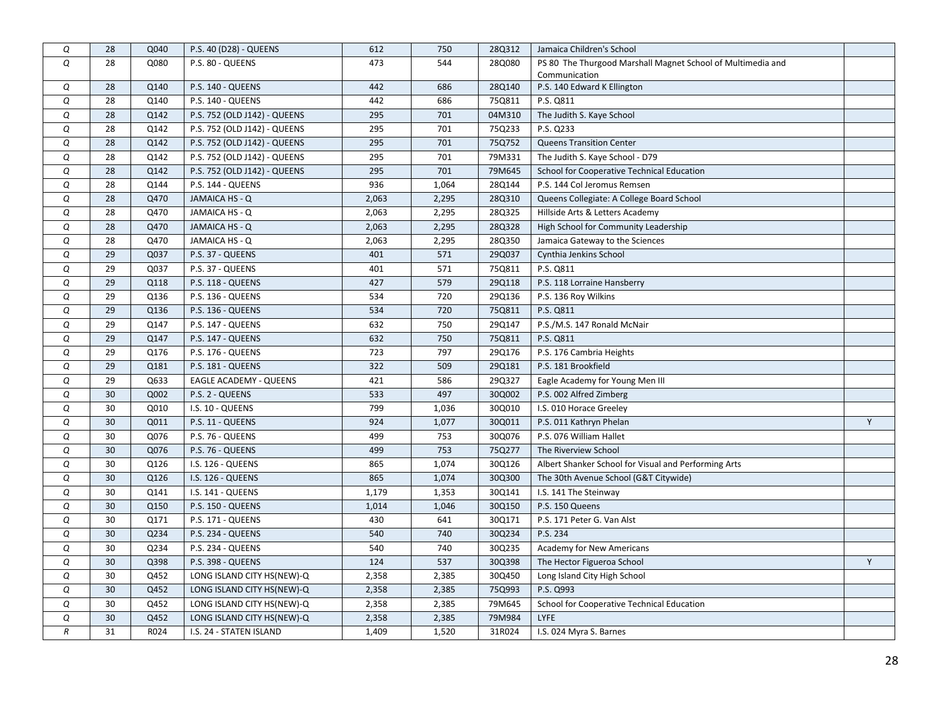| ${\cal Q}$       | 28 | Q040 | P.S. 40 (D28) - QUEENS        | 612   | 750   | 28Q312 | Jamaica Children's School                                   |   |
|------------------|----|------|-------------------------------|-------|-------|--------|-------------------------------------------------------------|---|
| Q                | 28 | Q080 | P.S. 80 - QUEENS              | 473   | 544   | 28Q080 | PS 80 The Thurgood Marshall Magnet School of Multimedia and |   |
|                  |    |      |                               |       |       |        | Communication                                               |   |
| Q                | 28 | Q140 | P.S. 140 - QUEENS             | 442   | 686   | 28Q140 | P.S. 140 Edward K Ellington                                 |   |
| Q                | 28 | Q140 | P.S. 140 - QUEENS             | 442   | 686   | 75Q811 | P.S. Q811                                                   |   |
| Q                | 28 | Q142 | P.S. 752 (OLD J142) - QUEENS  | 295   | 701   | 04M310 | The Judith S. Kaye School                                   |   |
| Q                | 28 | Q142 | P.S. 752 (OLD J142) - QUEENS  | 295   | 701   | 75Q233 | P.S. Q233                                                   |   |
| Q                | 28 | Q142 | P.S. 752 (OLD J142) - QUEENS  | 295   | 701   | 75Q752 | <b>Queens Transition Center</b>                             |   |
| Q                | 28 | Q142 | P.S. 752 (OLD J142) - QUEENS  | 295   | 701   | 79M331 | The Judith S. Kaye School - D79                             |   |
| Q                | 28 | Q142 | P.S. 752 (OLD J142) - QUEENS  | 295   | 701   | 79M645 | School for Cooperative Technical Education                  |   |
| Q                | 28 | Q144 | P.S. 144 - QUEENS             | 936   | 1,064 | 28Q144 | P.S. 144 Col Jeromus Remsen                                 |   |
| Q                | 28 | Q470 | JAMAICA HS - Q                | 2,063 | 2,295 | 28Q310 | Queens Collegiate: A College Board School                   |   |
| Q                | 28 | Q470 | JAMAICA HS - Q                | 2,063 | 2,295 | 28Q325 | Hillside Arts & Letters Academy                             |   |
| Q                | 28 | Q470 | JAMAICA HS - Q                | 2,063 | 2,295 | 28Q328 | High School for Community Leadership                        |   |
| Q                | 28 | Q470 | JAMAICA HS - Q                | 2,063 | 2,295 | 28Q350 | Jamaica Gateway to the Sciences                             |   |
| Q                | 29 | Q037 | P.S. 37 - QUEENS              | 401   | 571   | 29Q037 | Cynthia Jenkins School                                      |   |
| Q                | 29 | Q037 | P.S. 37 - QUEENS              | 401   | 571   | 75Q811 | P.S. Q811                                                   |   |
| Q                | 29 | Q118 | P.S. 118 - QUEENS             | 427   | 579   | 29Q118 | P.S. 118 Lorraine Hansberry                                 |   |
| Q                | 29 | Q136 | P.S. 136 - QUEENS             | 534   | 720   | 29Q136 | P.S. 136 Roy Wilkins                                        |   |
| Q                | 29 | Q136 | P.S. 136 - QUEENS             | 534   | 720   | 75Q811 | P.S. Q811                                                   |   |
| Q                | 29 | Q147 | P.S. 147 - QUEENS             | 632   | 750   | 29Q147 | P.S./M.S. 147 Ronald McNair                                 |   |
| Q                | 29 | Q147 | P.S. 147 - QUEENS             | 632   | 750   | 75Q811 | P.S. Q811                                                   |   |
| Q                | 29 | Q176 | P.S. 176 - QUEENS             | 723   | 797   | 29Q176 | P.S. 176 Cambria Heights                                    |   |
| Q                | 29 | Q181 | P.S. 181 - QUEENS             | 322   | 509   | 29Q181 | P.S. 181 Brookfield                                         |   |
| Q                | 29 | Q633 | <b>EAGLE ACADEMY - QUEENS</b> | 421   | 586   | 29Q327 | Eagle Academy for Young Men III                             |   |
| Q                | 30 | Q002 | P.S. 2 - QUEENS               | 533   | 497   | 30Q002 | P.S. 002 Alfred Zimberg                                     |   |
| Q                | 30 | Q010 | I.S. 10 - QUEENS              | 799   | 1,036 | 30Q010 | I.S. 010 Horace Greeley                                     |   |
| Q                | 30 | Q011 | P.S. 11 - QUEENS              | 924   | 1,077 | 30Q011 | P.S. 011 Kathryn Phelan                                     | Y |
| Q                | 30 | Q076 | P.S. 76 - QUEENS              | 499   | 753   | 30Q076 | P.S. 076 William Hallet                                     |   |
| Q                | 30 | Q076 | P.S. 76 - QUEENS              | 499   | 753   | 75Q277 | The Riverview School                                        |   |
| Q                | 30 | Q126 | I.S. 126 - QUEENS             | 865   | 1,074 | 30Q126 | Albert Shanker School for Visual and Performing Arts        |   |
| Q                | 30 | Q126 | I.S. 126 - QUEENS             | 865   | 1,074 | 30Q300 | The 30th Avenue School (G&T Citywide)                       |   |
| Q                | 30 | Q141 | I.S. 141 - QUEENS             | 1,179 | 1,353 | 30Q141 | I.S. 141 The Steinway                                       |   |
| Q                | 30 | Q150 | P.S. 150 - QUEENS             | 1,014 | 1,046 | 30Q150 | P.S. 150 Queens                                             |   |
| Q                | 30 | Q171 | P.S. 171 - QUEENS             | 430   | 641   | 30Q171 | P.S. 171 Peter G. Van Alst                                  |   |
| Q                | 30 | Q234 | P.S. 234 - QUEENS             | 540   | 740   | 30Q234 | P.S. 234                                                    |   |
| Q                | 30 | Q234 | P.S. 234 - QUEENS             | 540   | 740   | 30Q235 | Academy for New Americans                                   |   |
| Q                | 30 | Q398 | <b>P.S. 398 - QUEENS</b>      | 124   | 537   | 30Q398 | The Hector Figueroa School                                  | Y |
| Q                | 30 | Q452 | LONG ISLAND CITY HS(NEW)-Q    | 2,358 | 2,385 | 30Q450 | Long Island City High School                                |   |
| Q                | 30 | Q452 | LONG ISLAND CITY HS(NEW)-Q    | 2,358 | 2,385 | 75Q993 | P.S. Q993                                                   |   |
| Q                | 30 | Q452 | LONG ISLAND CITY HS(NEW)-Q    | 2,358 | 2,385 | 79M645 | School for Cooperative Technical Education                  |   |
| Q                | 30 | Q452 | LONG ISLAND CITY HS(NEW)-Q    | 2,358 | 2,385 | 79M984 | LYFE                                                        |   |
| $\boldsymbol{R}$ | 31 | R024 | I.S. 24 - STATEN ISLAND       | 1,409 | 1,520 | 31R024 | I.S. 024 Myra S. Barnes                                     |   |